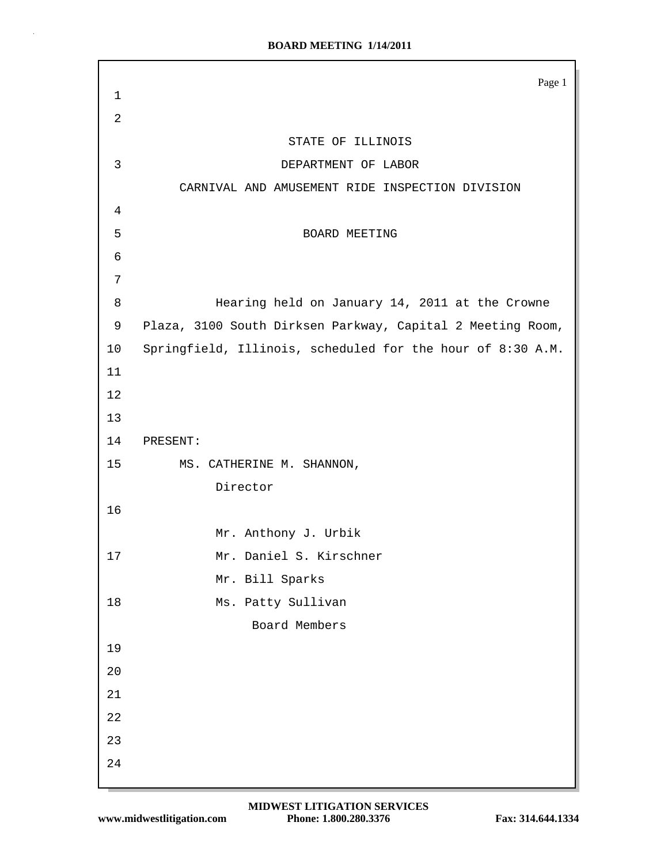|                | Page 1                                                     |
|----------------|------------------------------------------------------------|
| $\mathbf 1$    |                                                            |
| $\overline{2}$ |                                                            |
|                | STATE OF ILLINOIS                                          |
| $\mathbf{3}$   | DEPARTMENT OF LABOR                                        |
|                | CARNIVAL AND AMUSEMENT RIDE INSPECTION DIVISION            |
| 4              |                                                            |
| 5              | BOARD MEETING                                              |
| 6              |                                                            |
| 7              |                                                            |
| 8              | Hearing held on January 14, 2011 at the Crowne             |
| 9              | Plaza, 3100 South Dirksen Parkway, Capital 2 Meeting Room, |
| 10             | Springfield, Illinois, scheduled for the hour of 8:30 A.M. |
| 11             |                                                            |
| 12             |                                                            |
| 13             |                                                            |
| 14             | PRESENT:                                                   |
| 15             | MS. CATHERINE M. SHANNON,                                  |
|                | Director                                                   |
| 16             |                                                            |
|                | Mr. Anthony J. Urbik                                       |
| $17$           | Mr. Daniel S. Kirschner                                    |
|                | Mr. Bill Sparks                                            |
| 18             | Ms. Patty Sullivan                                         |
|                | Board Members                                              |
| 19             |                                                            |
| 20             |                                                            |
| 21             |                                                            |
| 22             |                                                            |
| 23             |                                                            |
| 24             |                                                            |
|                |                                                            |

 $\bar{z}$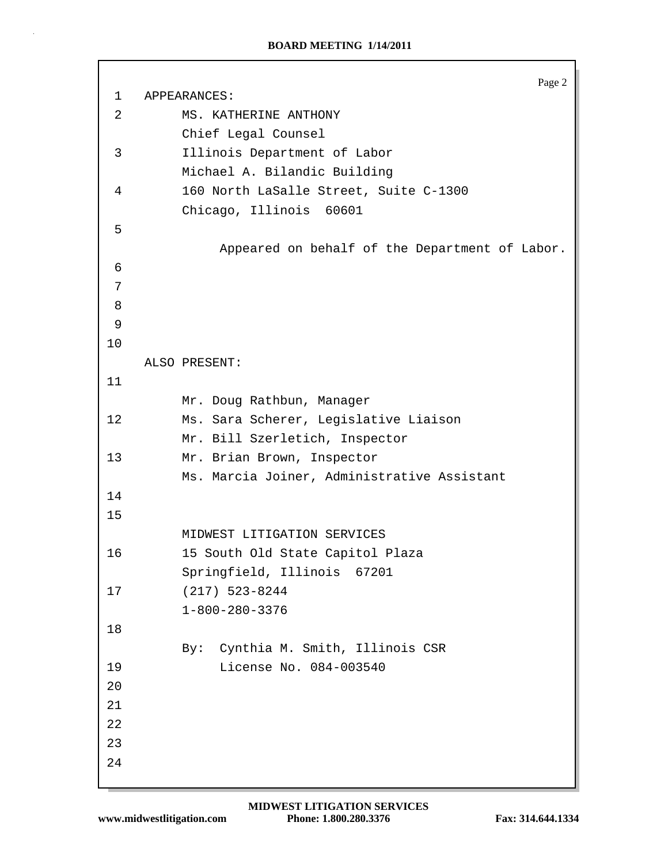```
Page 2
 1 APPEARANCES:
 2 MS. KATHERINE ANTHONY
          Chief Legal Counsel
 3 Illinois Department of Labor
          Michael A. Bilandic Building
 4 160 North LaSalle Street, Suite C-1300
          Chicago, Illinois 60601
 5
               Appeared on behalf of the Department of Labor.
 6
 7
 8
 9
10
    ALSO PRESENT:
11
          Mr. Doug Rathbun, Manager
12 Ms. Sara Scherer, Legislative Liaison
          Mr. Bill Szerletich, Inspector
13 Mr. Brian Brown, Inspector
          Ms. Marcia Joiner, Administrative Assistant
14
15
          MIDWEST LITIGATION SERVICES
16 15 South Old State Capitol Plaza
          Springfield, Illinois 67201
17 (217) 523-8244
          1-800-280-3376
18
          By: Cynthia M. Smith, Illinois CSR
19 License No. 084-003540
20
21
22
23
24
```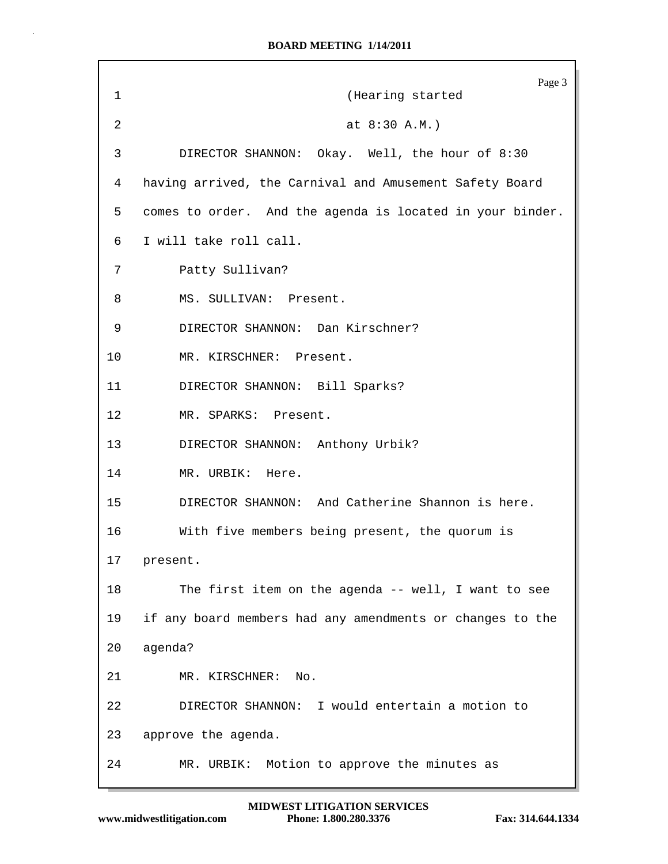|    | Page 3                                                    |
|----|-----------------------------------------------------------|
| 1  | (Hearing started                                          |
| 2  | at 8:30 A.M.)                                             |
| 3  | DIRECTOR SHANNON: Okay. Well, the hour of 8:30            |
| 4  | having arrived, the Carnival and Amusement Safety Board   |
| 5  | comes to order. And the agenda is located in your binder. |
| 6  | I will take roll call.                                    |
| 7  | Patty Sullivan?                                           |
| 8  | MS. SULLIVAN: Present.                                    |
| 9  | DIRECTOR SHANNON: Dan Kirschner?                          |
| 10 | MR. KIRSCHNER: Present.                                   |
| 11 | DIRECTOR SHANNON: Bill Sparks?                            |
| 12 | MR. SPARKS: Present.                                      |
| 13 | DIRECTOR SHANNON: Anthony Urbik?                          |
| 14 | MR. URBIK: Here.                                          |
| 15 | DIRECTOR SHANNON: And Catherine Shannon is here.          |
| 16 | With five members being present, the quorum is            |
| 17 | present.                                                  |
| 18 | The first item on the agenda -- well, I want to see       |
| 19 | if any board members had any amendments or changes to the |
| 20 | agenda?                                                   |
| 21 | MR. KIRSCHNER:<br>No.                                     |
| 22 | DIRECTOR SHANNON: I would entertain a motion to           |
| 23 | approve the agenda.                                       |
| 24 | Motion to approve the minutes as<br>MR. URBIK:            |

Г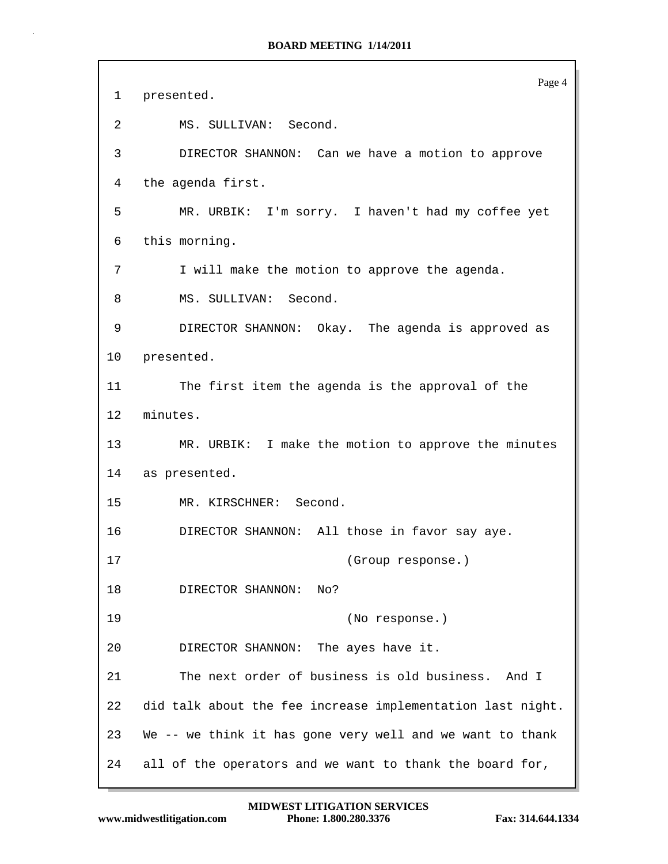Page 4 1 presented. 2 MS. SULLIVAN: Second. 3 DIRECTOR SHANNON: Can we have a motion to approve 4 the agenda first. 5 MR. URBIK: I'm sorry. I haven't had my coffee yet 6 this morning. 7 I will make the motion to approve the agenda. 8 MS. SULLIVAN: Second. 9 DIRECTOR SHANNON: Okay. The agenda is approved as 10 presented. 11 The first item the agenda is the approval of the 12 minutes. 13 MR. URBIK: I make the motion to approve the minutes 14 as presented. 15 MR. KIRSCHNER: Second. 16 DIRECTOR SHANNON: All those in favor say aye. 17 (Group response.) 18 DIRECTOR SHANNON: No? 19 (No response.) 20 DIRECTOR SHANNON: The ayes have it. 21 The next order of business is old business. And I 22 did talk about the fee increase implementation last night. 23 We -- we think it has gone very well and we want to thank 24 all of the operators and we want to thank the board for,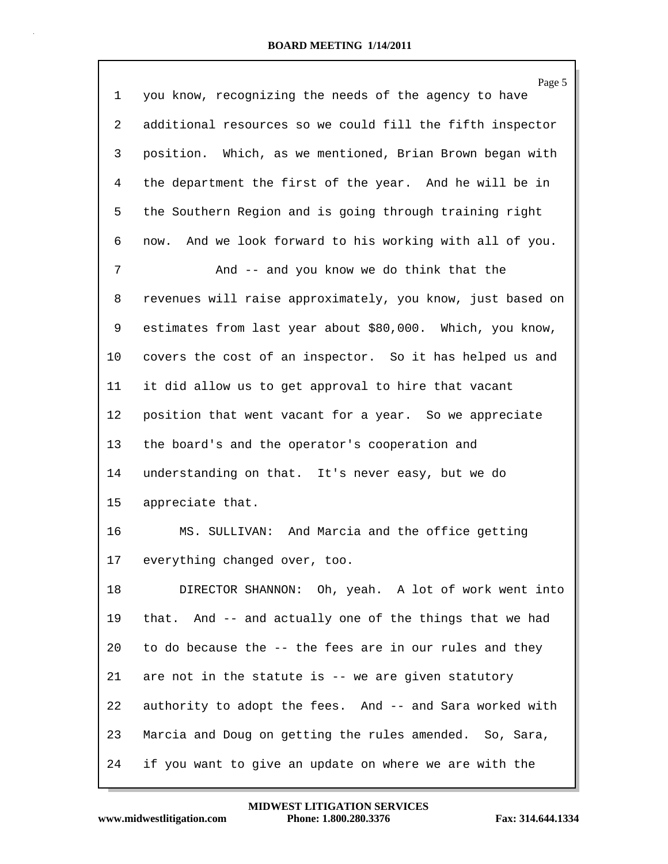|    | Page 5                                                      |
|----|-------------------------------------------------------------|
| 1  | you know, recognizing the needs of the agency to have       |
| 2  | additional resources so we could fill the fifth inspector   |
| 3  | position. Which, as we mentioned, Brian Brown began with    |
| 4  | the department the first of the year. And he will be in     |
| 5  | the Southern Region and is going through training right     |
| 6  | And we look forward to his working with all of you.<br>now. |
| 7  | And -- and you know we do think that the                    |
| 8  | revenues will raise approximately, you know, just based on  |
| 9  | estimates from last year about \$80,000. Which, you know,   |
| 10 | covers the cost of an inspector. So it has helped us and    |
| 11 | it did allow us to get approval to hire that vacant         |
| 12 | position that went vacant for a year. So we appreciate      |
| 13 | the board's and the operator's cooperation and              |
| 14 | understanding on that. It's never easy, but we do           |
| 15 | appreciate that.                                            |
| 16 | MS. SULLIVAN: And Marcia and the office getting             |
| 17 | everything changed over, too.                               |
| 18 | DIRECTOR SHANNON: Oh, yeah. A lot of work went into         |
| 19 | that. And -- and actually one of the things that we had     |
| 20 | to do because the -- the fees are in our rules and they     |
| 21 | are not in the statute is -- we are given statutory         |
| 22 | authority to adopt the fees. And -- and Sara worked with    |
| 23 | Marcia and Doug on getting the rules amended. So, Sara,     |
| 24 | if you want to give an update on where we are with the      |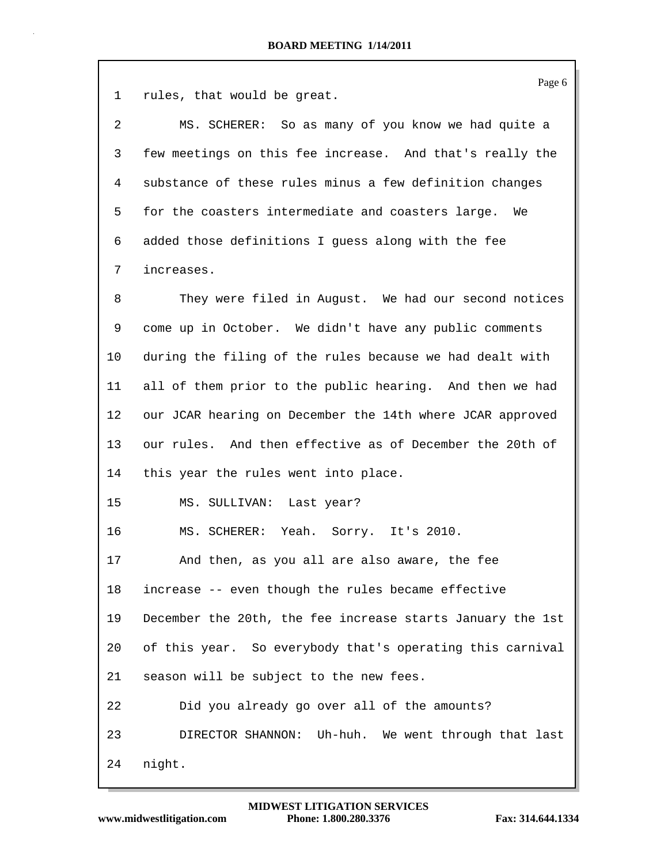1 rules, that would be great.

| 2  | MS. SCHERER: So as many of you know we had quite a       |
|----|----------------------------------------------------------|
| 3  | few meetings on this fee increase. And that's really the |
| 4  | substance of these rules minus a few definition changes  |
| 5. | for the coasters intermediate and coasters large.<br>We  |
| 6  | added those definitions I guess along with the fee       |
|    | increases.                                               |

8 They were filed in August. We had our second notices 9 come up in October. We didn't have any public comments 10 during the filing of the rules because we had dealt with 11 all of them prior to the public hearing. And then we had 12 our JCAR hearing on December the 14th where JCAR approved 13 our rules. And then effective as of December the 20th of 14 this year the rules went into place.

15 MS. SULLIVAN: Last year?

16 MS. SCHERER: Yeah. Sorry. It's 2010.

17 And then, as you all are also aware, the fee 18 increase -- even though the rules became effective 19 December the 20th, the fee increase starts January the 1st 20 of this year. So everybody that's operating this carnival 21 season will be subject to the new fees. 22 Did you already go over all of the amounts? 23 DIRECTOR SHANNON: Uh-huh. We went through that last 24 night.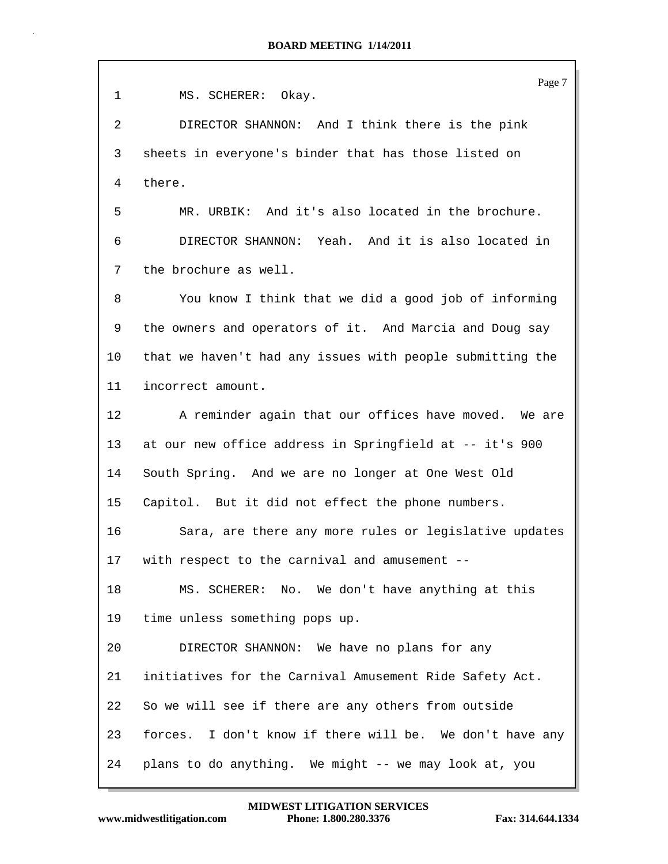| $\mathbf 1$ | Page 7<br>MS. SCHERER: Okay.                              |
|-------------|-----------------------------------------------------------|
| 2           | DIRECTOR SHANNON: And I think there is the pink           |
| 3           | sheets in everyone's binder that has those listed on      |
| 4           | there.                                                    |
| 5           | MR. URBIK: And it's also located in the brochure.         |
| 6           | DIRECTOR SHANNON: Yeah. And it is also located in         |
| 7           | the brochure as well.                                     |
| 8           | You know I think that we did a good job of informing      |
| 9           | the owners and operators of it. And Marcia and Doug say   |
| 10          | that we haven't had any issues with people submitting the |
| 11          | incorrect amount.                                         |
| 12          | A reminder again that our offices have moved. We are      |
| 13          | at our new office address in Springfield at -- it's 900   |
| 14          | South Spring. And we are no longer at One West Old        |
| 15          | Capitol. But it did not effect the phone numbers.         |
| 16          | Sara, are there any more rules or legislative updates     |
| 17          | with respect to the carnival and amusement --             |
| 18          | MS. SCHERER: No. We don't have anything at this           |
| 19          | time unless something pops up.                            |
| 20          | DIRECTOR SHANNON: We have no plans for any                |
| 21          | initiatives for the Carnival Amusement Ride Safety Act.   |
| 22          | So we will see if there are any others from outside       |
| 23          | forces. I don't know if there will be. We don't have any  |
| 24          | plans to do anything. We might -- we may look at, you     |

Ш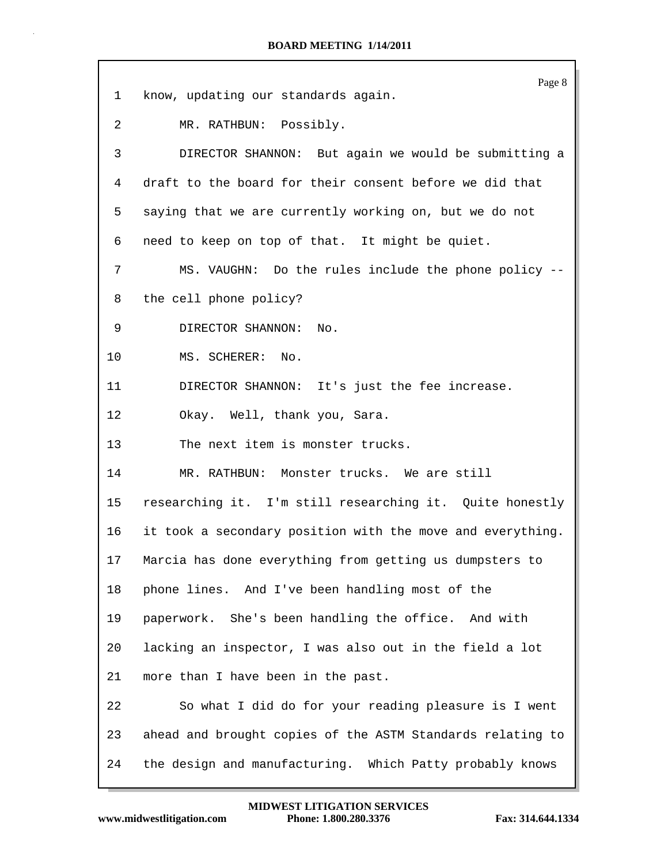| $\mathbf 1$ | Page 8<br>know, updating our standards again.              |
|-------------|------------------------------------------------------------|
|             |                                                            |
| 2           | MR. RATHBUN: Possibly.                                     |
| 3           | DIRECTOR SHANNON: But again we would be submitting a       |
| 4           | draft to the board for their consent before we did that    |
| 5           | saying that we are currently working on, but we do not     |
| 6           | need to keep on top of that. It might be quiet.            |
| 7           | MS. VAUGHN: Do the rules include the phone policy --       |
| 8           | the cell phone policy?                                     |
| 9           | DIRECTOR SHANNON:<br>No.                                   |
| 10          | MS. SCHERER: No.                                           |
| 11          | DIRECTOR SHANNON: It's just the fee increase.              |
| 12          | Okay. Well, thank you, Sara.                               |
| 13          | The next item is monster trucks.                           |
| 14          | MR. RATHBUN: Monster trucks. We are still                  |
| 15          | researching it. I'm still researching it. Quite honestly   |
| 16          | it took a secondary position with the move and everything. |
| 17          | Marcia has done everything from getting us dumpsters to    |
| 18          | phone lines. And I've been handling most of the            |
| 19          | paperwork. She's been handling the office. And with        |
| 20          | lacking an inspector, I was also out in the field a lot    |
| 21          | more than I have been in the past.                         |
| 22          | So what I did do for your reading pleasure is I went       |
| 23          | ahead and brought copies of the ASTM Standards relating to |
| 24          | the design and manufacturing. Which Patty probably knows   |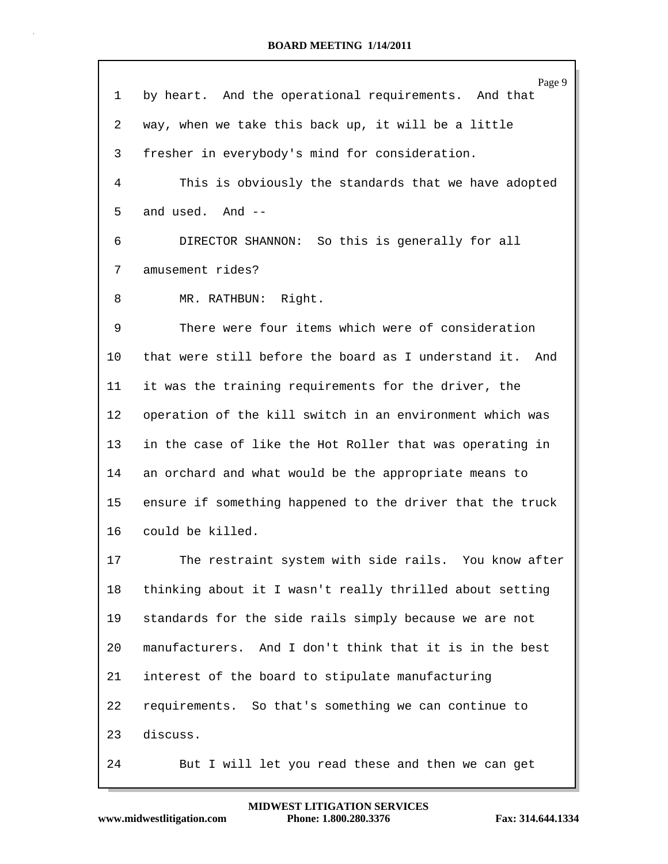|    | Page 9                                                    |
|----|-----------------------------------------------------------|
| 1  | by heart. And the operational requirements. And that      |
| 2  | way, when we take this back up, it will be a little       |
| 3  | fresher in everybody's mind for consideration.            |
| 4  | This is obviously the standards that we have adopted      |
| 5  | and used. And --                                          |
| 6  | DIRECTOR SHANNON: So this is generally for all            |
| 7  | amusement rides?                                          |
| 8  | MR. RATHBUN: Right.                                       |
| 9  | There were four items which were of consideration         |
| 10 | that were still before the board as I understand it. And  |
| 11 | it was the training requirements for the driver, the      |
| 12 | operation of the kill switch in an environment which was  |
| 13 | in the case of like the Hot Roller that was operating in  |
| 14 | an orchard and what would be the appropriate means to     |
| 15 | ensure if something happened to the driver that the truck |
| 16 | could be killed.                                          |
| 17 | The restraint system with side rails. You know after      |
| 18 | thinking about it I wasn't really thrilled about setting  |
| 19 | standards for the side rails simply because we are not    |
| 20 | manufacturers. And I don't think that it is in the best   |
| 21 | interest of the board to stipulate manufacturing          |
| 22 | requirements. So that's something we can continue to      |
| 23 | discuss.                                                  |
| 24 | But I will let you read these and then we can get         |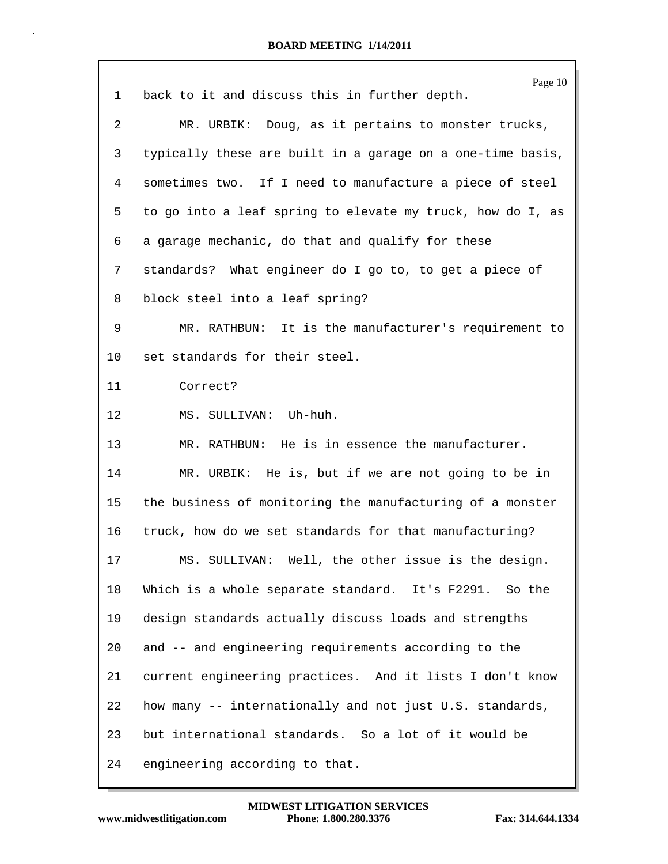|    | Page 10                                                    |
|----|------------------------------------------------------------|
| 1  | back to it and discuss this in further depth.              |
| 2  | MR. URBIK: Doug, as it pertains to monster trucks,         |
| 3  | typically these are built in a garage on a one-time basis, |
| 4  | sometimes two. If I need to manufacture a piece of steel   |
| 5  | to go into a leaf spring to elevate my truck, how do I, as |
| 6  | a garage mechanic, do that and qualify for these           |
| 7  | standards? What engineer do I go to, to get a piece of     |
| 8  | block steel into a leaf spring?                            |
| 9  | MR. RATHBUN: It is the manufacturer's requirement to       |
| 10 | set standards for their steel.                             |
| 11 | Correct?                                                   |
| 12 | MS. SULLIVAN: Uh-huh.                                      |
| 13 | MR. RATHBUN: He is in essence the manufacturer.            |
| 14 | MR. URBIK: He is, but if we are not going to be in         |
| 15 | the business of monitoring the manufacturing of a monster  |
| 16 | truck, how do we set standards for that manufacturing?     |
| 17 | MS. SULLIVAN: Well, the other issue is the design.         |
| 18 | Which is a whole separate standard. It's F2291. So the     |
| 19 | design standards actually discuss loads and strengths      |
| 20 | and -- and engineering requirements according to the       |
| 21 | current engineering practices. And it lists I don't know   |
| 22 | how many -- internationally and not just U.S. standards,   |
| 23 | but international standards. So a lot of it would be       |
| 24 | engineering according to that.                             |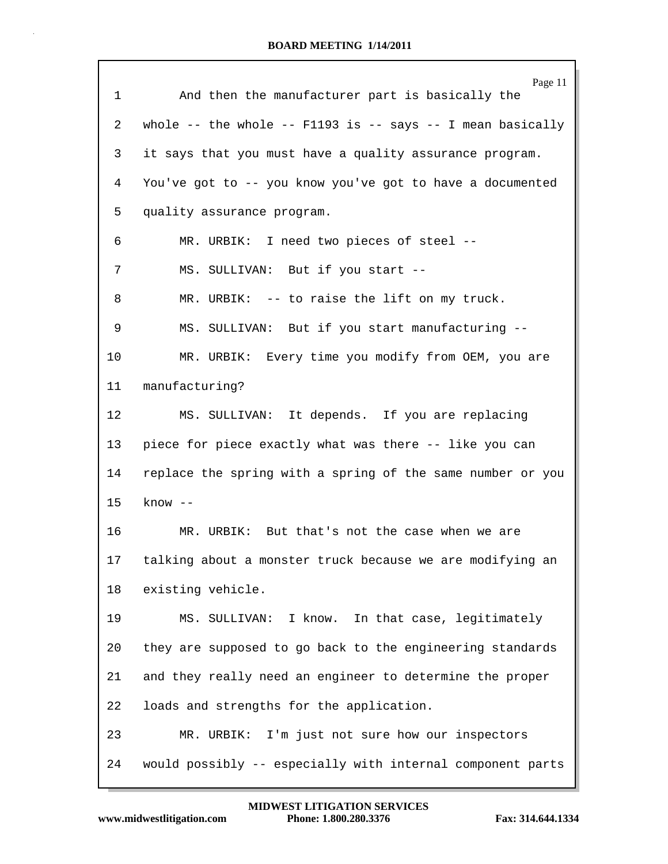|              | Page 11                                                      |
|--------------|--------------------------------------------------------------|
| $\mathbf{1}$ | And then the manufacturer part is basically the              |
| 2            | whole -- the whole -- $F1193$ is -- says -- I mean basically |
| 3            | it says that you must have a quality assurance program.      |
| 4            | You've got to -- you know you've got to have a documented    |
| 5            | quality assurance program.                                   |
| 6            | MR. URBIK: I need two pieces of steel --                     |
| 7            | MS. SULLIVAN: But if you start --                            |
| 8            | MR. URBIK: -- to raise the lift on my truck.                 |
| 9            | MS. SULLIVAN: But if you start manufacturing --              |
| 10           | MR. URBIK: Every time you modify from OEM, you are           |
| 11           | manufacturing?                                               |
| 12           | MS. SULLIVAN: It depends. If you are replacing               |
| 13           | piece for piece exactly what was there -- like you can       |
| 14           | replace the spring with a spring of the same number or you   |
| 15           | $know --$                                                    |
| 16           | MR. URBIK: But that's not the case when we are               |
| 17           | talking about a monster truck because we are modifying an    |
| 18           | existing vehicle.                                            |
| 19           | MS. SULLIVAN: I know. In that case, legitimately             |
| 20           | they are supposed to go back to the engineering standards    |
| 21           | and they really need an engineer to determine the proper     |
| 22           | loads and strengths for the application.                     |
| 23           | MR. URBIK: I'm just not sure how our inspectors              |
| 24           | would possibly -- especially with internal component parts   |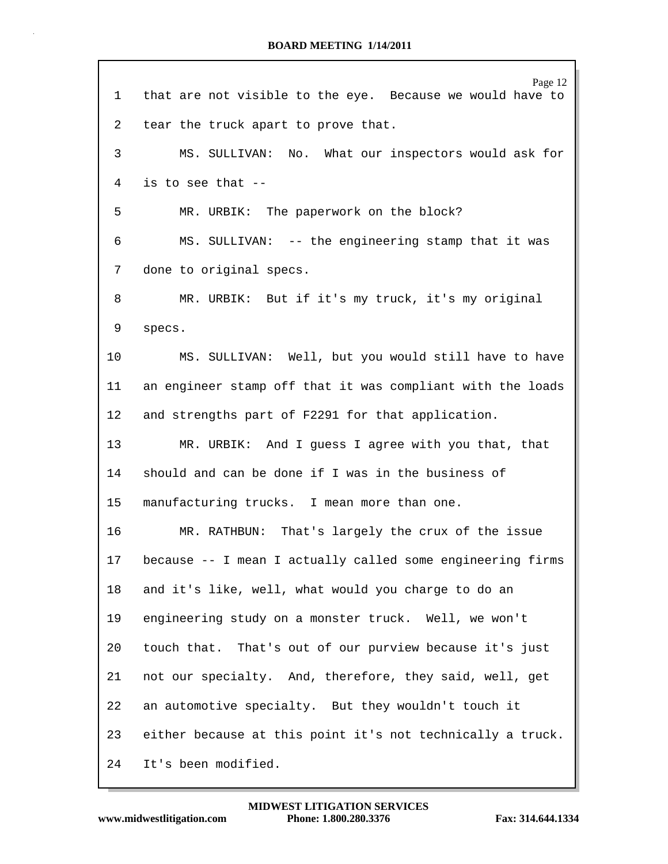| 1               | Page 12<br>that are not visible to the eye. Because we would have to |
|-----------------|----------------------------------------------------------------------|
| 2               | tear the truck apart to prove that.                                  |
| 3               | MS. SULLIVAN: No. What our inspectors would ask for                  |
| 4               | is to see that --                                                    |
| 5               | MR. URBIK: The paperwork on the block?                               |
| 6               | MS. SULLIVAN: -- the engineering stamp that it was                   |
| 7               | done to original specs.                                              |
| 8               | MR. URBIK: But if it's my truck, it's my original                    |
| 9               | specs.                                                               |
| 10              | MS. SULLIVAN: Well, but you would still have to have                 |
| 11              | an engineer stamp off that it was compliant with the loads           |
| 12              | and strengths part of F2291 for that application.                    |
| 13              | MR. URBIK: And I guess I agree with you that, that                   |
| 14              | should and can be done if I was in the business of                   |
| 15              | manufacturing trucks. I mean more than one.                          |
| 16              | MR. RATHBUN: That's largely the crux of the issue                    |
| 17 <sub>2</sub> | because -- I mean I actually called some engineering firms           |
| 18              | and it's like, well, what would you charge to do an                  |
| 19              | engineering study on a monster truck. Well, we won't                 |
| 20              | touch that. That's out of our purview because it's just              |
| 21              | not our specialty. And, therefore, they said, well, get              |
| 22              | an automotive specialty. But they wouldn't touch it                  |
| 23              | either because at this point it's not technically a truck.           |
| 24              | It's been modified.                                                  |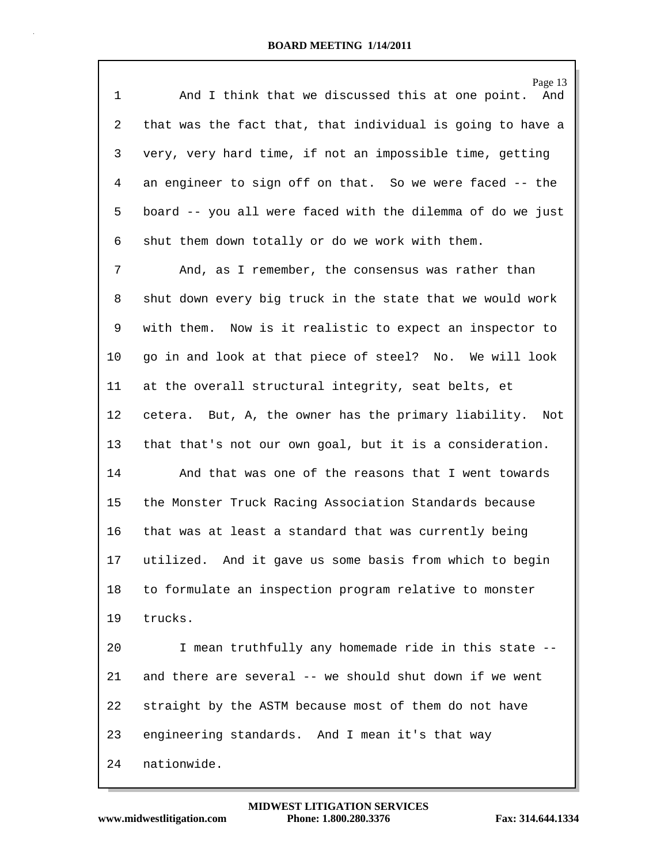| $\mathbf 1$ | Page 13<br>And I think that we discussed this at one point.<br>And |
|-------------|--------------------------------------------------------------------|
| 2           | that was the fact that, that individual is going to have a         |
| 3           | very, very hard time, if not an impossible time, getting           |
| 4           | an engineer to sign off on that. So we were faced -- the           |
| 5           | board -- you all were faced with the dilemma of do we just         |
| 6           | shut them down totally or do we work with them.                    |
| 7           | And, as I remember, the consensus was rather than                  |
| 8           | shut down every big truck in the state that we would work          |
| 9           | with them. Now is it realistic to expect an inspector to           |
| 10          | go in and look at that piece of steel? No. We will look            |
| 11          | at the overall structural integrity, seat belts, et                |
| 12          | cetera. But, A, the owner has the primary liability. Not           |
| 13          | that that's not our own goal, but it is a consideration.           |
| 14          | And that was one of the reasons that I went towards                |
| 15          | the Monster Truck Racing Association Standards because             |
| 16          | that was at least a standard that was currently being              |
| 17          | utilized. And it gave us some basis from which to begin            |
| 18          | to formulate an inspection program relative to monster             |
| 19          | trucks.                                                            |
| 20          | I mean truthfully any homemade ride in this state --               |
| 21          | and there are several -- we should shut down if we went            |
| 22          | straight by the ASTM because most of them do not have              |
| 23          | engineering standards. And I mean it's that way                    |
| 24          | nationwide.                                                        |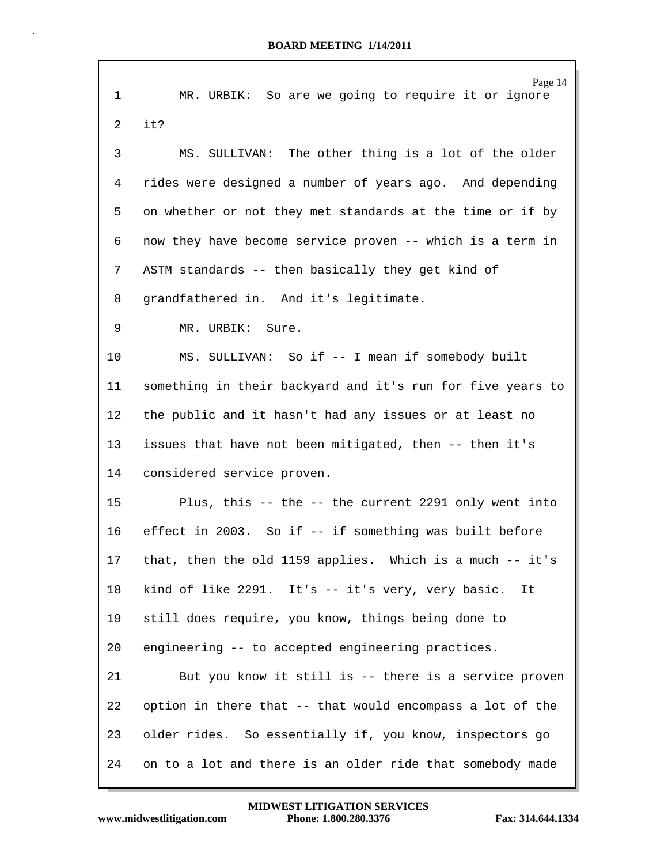|             | Page 14                                                    |
|-------------|------------------------------------------------------------|
| $\mathbf 1$ | MR. URBIK: So are we going to require it or ignore         |
| 2           | it?                                                        |
| 3           | MS. SULLIVAN: The other thing is a lot of the older        |
| 4           | rides were designed a number of years ago. And depending   |
| 5           | on whether or not they met standards at the time or if by  |
| 6           | now they have become service proven -- which is a term in  |
| 7           | ASTM standards -- then basically they get kind of          |
| 8           | grandfathered in. And it's legitimate.                     |
| 9           | MR. URBIK: Sure.                                           |
| 10          | MS. SULLIVAN: So if -- I mean if somebody built            |
| 11          | something in their backyard and it's run for five years to |
| 12          | the public and it hasn't had any issues or at least no     |
| 13          | issues that have not been mitigated, then -- then it's     |
| 14          | considered service proven.                                 |
| 15          | Plus, this -- the -- the current 2291 only went into       |
| 16          | effect in 2003. So if -- if something was built before     |
| 17          | that, then the old 1159 applies. Which is a much -- it's   |
| 18          | kind of like 2291. It's -- it's very, very basic.<br>It    |
| 19          | still does require, you know, things being done to         |
| 20          | engineering -- to accepted engineering practices.          |
| 21          | But you know it still is -- there is a service proven      |
| 22          | option in there that -- that would encompass a lot of the  |
| 23          | older rides. So essentially if, you know, inspectors go    |
| 24          | on to a lot and there is an older ride that somebody made  |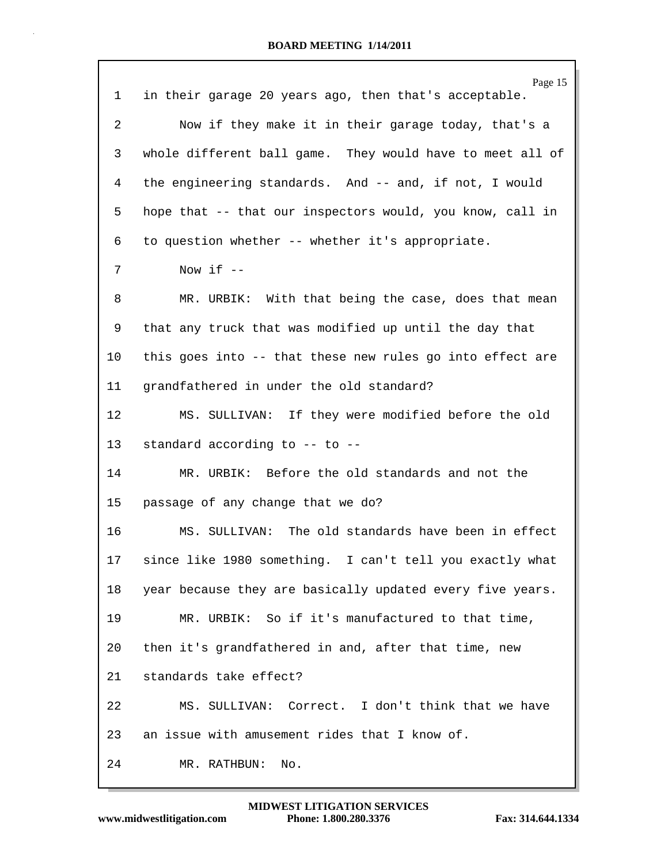|                 | Page 15                                                   |
|-----------------|-----------------------------------------------------------|
| 1               | in their garage 20 years ago, then that's acceptable.     |
| 2               | Now if they make it in their garage today, that's a       |
| 3               | whole different ball game. They would have to meet all of |
| 4               | the engineering standards. And -- and, if not, I would    |
| 5               | hope that -- that our inspectors would, you know, call in |
| 6               | to question whether -- whether it's appropriate.          |
| 7               | Now if $--$                                               |
| 8               | MR. URBIK: With that being the case, does that mean       |
| 9               | that any truck that was modified up until the day that    |
| $10 \,$         | this goes into -- that these new rules go into effect are |
| 11              | grandfathered in under the old standard?                  |
| 12              | MS. SULLIVAN: If they were modified before the old        |
| 13              | standard according to -- to --                            |
| 14              | MR. URBIK: Before the old standards and not the           |
| 15              | passage of any change that we do?                         |
| 16              | MS. SULLIVAN: The old standards have been in effect       |
| 17 <sub>2</sub> | since like 1980 something. I can't tell you exactly what  |
| 18              | year because they are basically updated every five years. |
| 19              | MR. URBIK: So if it's manufactured to that time,          |
| 20              | then it's grandfathered in and, after that time, new      |
| 21              | standards take effect?                                    |
| 22              | MS. SULLIVAN: Correct. I don't think that we have         |
| 23              | an issue with amusement rides that I know of.             |
| 24              | MR. RATHBUN:<br>No.                                       |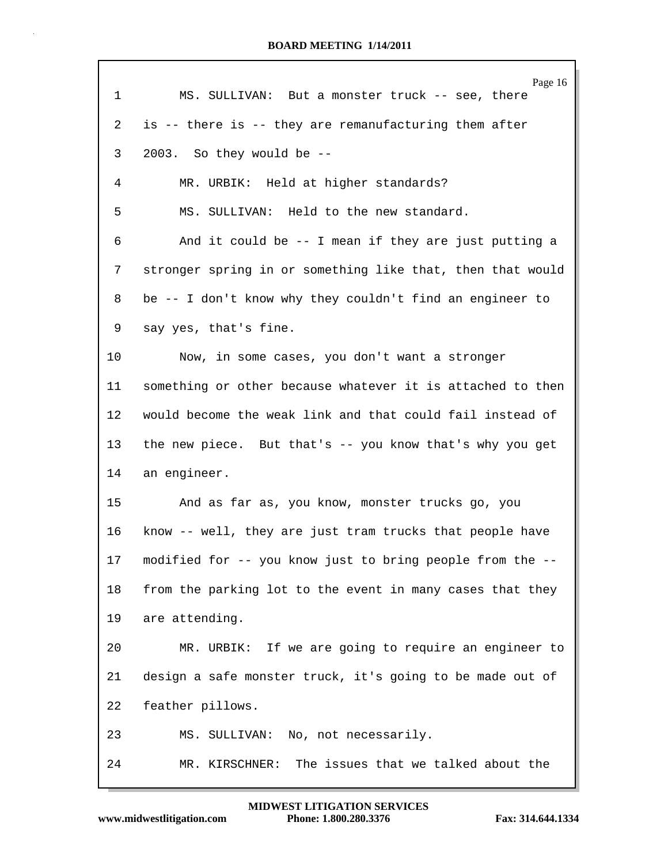|    | Page 16                                                    |
|----|------------------------------------------------------------|
| 1  | MS. SULLIVAN: But a monster truck -- see, there            |
| 2  | is -- there is -- they are remanufacturing them after      |
| 3  | 2003. So they would be --                                  |
| 4  | MR. URBIK: Held at higher standards?                       |
| 5  | MS. SULLIVAN: Held to the new standard.                    |
| 6  | And it could be $-$ - I mean if they are just putting a    |
| 7  | stronger spring in or something like that, then that would |
| 8  | be -- I don't know why they couldn't find an engineer to   |
| 9  | say yes, that's fine.                                      |
| 10 | Now, in some cases, you don't want a stronger              |
| 11 | something or other because whatever it is attached to then |
| 12 | would become the weak link and that could fail instead of  |
| 13 | the new piece. But that's -- you know that's why you get   |
| 14 | an engineer.                                               |
| 15 | And as far as, you know, monster trucks go, you            |
| 16 | know -- well, they are just tram trucks that people have   |
| 17 | modified for -- you know just to bring people from the     |
| 18 | from the parking lot to the event in many cases that they  |
| 19 | are attending.                                             |
| 20 | MR. URBIK: If we are going to require an engineer to       |
| 21 | design a safe monster truck, it's going to be made out of  |
| 22 | feather pillows.                                           |
| 23 | MS. SULLIVAN: No, not necessarily.                         |
| 24 | The issues that we talked about the<br>MR. KIRSCHNER:      |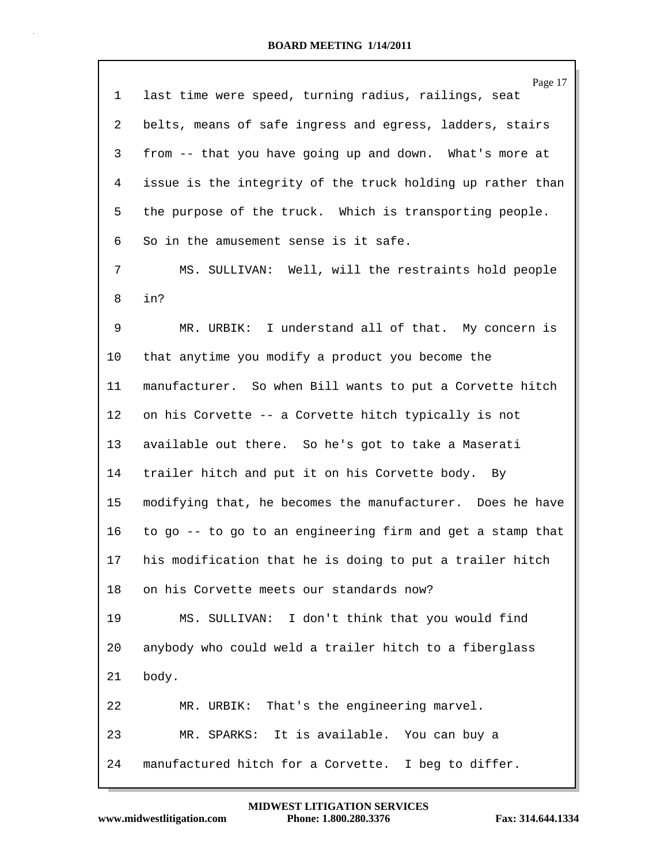| 1  | Page 17<br>last time were speed, turning radius, railings, seat |
|----|-----------------------------------------------------------------|
| 2  | belts, means of safe ingress and egress, ladders, stairs        |
| 3  | from -- that you have going up and down. What's more at         |
| 4  | issue is the integrity of the truck holding up rather than      |
| 5  | the purpose of the truck. Which is transporting people.         |
| 6  | So in the amusement sense is it safe.                           |
| 7  | MS. SULLIVAN: Well, will the restraints hold people             |
| 8  | in?                                                             |
| 9  | MR. URBIK: I understand all of that. My concern is              |
| 10 | that anytime you modify a product you become the                |
| 11 | manufacturer. So when Bill wants to put a Corvette hitch        |
| 12 | on his Corvette -- a Corvette hitch typically is not            |
| 13 | available out there. So he's got to take a Maserati             |
| 14 | trailer hitch and put it on his Corvette body. By               |
| 15 | modifying that, he becomes the manufacturer. Does he have       |
| 16 | to go -- to go to an engineering firm and get a stamp that      |
| 17 | his modification that he is doing to put a trailer hitch        |
| 18 | on his Corvette meets our standards now?                        |
| 19 | MS. SULLIVAN: I don't think that you would find                 |
| 20 | anybody who could weld a trailer hitch to a fiberglass          |
| 21 | body.                                                           |
| 22 | MR. URBIK: That's the engineering marvel.                       |
| 23 | MR. SPARKS: It is available. You can buy a                      |
| 24 | manufactured hitch for a Corvette. I beg to differ.             |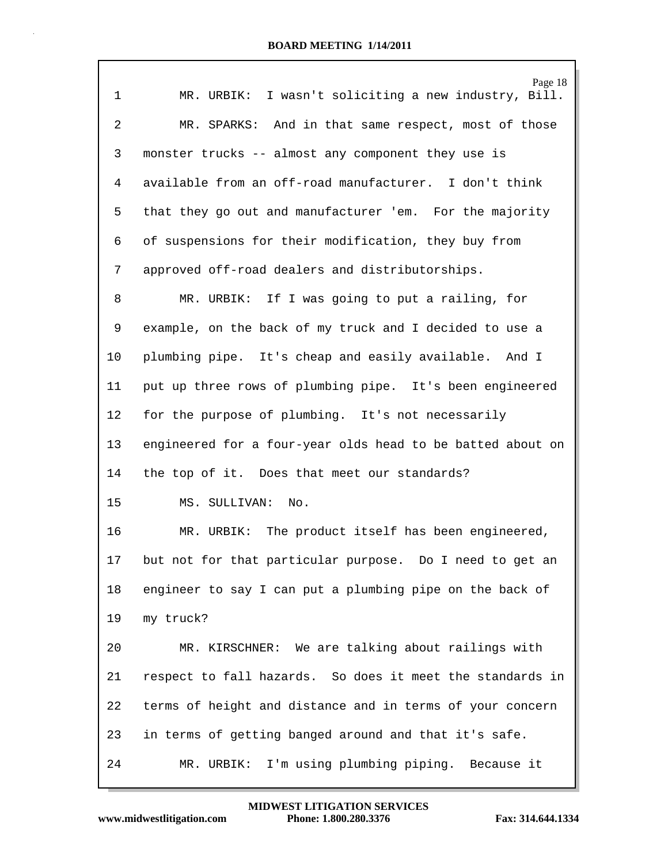|                | Page 18                                                    |
|----------------|------------------------------------------------------------|
| $\mathbf{1}$   | MR. URBIK: I wasn't soliciting a new industry, Bill.       |
| $\overline{2}$ | MR. SPARKS: And in that same respect, most of those        |
| 3              | monster trucks -- almost any component they use is         |
| 4              | available from an off-road manufacturer. I don't think     |
| 5              | that they go out and manufacturer 'em. For the majority    |
| 6              | of suspensions for their modification, they buy from       |
| 7              | approved off-road dealers and distributorships.            |
| 8              | MR. URBIK: If I was going to put a railing, for            |
| 9              | example, on the back of my truck and I decided to use a    |
| 10             | plumbing pipe. It's cheap and easily available. And I      |
| 11             | put up three rows of plumbing pipe. It's been engineered   |
| 12             | for the purpose of plumbing. It's not necessarily          |
| 13             | engineered for a four-year olds head to be batted about on |
| 14             | the top of it. Does that meet our standards?               |
| 15             | MS. SULLIVAN: No.                                          |
| 16             | MR. URBIK: The product itself has been engineered,         |
| 17             | but not for that particular purpose. Do I need to get an   |
| 18             | engineer to say I can put a plumbing pipe on the back of   |
| 19             | my truck?                                                  |
| 20             | MR. KIRSCHNER: We are talking about railings with          |
| 21             | respect to fall hazards. So does it meet the standards in  |
| 22             | terms of height and distance and in terms of your concern  |
| 23             | in terms of getting banged around and that it's safe.      |
| 24             | I'm using plumbing piping. Because it<br>MR. URBIK:        |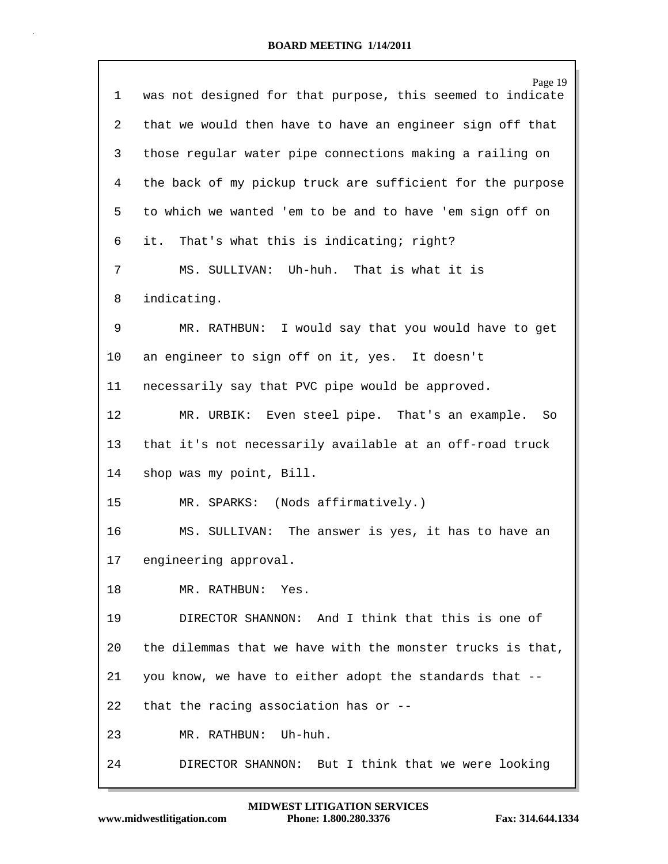| 1  | Page 19<br>was not designed for that purpose, this seemed to indicate |
|----|-----------------------------------------------------------------------|
| 2  | that we would then have to have an engineer sign off that             |
| 3  | those regular water pipe connections making a railing on              |
| 4  | the back of my pickup truck are sufficient for the purpose            |
| 5  | to which we wanted 'em to be and to have 'em sign off on              |
| 6  | it. That's what this is indicating; right?                            |
| 7  | MS. SULLIVAN: Uh-huh. That is what it is                              |
| 8  | indicating.                                                           |
| 9  | MR. RATHBUN: I would say that you would have to get                   |
| 10 | an engineer to sign off on it, yes. It doesn't                        |
| 11 | necessarily say that PVC pipe would be approved.                      |
| 12 | MR. URBIK: Even steel pipe. That's an example.<br>So                  |
| 13 | that it's not necessarily available at an off-road truck              |
| 14 | shop was my point, Bill.                                              |
| 15 | MR. SPARKS: (Nods affirmatively.)                                     |
| 16 | MS. SULLIVAN: The answer is yes, it has to have an                    |
| 17 | engineering approval.                                                 |
| 18 | MR. RATHBUN: Yes.                                                     |
| 19 | DIRECTOR SHANNON: And I think that this is one of                     |
| 20 | the dilemmas that we have with the monster trucks is that,            |
| 21 | you know, we have to either adopt the standards that --               |
| 22 | that the racing association has or $-$ -                              |
| 23 | MR. RATHBUN: Uh-huh.                                                  |
| 24 | DIRECTOR SHANNON: But I think that we were looking                    |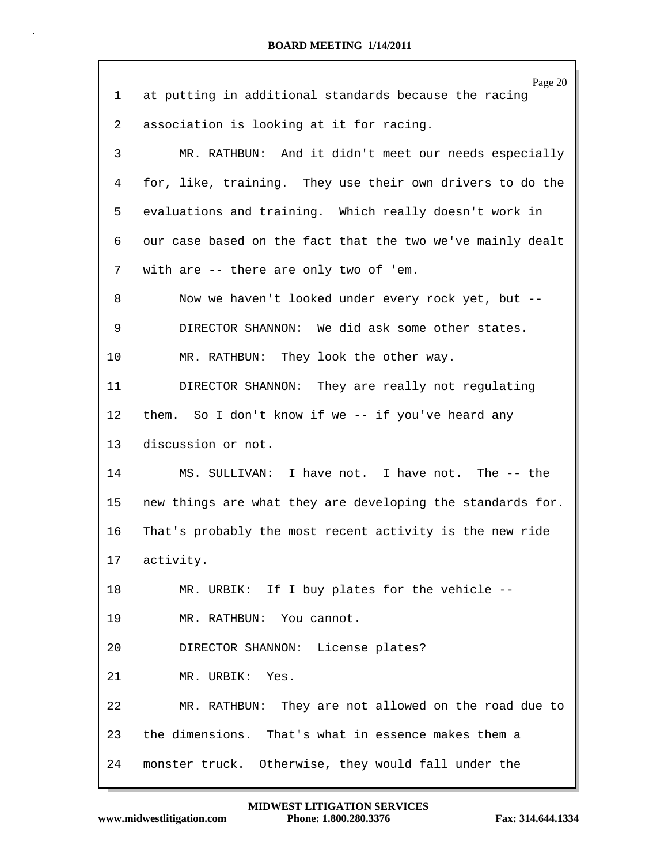| ı  | Page 20<br>at putting in additional standards because the racing |
|----|------------------------------------------------------------------|
| 2  | association is looking at it for racing.                         |
| 3  | MR. RATHBUN: And it didn't meet our needs especially             |
| 4  | for, like, training. They use their own drivers to do the        |
|    |                                                                  |
| 5  | evaluations and training. Which really doesn't work in           |
| 6  | our case based on the fact that the two we've mainly dealt       |
| 7  | with are -- there are only two of 'em.                           |
| 8  | Now we haven't looked under every rock yet, but --               |
| 9  | DIRECTOR SHANNON: We did ask some other states.                  |
| 10 | MR. RATHBUN: They look the other way.                            |
| 11 | DIRECTOR SHANNON: They are really not regulating                 |
| 12 | them. So I don't know if we -- if you've heard any               |
| 13 | discussion or not.                                               |
| 14 | MS. SULLIVAN: I have not. I have not. The -- the                 |
| 15 | new things are what they are developing the standards for.       |
| 16 | That's probably the most recent activity is the new ride         |
| 17 | activity.                                                        |
| 18 | MR. URBIK: If I buy plates for the vehicle --                    |
| 19 | MR. RATHBUN: You cannot.                                         |
| 20 | DIRECTOR SHANNON: License plates?                                |
| 21 | MR. URBIK: Yes.                                                  |
| 22 | MR. RATHBUN: They are not allowed on the road due to             |
| 23 | the dimensions. That's what in essence makes them a              |
| 24 | monster truck. Otherwise, they would fall under the              |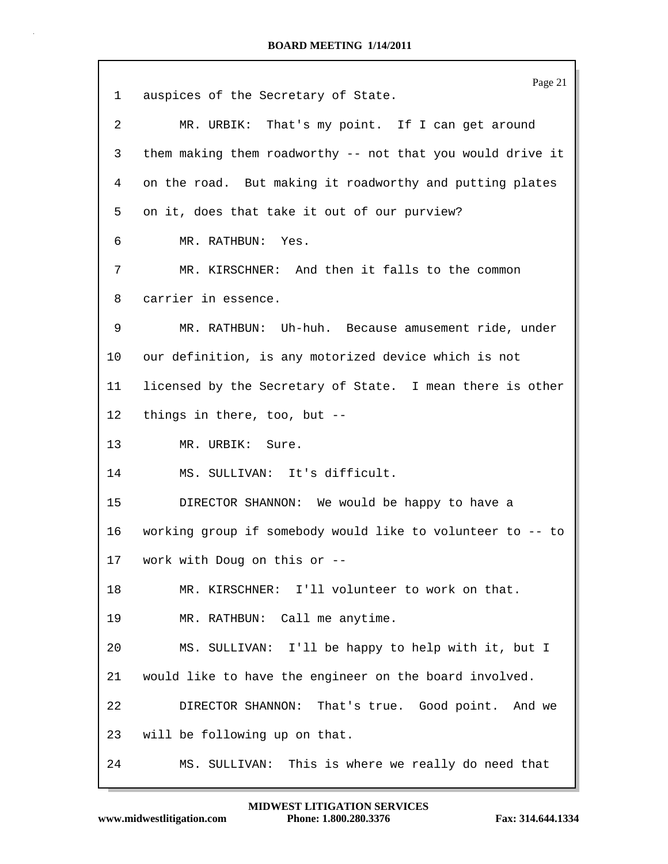| 1  | Page 21<br>auspices of the Secretary of State.             |
|----|------------------------------------------------------------|
| 2  | MR. URBIK: That's my point. If I can get around            |
|    |                                                            |
| 3  | them making them roadworthy -- not that you would drive it |
| 4  | on the road. But making it roadworthy and putting plates   |
| 5  | on it, does that take it out of our purview?               |
| 6  | MR. RATHBUN: Yes.                                          |
| 7  | MR. KIRSCHNER: And then it falls to the common             |
| 8  | carrier in essence.                                        |
| 9  | MR. RATHBUN: Uh-huh. Because amusement ride, under         |
| 10 | our definition, is any motorized device which is not       |
| 11 | licensed by the Secretary of State. I mean there is other  |
| 12 | things in there, too, but --                               |
| 13 | MR. URBIK: Sure.                                           |
| 14 | MS. SULLIVAN: It's difficult.                              |
| 15 | DIRECTOR SHANNON: We would be happy to have a              |
| 16 | working group if somebody would like to volunteer to -- to |
| 17 | work with Doug on this or --                               |
| 18 | MR. KIRSCHNER: I'll volunteer to work on that.             |
| 19 | MR. RATHBUN: Call me anytime.                              |
| 20 | MS. SULLIVAN: I'll be happy to help with it, but I         |
| 21 | would like to have the engineer on the board involved.     |
| 22 | DIRECTOR SHANNON: That's true. Good point. And we          |
| 23 | will be following up on that.                              |
| 24 | MS. SULLIVAN:<br>This is where we really do need that      |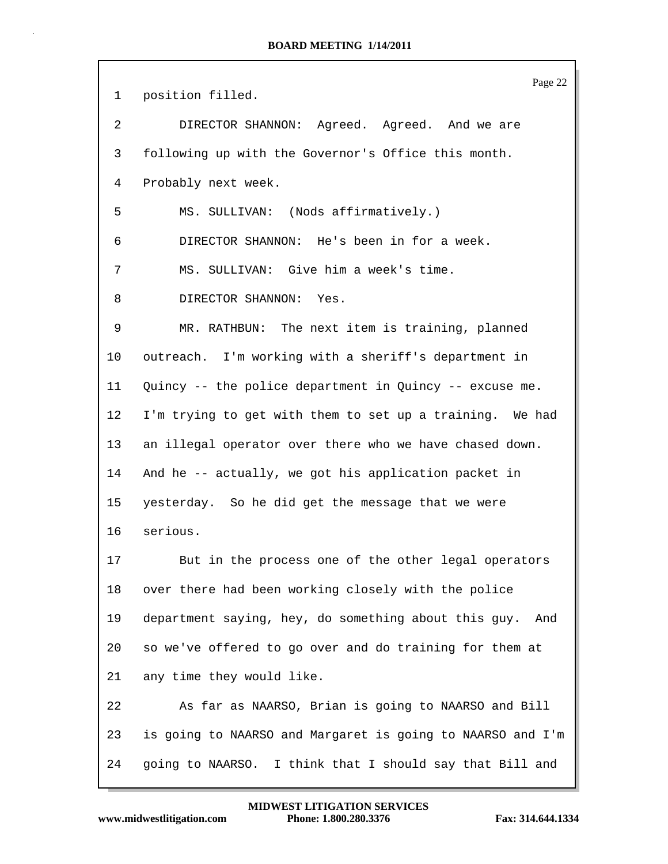Page 22 1 position filled. 2 DIRECTOR SHANNON: Agreed. Agreed. And we are 3 following up with the Governor's Office this month. 4 Probably next week. 5 MS. SULLIVAN: (Nods affirmatively.) 6 DIRECTOR SHANNON: He's been in for a week. 7 MS. SULLIVAN: Give him a week's time. 8 DIRECTOR SHANNON: Yes. 9 MR. RATHBUN: The next item is training, planned 10 outreach. I'm working with a sheriff's department in 11 Quincy -- the police department in Quincy -- excuse me. 12 I'm trying to get with them to set up a training. We had 13 an illegal operator over there who we have chased down. 14 And he -- actually, we got his application packet in 15 yesterday. So he did get the message that we were 16 serious. 17 But in the process one of the other legal operators 18 over there had been working closely with the police 19 department saying, hey, do something about this guy. And 20 so we've offered to go over and do training for them at 21 any time they would like. 22 As far as NAARSO, Brian is going to NAARSO and Bill 23 is going to NAARSO and Margaret is going to NAARSO and I'm 24 going to NAARSO. I think that I should say that Bill and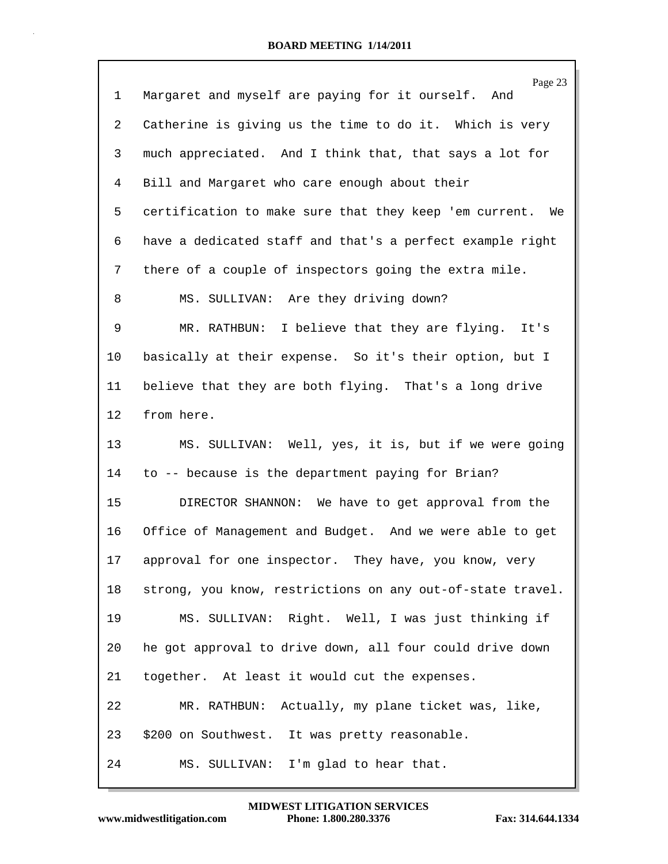| $\mathbf{1}$ | Page 23<br>Margaret and myself are paying for it ourself. And |
|--------------|---------------------------------------------------------------|
| 2            | Catherine is giving us the time to do it. Which is very       |
| 3            | much appreciated. And I think that, that says a lot for       |
| 4            | Bill and Margaret who care enough about their                 |
| 5            | certification to make sure that they keep 'em current. We     |
| 6            | have a dedicated staff and that's a perfect example right     |
| 7            | there of a couple of inspectors going the extra mile.         |
| 8            | MS. SULLIVAN: Are they driving down?                          |
| 9            | MR. RATHBUN: I believe that they are flying. It's             |
| 10           | basically at their expense. So it's their option, but I       |
| 11           | believe that they are both flying. That's a long drive        |
| 12           | from here.                                                    |
| 13           | MS. SULLIVAN: Well, yes, it is, but if we were going          |
| 14           | to -- because is the department paying for Brian?             |
| 15           | DIRECTOR SHANNON: We have to get approval from the            |
| 16           | Office of Management and Budget. And we were able to get      |
| 17           | approval for one inspector. They have, you know, very         |
| 18           | strong, you know, restrictions on any out-of-state travel.    |
| 19           | MS. SULLIVAN: Right. Well, I was just thinking if             |
| 20           | he got approval to drive down, all four could drive down      |
| 21           | together. At least it would cut the expenses.                 |
| 22           | MR. RATHBUN: Actually, my plane ticket was, like,             |
| 23           | \$200 on Southwest. It was pretty reasonable.                 |
| 24           | MS. SULLIVAN: I'm glad to hear that.                          |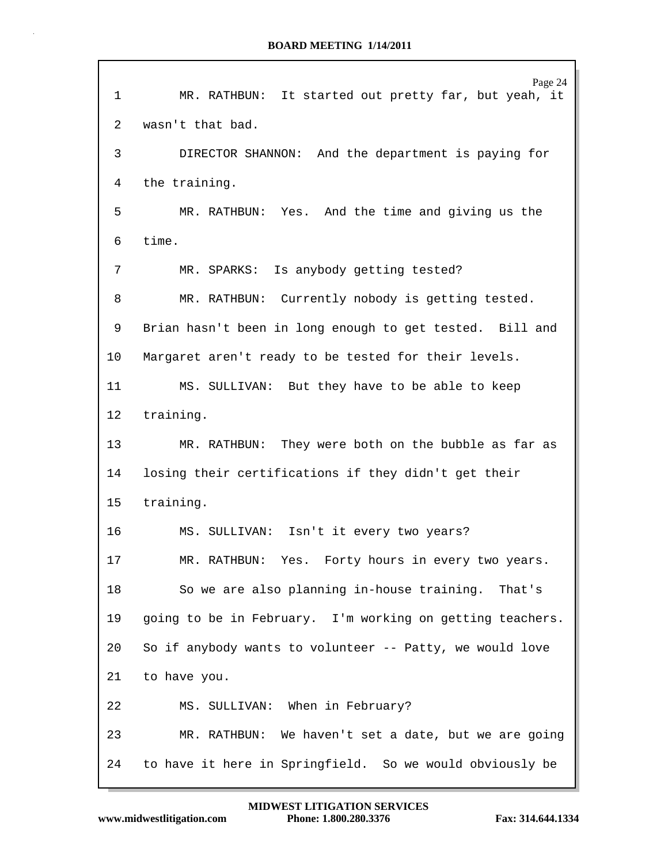|    | Page 24                                                   |
|----|-----------------------------------------------------------|
| 1  | MR. RATHBUN: It started out pretty far, but yeah, it      |
| 2  | wasn't that bad.                                          |
| 3  | DIRECTOR SHANNON: And the department is paying for        |
| 4  | the training.                                             |
| 5  | MR. RATHBUN: Yes. And the time and giving us the          |
| 6  | time.                                                     |
| 7  | MR. SPARKS: Is anybody getting tested?                    |
| 8  | MR. RATHBUN: Currently nobody is getting tested.          |
| 9  | Brian hasn't been in long enough to get tested. Bill and  |
| 10 | Margaret aren't ready to be tested for their levels.      |
| 11 | MS. SULLIVAN: But they have to be able to keep            |
| 12 | training.                                                 |
| 13 | MR. RATHBUN: They were both on the bubble as far as       |
| 14 | losing their certifications if they didn't get their      |
| 15 | training.                                                 |
| 16 | MS. SULLIVAN: Isn't it every two years?                   |
| 17 | MR. RATHBUN: Yes. Forty hours in every two years.         |
| 18 | So we are also planning in-house training. That's         |
| 19 | going to be in February. I'm working on getting teachers. |
| 20 | So if anybody wants to volunteer -- Patty, we would love  |
| 21 | to have you.                                              |
| 22 | MS. SULLIVAN: When in February?                           |
| 23 | MR. RATHBUN: We haven't set a date, but we are going      |
| 24 | to have it here in Springfield. So we would obviously be  |

 $\Gamma$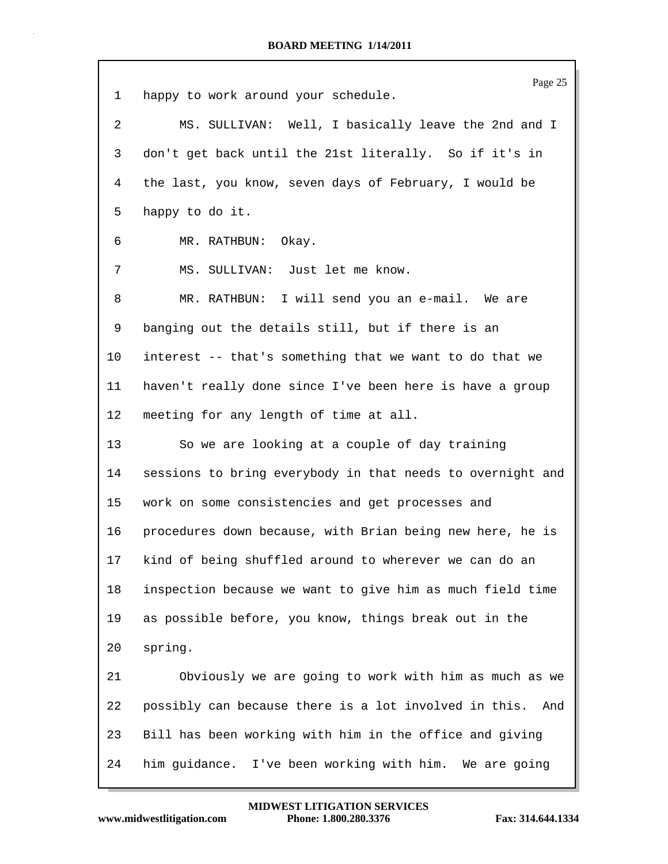Page 25 1 happy to work around your schedule. 2 MS. SULLIVAN: Well, I basically leave the 2nd and I 3 don't get back until the 21st literally. So if it's in 4 the last, you know, seven days of February, I would be 5 happy to do it. 6 MR. RATHBUN: Okay. 7 MS. SULLIVAN: Just let me know. 8 MR. RATHBUN: I will send you an e-mail. We are 9 banging out the details still, but if there is an 10 interest -- that's something that we want to do that we 11 haven't really done since I've been here is have a group 12 meeting for any length of time at all. 13 So we are looking at a couple of day training 14 sessions to bring everybody in that needs to overnight and 15 work on some consistencies and get processes and 16 procedures down because, with Brian being new here, he is 17 kind of being shuffled around to wherever we can do an 18 inspection because we want to give him as much field time 19 as possible before, you know, things break out in the 20 spring. 21 Obviously we are going to work with him as much as we 22 possibly can because there is a lot involved in this. And 23 Bill has been working with him in the office and giving 24 him guidance. I've been working with him. We are going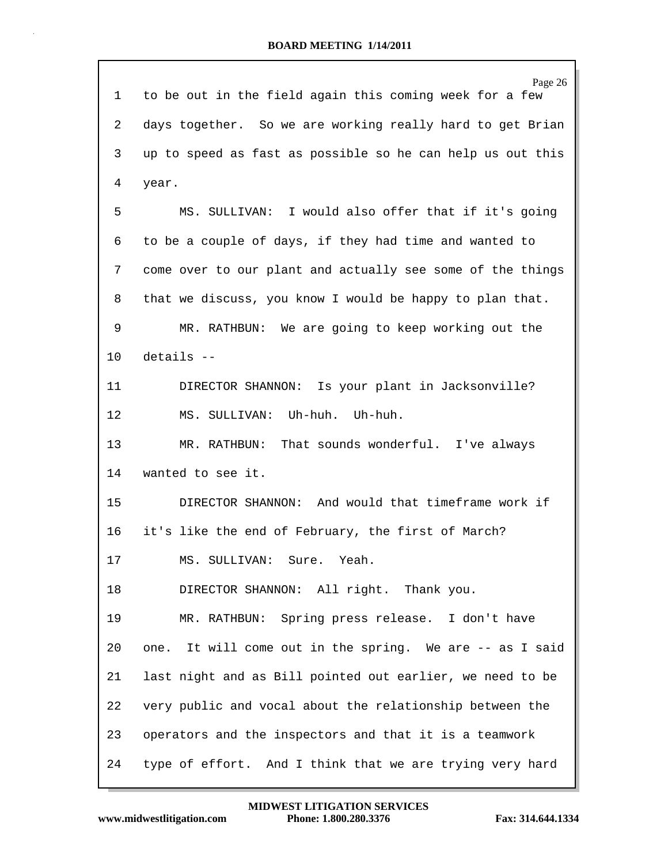Page 26 1 to be out in the field again this coming week for a few 2 days together. So we are working really hard to get Brian 3 up to speed as fast as possible so he can help us out this 4 year. 5 MS. SULLIVAN: I would also offer that if it's going 6 to be a couple of days, if they had time and wanted to 7 come over to our plant and actually see some of the things 8 that we discuss, you know I would be happy to plan that. 9 MR. RATHBUN: We are going to keep working out the 10 details -- 11 DIRECTOR SHANNON: Is your plant in Jacksonville? 12 MS. SULLIVAN: Uh-huh. Uh-huh. 13 MR. RATHBUN: That sounds wonderful. I've always 14 wanted to see it. 15 DIRECTOR SHANNON: And would that timeframe work if 16 it's like the end of February, the first of March? 17 MS. SULLIVAN: Sure. Yeah. 18 DIRECTOR SHANNON: All right. Thank you. 19 MR. RATHBUN: Spring press release. I don't have 20 one. It will come out in the spring. We are -- as I said 21 last night and as Bill pointed out earlier, we need to be 22 very public and vocal about the relationship between the 23 operators and the inspectors and that it is a teamwork 24 type of effort. And I think that we are trying very hard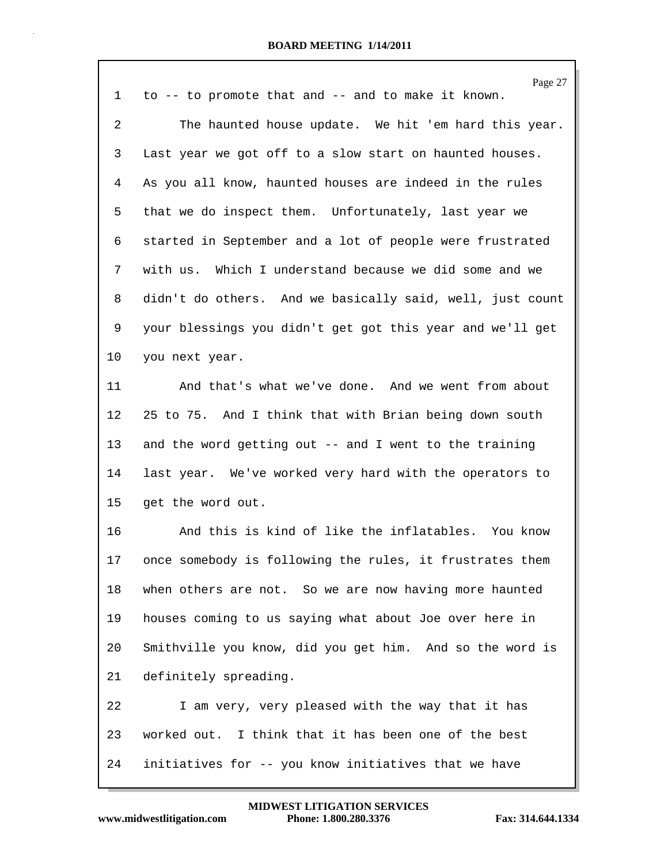| 1              | Page 27<br>to -- to promote that and -- and to make it known. |
|----------------|---------------------------------------------------------------|
| $\overline{2}$ | The haunted house update. We hit 'em hard this year.          |
| 3              | Last year we got off to a slow start on haunted houses.       |
| 4              | As you all know, haunted houses are indeed in the rules       |
| 5              | that we do inspect them. Unfortunately, last year we          |
| 6              | started in September and a lot of people were frustrated      |
| 7              | with us. Which I understand because we did some and we        |
| 8              | didn't do others. And we basically said, well, just count     |
| 9              | your blessings you didn't get got this year and we'll get     |
| 10             | you next year.                                                |
| 11             | And that's what we've done. And we went from about            |
| 12             | 25 to 75. And I think that with Brian being down south        |
| 13             | and the word getting out -- and I went to the training        |
| 14             | last year. We've worked very hard with the operators to       |
| 15             | get the word out.                                             |
| 16             | And this is kind of like the inflatables. You know            |
| 17             | once somebody is following the rules, it frustrates them      |
| 18             | when others are not. So we are now having more haunted        |
| 19             | houses coming to us saying what about Joe over here in        |
| 20             | Smithville you know, did you get him. And so the word is      |
| 21             | definitely spreading.                                         |
| 22             | I am very, very pleased with the way that it has              |
| 23             | worked out. I think that it has been one of the best          |
| 24             | initiatives for -- you know initiatives that we have          |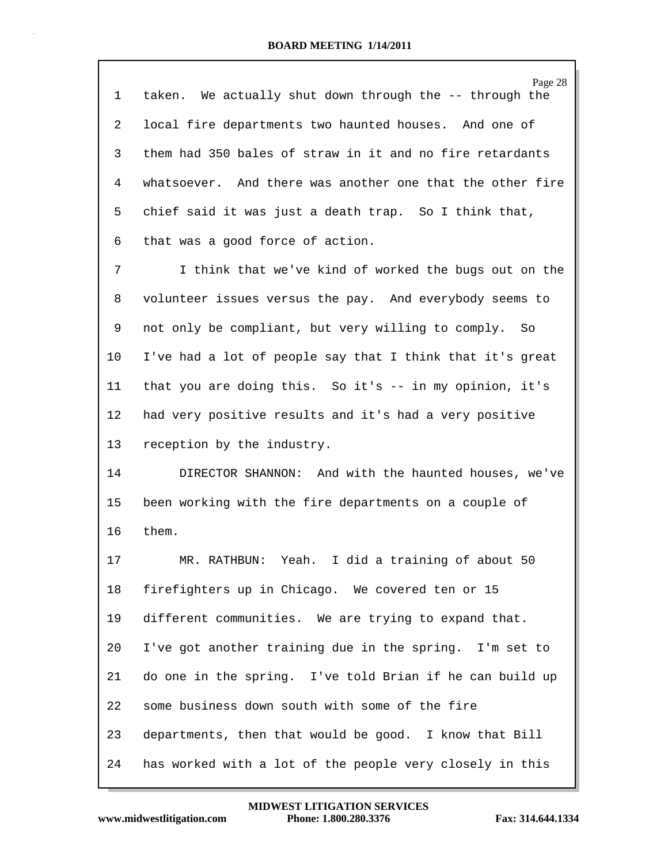| $\mathbf 1$ | Page 28<br>taken. We actually shut down through the -- through the |
|-------------|--------------------------------------------------------------------|
| 2           | local fire departments two haunted houses. And one of              |
| 3           | them had 350 bales of straw in it and no fire retardants           |
| 4           | whatsoever. And there was another one that the other fire          |
| 5           | chief said it was just a death trap. So I think that,              |
| 6           | that was a good force of action.                                   |
| 7           | I think that we've kind of worked the bugs out on the              |
| 8           | volunteer issues versus the pay. And everybody seems to            |
| 9           | not only be compliant, but very willing to comply. So              |
| 10          | I've had a lot of people say that I think that it's great          |
| 11          | that you are doing this. So it's -- in my opinion, it's            |
| 12          | had very positive results and it's had a very positive             |
| 13          | reception by the industry.                                         |
| 14          | DIRECTOR SHANNON: And with the haunted houses, we've               |
| 15          | been working with the fire departments on a couple of              |
| 16          | them.                                                              |
| 17          | MR. RATHBUN: Yeah. I did a training of about 50                    |
| 18          | firefighters up in Chicago. We covered ten or 15                   |
| 19          | different communities. We are trying to expand that.               |
| 20          | I've got another training due in the spring. I'm set to            |
| 21          | do one in the spring. I've told Brian if he can build up           |
| 22          | some business down south with some of the fire                     |
| 23          | departments, then that would be good. I know that Bill             |
| 24          | has worked with a lot of the people very closely in this           |

www.midwestlitigation.com Phone: 1.800.280.3376 Fax: 314.644.1334 **MIDWEST LITIGATION SERVICES**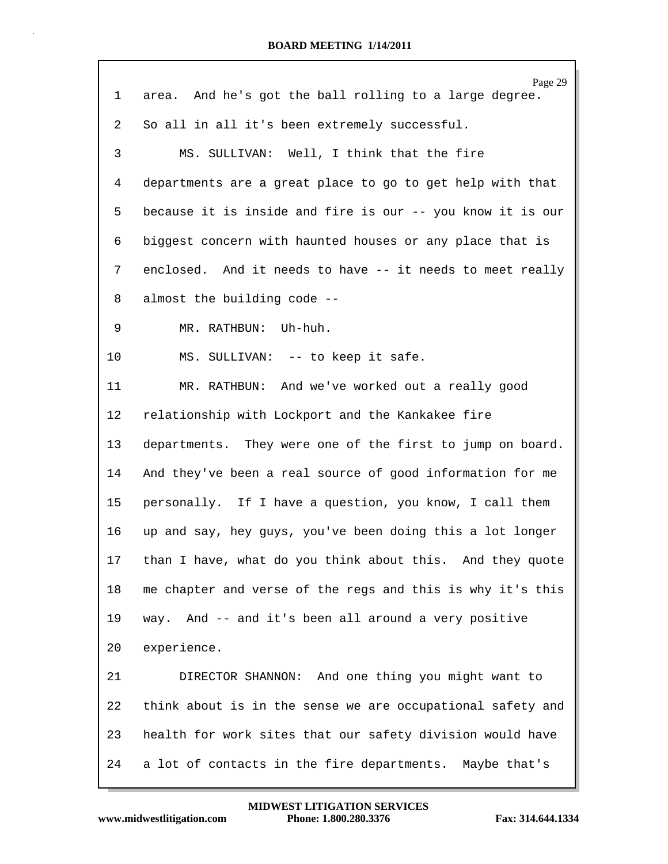| $\mathbf 1$ | Page 29<br>area. And he's got the ball rolling to a large degree. |
|-------------|-------------------------------------------------------------------|
| 2           | So all in all it's been extremely successful.                     |
| 3           | MS. SULLIVAN: Well, I think that the fire                         |
| 4           | departments are a great place to go to get help with that         |
| 5           | because it is inside and fire is our -- you know it is our        |
| 6           | biggest concern with haunted houses or any place that is          |
| 7           | enclosed. And it needs to have -- it needs to meet really         |
| 8           | almost the building code --                                       |
| 9           | MR. RATHBUN: Uh-huh.                                              |
| 10          | MS. SULLIVAN: -- to keep it safe.                                 |
| 11          | MR. RATHBUN: And we've worked out a really good                   |
| 12          | relationship with Lockport and the Kankakee fire                  |
| 13          | departments. They were one of the first to jump on board.         |
| 14          | And they've been a real source of good information for me         |
| 15          | personally. If I have a question, you know, I call them           |
| 16          | up and say, hey guys, you've been doing this a lot longer         |
| 17          | than I have, what do you think about this. And they quote         |
| 18          | me chapter and verse of the regs and this is why it's this        |
| 19          | way. And -- and it's been all around a very positive              |
| 20          | experience.                                                       |
| 21          | DIRECTOR SHANNON: And one thing you might want to                 |
| 22          | think about is in the sense we are occupational safety and        |
| 23          | health for work sites that our safety division would have         |
| 24          | a lot of contacts in the fire departments. Maybe that's           |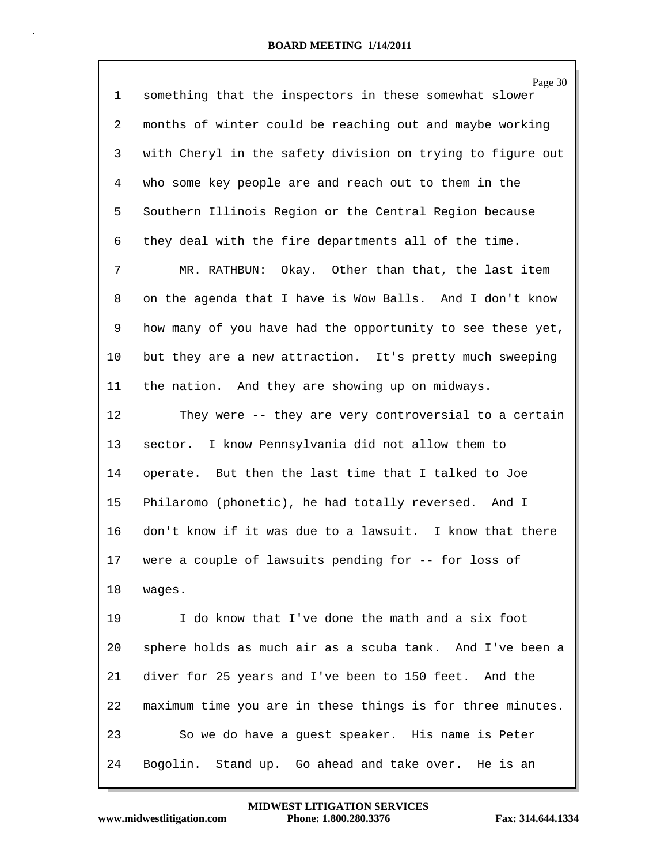| 1              | Page 30<br>something that the inspectors in these somewhat slower |
|----------------|-------------------------------------------------------------------|
| $\overline{a}$ | months of winter could be reaching out and maybe working          |
| 3              | with Cheryl in the safety division on trying to figure out        |
| 4              | who some key people are and reach out to them in the              |
| 5              | Southern Illinois Region or the Central Region because            |
| 6              | they deal with the fire departments all of the time.              |
| 7              | MR. RATHBUN: Okay. Other than that, the last item                 |
| 8              | on the agenda that I have is Wow Balls. And I don't know          |
| 9              | how many of you have had the opportunity to see these yet,        |
| 10             | but they are a new attraction. It's pretty much sweeping          |
| 11             | the nation. And they are showing up on midways.                   |
| 12             | They were -- they are very controversial to a certain             |
| 13             | sector. I know Pennsylvania did not allow them to                 |
| 14             | operate. But then the last time that I talked to Joe              |
| 15             | Philaromo (phonetic), he had totally reversed. And I              |
| 16             | don't know if it was due to a lawsuit. I know that there          |
| 17             | were a couple of lawsuits pending for -- for loss of              |
| 18             | wages.                                                            |
| 19             | I do know that I've done the math and a six foot                  |
| 20             | sphere holds as much air as a scuba tank. And I've been a         |
| 21             | diver for 25 years and I've been to 150 feet. And the             |
| 22             | maximum time you are in these things is for three minutes.        |
| 23             | So we do have a guest speaker. His name is Peter                  |
| 24             | Bogolin. Stand up. Go ahead and take over. He is an               |

**www.midwestlitigation.com Phone: 1.800.280.3376 Fax: 314.644.1334 MIDWEST LITIGATION SERVICES**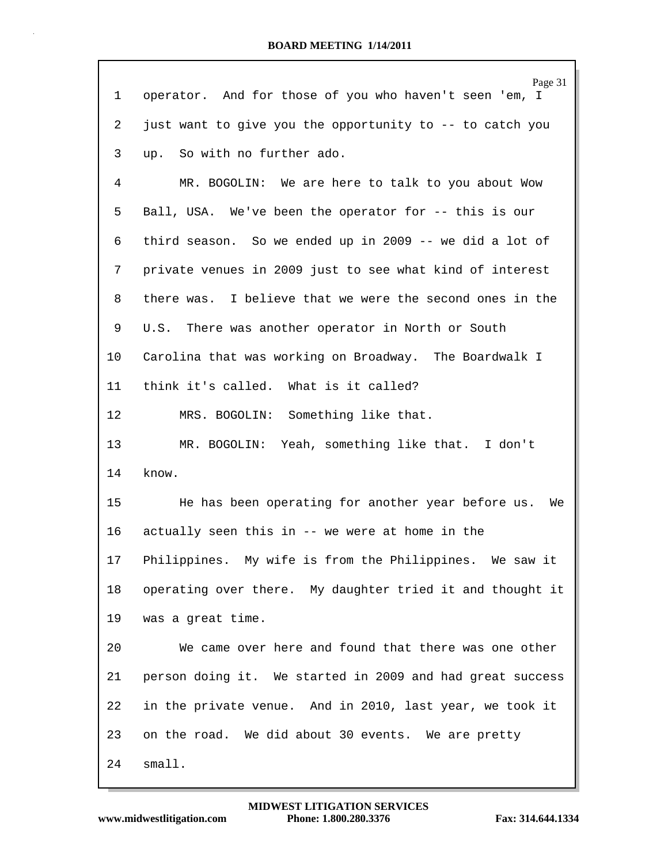| 1               | Page 31<br>operator. And for those of you who haven't seen 'em, I |
|-----------------|-------------------------------------------------------------------|
|                 |                                                                   |
| 2               | just want to give you the opportunity to -- to catch you          |
| 3               | up. So with no further ado.                                       |
| 4               | MR. BOGOLIN: We are here to talk to you about Wow                 |
| 5               | Ball, USA. We've been the operator for -- this is our             |
| 6               | third season. So we ended up in 2009 -- we did a lot of           |
| 7               | private venues in 2009 just to see what kind of interest          |
| 8               | there was. I believe that we were the second ones in the          |
| 9               | U.S. There was another operator in North or South                 |
| $10 \,$         | Carolina that was working on Broadway. The Boardwalk I            |
| 11              | think it's called. What is it called?                             |
| 12              | MRS. BOGOLIN: Something like that.                                |
| 13              | MR. BOGOLIN: Yeah, something like that. I don't                   |
| 14              | know.                                                             |
| 15 <sub>1</sub> | He has been operating for another year before us.<br>We           |
| 16              | actually seen this in -- we were at home in the                   |
| 17              | Philippines. My wife is from the Philippines. We saw it           |
| 18              | operating over there. My daughter tried it and thought it         |
| 19              | was a great time.                                                 |
| 20              | We came over here and found that there was one other              |
| 21              | person doing it. We started in 2009 and had great success         |
| 22              | in the private venue. And in 2010, last year, we took it          |
| 23              | on the road. We did about 30 events. We are pretty                |
| 24              | small.                                                            |

Г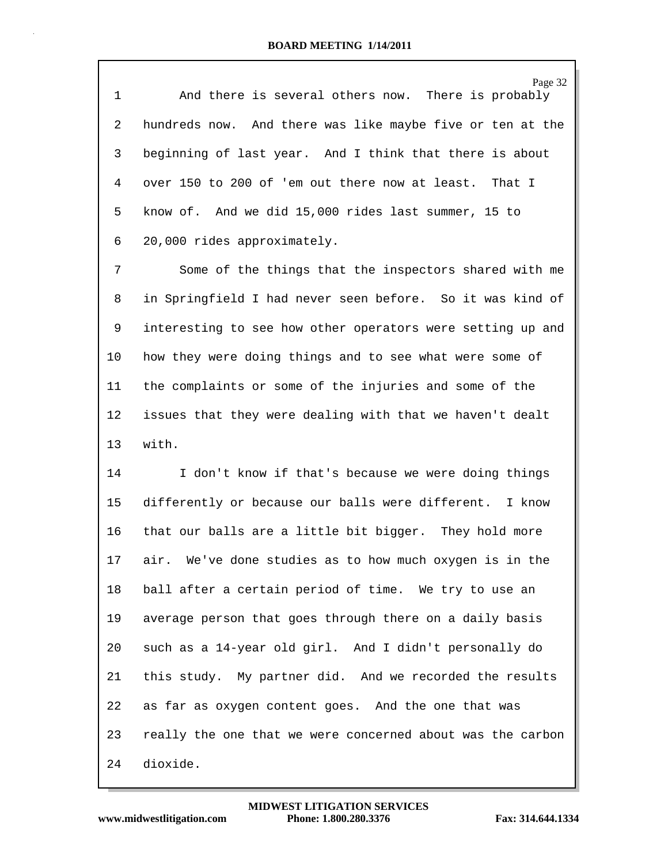Page 32 1 And there is several others now. There is probably 2 hundreds now. And there was like maybe five or ten at the 3 beginning of last year. And I think that there is about 4 over 150 to 200 of 'em out there now at least. That I 5 know of. And we did 15,000 rides last summer, 15 to 6 20,000 rides approximately.

7 Some of the things that the inspectors shared with me 8 in Springfield I had never seen before. So it was kind of 9 interesting to see how other operators were setting up and 10 how they were doing things and to see what were some of 11 the complaints or some of the injuries and some of the 12 issues that they were dealing with that we haven't dealt 13 with.

14 I don't know if that's because we were doing things 15 differently or because our balls were different. I know 16 that our balls are a little bit bigger. They hold more 17 air. We've done studies as to how much oxygen is in the 18 ball after a certain period of time. We try to use an 19 average person that goes through there on a daily basis 20 such as a 14-year old girl. And I didn't personally do 21 this study. My partner did. And we recorded the results 22 as far as oxygen content goes. And the one that was 23 really the one that we were concerned about was the carbon 24 dioxide.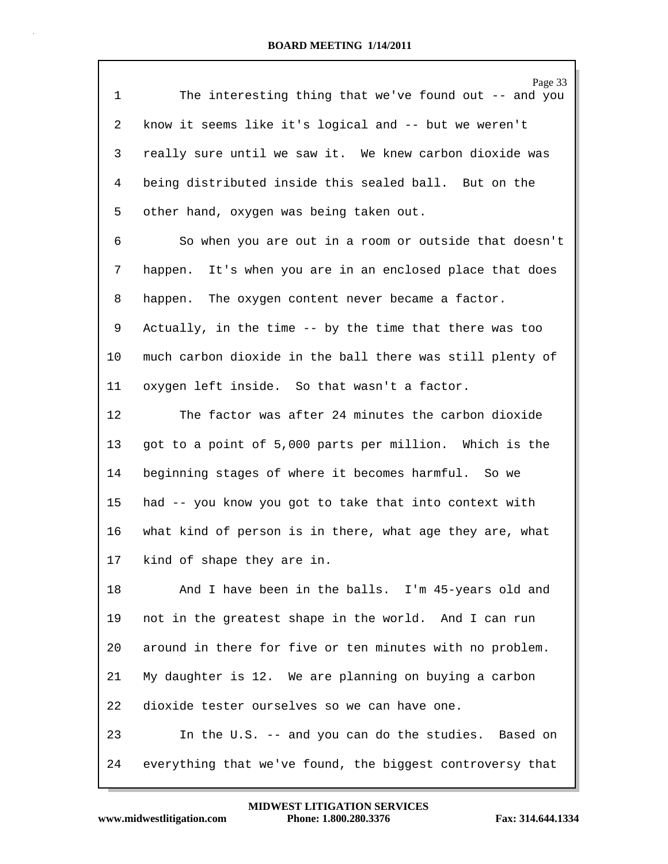|              | Page 33                                                   |
|--------------|-----------------------------------------------------------|
| $\mathbf{1}$ | The interesting thing that we've found out -- and you     |
| 2            | know it seems like it's logical and -- but we weren't     |
| 3            | really sure until we saw it. We knew carbon dioxide was   |
| 4            | being distributed inside this sealed ball. But on the     |
| 5            | other hand, oxygen was being taken out.                   |
| 6            | So when you are out in a room or outside that doesn't     |
| 7            | happen. It's when you are in an enclosed place that does  |
| 8            | happen. The oxygen content never became a factor.         |
| 9            | Actually, in the time -- by the time that there was too   |
| $10 \,$      | much carbon dioxide in the ball there was still plenty of |
| 11           | oxygen left inside. So that wasn't a factor.              |
| 12           | The factor was after 24 minutes the carbon dioxide        |
| 13           | got to a point of 5,000 parts per million. Which is the   |
| 14           | beginning stages of where it becomes harmful. So we       |
| 15           | had -- you know you got to take that into context with    |
| 16           | what kind of person is in there, what age they are, what  |
| 17           | kind of shape they are in.                                |
| 18           | And I have been in the balls. I'm 45-years old and        |
| 19           | not in the greatest shape in the world. And I can run     |
| 20           | around in there for five or ten minutes with no problem.  |
| 21           | My daughter is 12. We are planning on buying a carbon     |
| 22           | dioxide tester ourselves so we can have one.              |
| 23           | In the U.S. -- and you can do the studies. Based on       |
| 24           | everything that we've found, the biggest controversy that |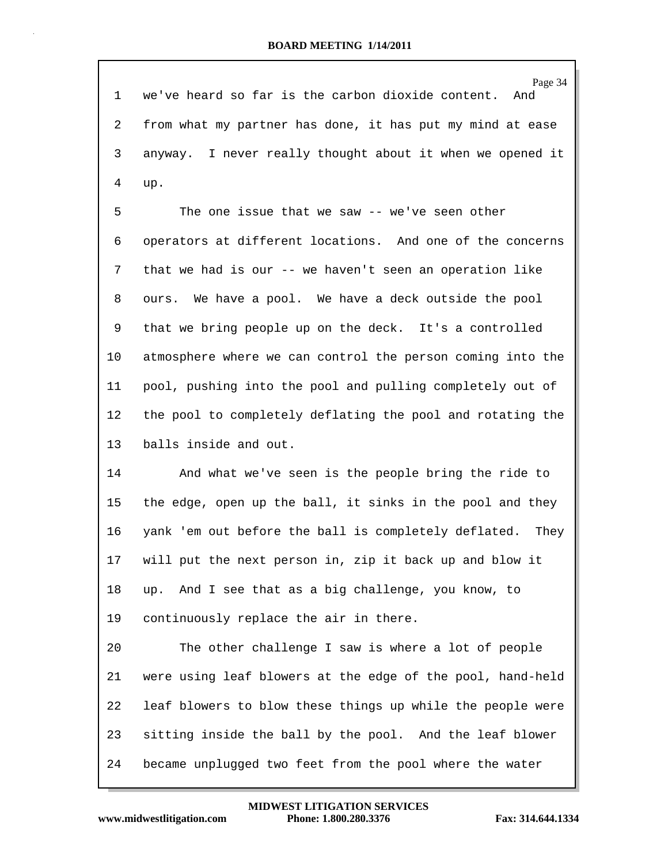Page 34 1 we've heard so far is the carbon dioxide content. And 2 from what my partner has done, it has put my mind at ease 3 anyway. I never really thought about it when we opened it 4 up.

5 The one issue that we saw -- we've seen other 6 operators at different locations. And one of the concerns 7 that we had is our -- we haven't seen an operation like 8 ours. We have a pool. We have a deck outside the pool 9 that we bring people up on the deck. It's a controlled 10 atmosphere where we can control the person coming into the 11 pool, pushing into the pool and pulling completely out of 12 the pool to completely deflating the pool and rotating the 13 balls inside and out.

14 And what we've seen is the people bring the ride to 15 the edge, open up the ball, it sinks in the pool and they 16 yank 'em out before the ball is completely deflated. They 17 will put the next person in, zip it back up and blow it 18 up. And I see that as a big challenge, you know, to 19 continuously replace the air in there.

20 The other challenge I saw is where a lot of people 21 were using leaf blowers at the edge of the pool, hand-held 22 leaf blowers to blow these things up while the people were 23 sitting inside the ball by the pool. And the leaf blower 24 became unplugged two feet from the pool where the water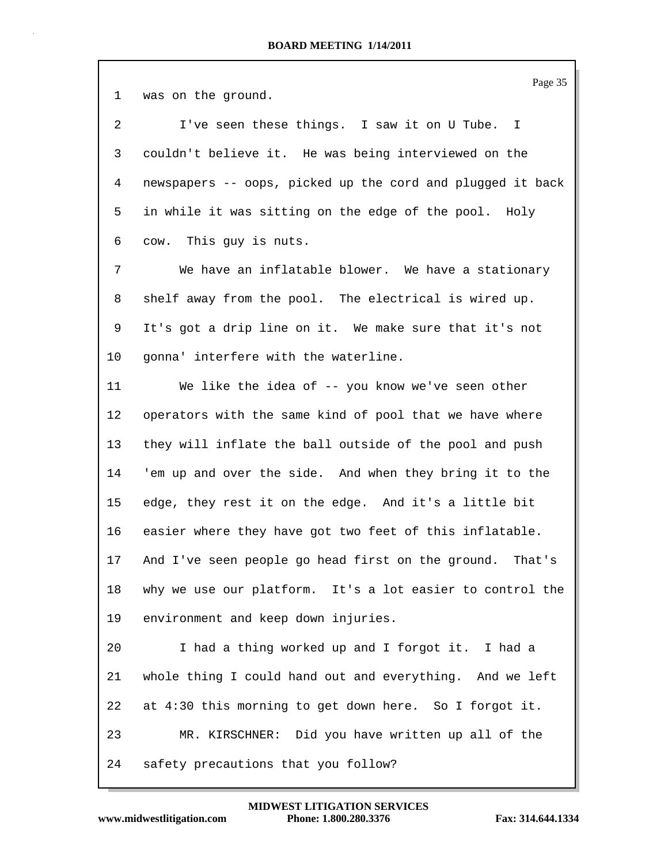| 1               | Page 35<br>was on the ground.                              |
|-----------------|------------------------------------------------------------|
| $\overline{a}$  | I've seen these things. I saw it on U Tube. I              |
| 3               | couldn't believe it. He was being interviewed on the       |
| $\overline{4}$  | newspapers -- oops, picked up the cord and plugged it back |
| 5               | in while it was sitting on the edge of the pool. Holy      |
| 6               | cow. This guy is nuts.                                     |
| 7               | We have an inflatable blower. We have a stationary         |
| 8               | shelf away from the pool. The electrical is wired up.      |
| 9               | It's got a drip line on it. We make sure that it's not     |
| 10              | gonna' interfere with the waterline.                       |
| 11              | We like the idea of -- you know we've seen other           |
| 12 <sub>2</sub> | operators with the same kind of pool that we have where    |
| 13              | they will inflate the ball outside of the pool and push    |
| 14              | 'em up and over the side. And when they bring it to the    |
| 15              | edge, they rest it on the edge. And it's a little bit      |
| 16              | easier where they have got two feet of this inflatable.    |
| 17              | And I've seen people go head first on the ground. That's   |
| 18              | why we use our platform. It's a lot easier to control the  |
| 19              | environment and keep down injuries.                        |
| 20              | I had a thing worked up and I forgot it. I had a           |
| 21              | whole thing I could hand out and everything. And we left   |
| 22              | at 4:30 this morning to get down here. So I forgot it.     |
| 23              | MR. KIRSCHNER: Did you have written up all of the          |
| 24              | safety precautions that you follow?                        |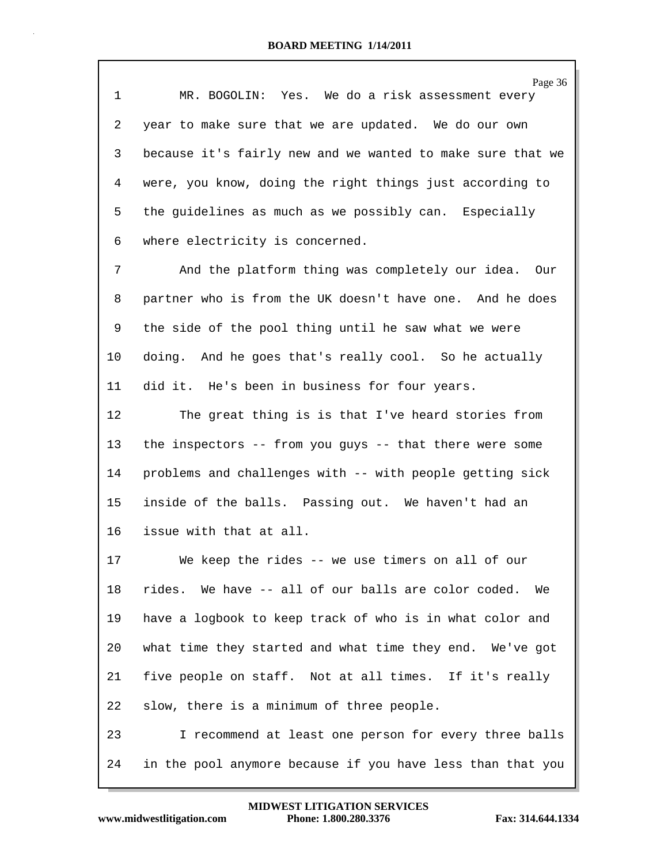| 1  | Page 36<br>MR. BOGOLIN: Yes. We do a risk assessment every |
|----|------------------------------------------------------------|
| 2  | year to make sure that we are updated. We do our own       |
| 3  | because it's fairly new and we wanted to make sure that we |
| 4  | were, you know, doing the right things just according to   |
| 5  | the guidelines as much as we possibly can. Especially      |
| 6  | where electricity is concerned.                            |
| 7  | And the platform thing was completely our idea. Our        |
| 8  | partner who is from the UK doesn't have one. And he does   |
| 9  | the side of the pool thing until he saw what we were       |
| 10 | doing. And he goes that's really cool. So he actually      |
| 11 | did it. He's been in business for four years.              |
| 12 | The great thing is is that I've heard stories from         |
| 13 | the inspectors -- from you guys -- that there were some    |
| 14 | problems and challenges with -- with people getting sick   |
| 15 | inside of the balls. Passing out. We haven't had an        |
| 16 | issue with that at all.                                    |
| 17 | We keep the rides -- we use timers on all of our           |
| 18 | rides. We have -- all of our balls are color coded.<br>We  |
| 19 | have a logbook to keep track of who is in what color and   |
| 20 | what time they started and what time they end. We've got   |
| 21 | five people on staff. Not at all times. If it's really     |
| 22 | slow, there is a minimum of three people.                  |
| 23 | I recommend at least one person for every three balls      |
| 24 | in the pool anymore because if you have less than that you |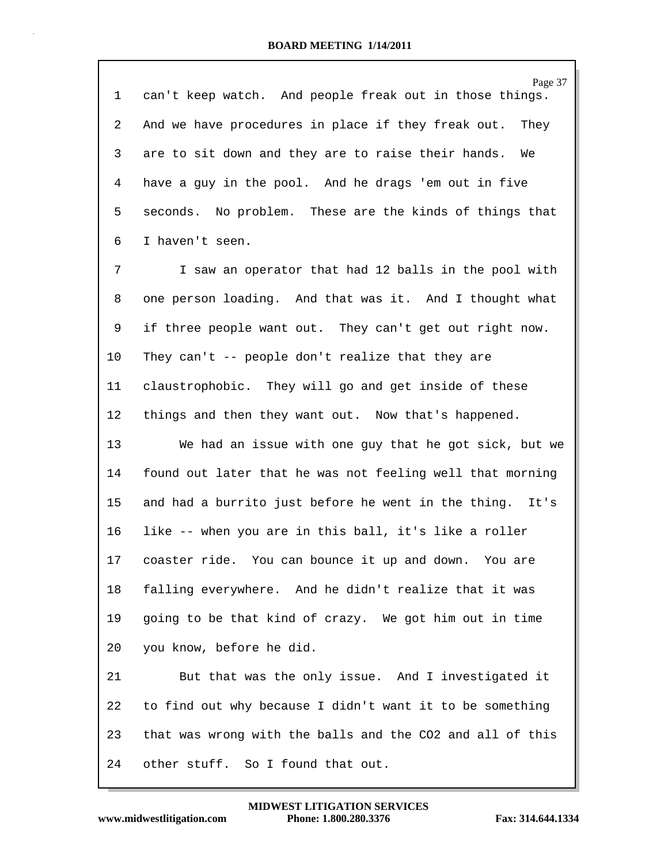| 1  | Page 37<br>can't keep watch. And people freak out in those things. |
|----|--------------------------------------------------------------------|
| 2  | And we have procedures in place if they freak out. They            |
| 3  | are to sit down and they are to raise their hands.<br>We           |
| 4  | have a guy in the pool. And he drags 'em out in five               |
| 5  | seconds. No problem. These are the kinds of things that            |
| 6  | I haven't seen.                                                    |
| 7  | I saw an operator that had 12 balls in the pool with               |
| 8  | one person loading. And that was it. And I thought what            |
| 9  | if three people want out. They can't get out right now.            |
| 10 | They can't -- people don't realize that they are                   |
| 11 | claustrophobic. They will go and get inside of these               |
| 12 | things and then they want out. Now that's happened.                |
| 13 | We had an issue with one guy that he got sick, but we              |
| 14 | found out later that he was not feeling well that morning          |
| 15 | and had a burrito just before he went in the thing. It's           |
| 16 | like -- when you are in this ball, it's like a roller              |
| 17 | coaster ride. You can bounce it up and down.<br>You are            |
| 18 | falling everywhere. And he didn't realize that it was              |
| 19 | going to be that kind of crazy. We got him out in time             |
| 20 | you know, before he did.                                           |
| 21 | But that was the only issue. And I investigated it                 |
| 22 | to find out why because I didn't want it to be something           |
| 23 | that was wrong with the balls and the CO2 and all of this          |
| 24 | other stuff. So I found that out.                                  |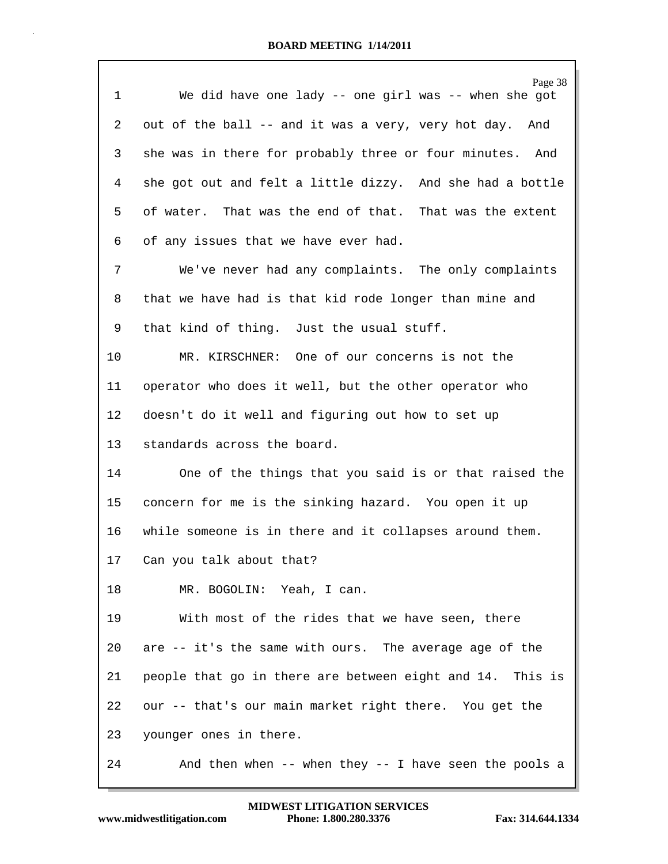| $\mathbf{1}$    | Page 38<br>We did have one lady -- one girl was -- when she got |
|-----------------|-----------------------------------------------------------------|
| 2               | out of the ball -- and it was a very, very hot day. And         |
| 3               | she was in there for probably three or four minutes. And        |
| 4               | she got out and felt a little dizzy. And she had a bottle       |
| 5               | of water. That was the end of that. That was the extent         |
| 6               | of any issues that we have ever had.                            |
| 7               | We've never had any complaints. The only complaints             |
| 8               | that we have had is that kid rode longer than mine and          |
| 9               | that kind of thing. Just the usual stuff.                       |
| 10              | MR. KIRSCHNER: One of our concerns is not the                   |
| 11              | operator who does it well, but the other operator who           |
| 12              | doesn't do it well and figuring out how to set up               |
| 13              | standards across the board.                                     |
| 14              | One of the things that you said is or that raised the           |
| 15 <sub>1</sub> | concern for me is the sinking hazard. You open it up            |
| 16              | while someone is in there and it collapses around them.         |
| 17              | Can you talk about that?                                        |
| 18              | MR. BOGOLIN: Yeah, I can.                                       |
| 19              | With most of the rides that we have seen, there                 |
| 20              | are -- it's the same with ours. The average age of the          |
| 21              | people that go in there are between eight and 14. This is       |
| 22              | our -- that's our main market right there. You get the          |
| 23              | younger ones in there.                                          |
| 24              | And then when $--$ when they $--$ I have seen the pools a       |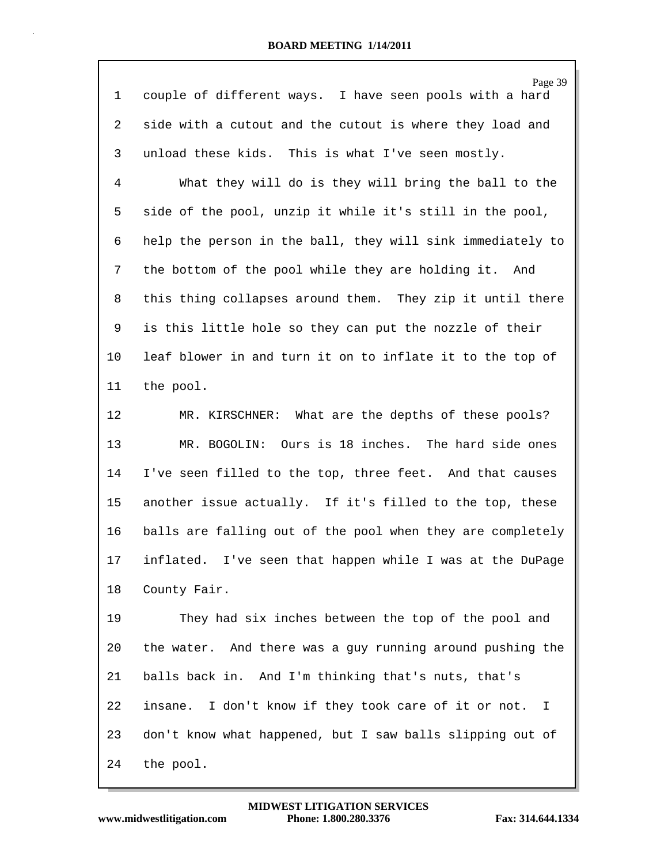| 1              | Page 39<br>couple of different ways. I have seen pools with a hard |
|----------------|--------------------------------------------------------------------|
| $\overline{a}$ | side with a cutout and the cutout is where they load and           |
| 3              | unload these kids. This is what I've seen mostly.                  |
| 4              | What they will do is they will bring the ball to the               |
| 5              | side of the pool, unzip it while it's still in the pool,           |
| 6              | help the person in the ball, they will sink immediately to         |
| 7              | the bottom of the pool while they are holding it. And              |
| 8              | this thing collapses around them. They zip it until there          |
| 9              | is this little hole so they can put the nozzle of their            |
| $10$           | leaf blower in and turn it on to inflate it to the top of          |
| 11             | the pool.                                                          |
| 12             | MR. KIRSCHNER: What are the depths of these pools?                 |
| 13             | MR. BOGOLIN: Ours is 18 inches. The hard side ones                 |
| 14             | I've seen filled to the top, three feet. And that causes           |
| 15             | another issue actually. If it's filled to the top, these           |
| 16             | balls are falling out of the pool when they are completely         |
| 17             | inflated. I've seen that happen while I was at the DuPage          |
| 18             | County Fair.                                                       |
| 19             | They had six inches between the top of the pool and                |
| 20             | the water. And there was a guy running around pushing the          |
| 21             | balls back in. And I'm thinking that's nuts, that's                |
| 22             | insane. I don't know if they took care of it or not. I             |
| 23             | don't know what happened, but I saw balls slipping out of          |
| 24             | the pool.                                                          |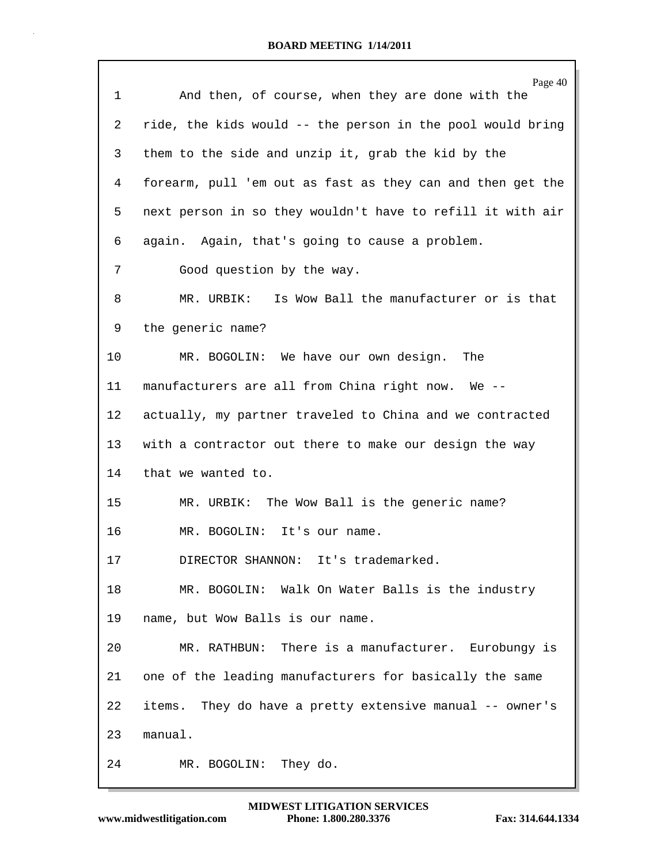|    | Page 40                                                    |
|----|------------------------------------------------------------|
| 1  | And then, of course, when they are done with the           |
| 2  | ride, the kids would -- the person in the pool would bring |
| 3  | them to the side and unzip it, grab the kid by the         |
| 4  | forearm, pull 'em out as fast as they can and then get the |
| 5  | next person in so they wouldn't have to refill it with air |
| 6  | again. Again, that's going to cause a problem.             |
| 7  | Good question by the way.                                  |
| 8  | MR. URBIK: Is Wow Ball the manufacturer or is that         |
| 9  | the generic name?                                          |
| 10 | MR. BOGOLIN: We have our own design.<br>The                |
| 11 | manufacturers are all from China right now. We --          |
| 12 | actually, my partner traveled to China and we contracted   |
| 13 | with a contractor out there to make our design the way     |
| 14 | that we wanted to.                                         |
| 15 | MR. URBIK: The Wow Ball is the generic name?               |
| 16 | MR. BOGOLIN:<br>It's our name.                             |
| 17 | DIRECTOR SHANNON: It's trademarked.                        |
| 18 | MR. BOGOLIN: Walk On Water Balls is the industry           |
| 19 | name, but Wow Balls is our name.                           |
| 20 | MR. RATHBUN: There is a manufacturer. Eurobungy is         |
| 21 | one of the leading manufacturers for basically the same    |
| 22 | items. They do have a pretty extensive manual -- owner's   |
| 23 | manual.                                                    |
| 24 | MR. BOGOLIN: They do.                                      |

Г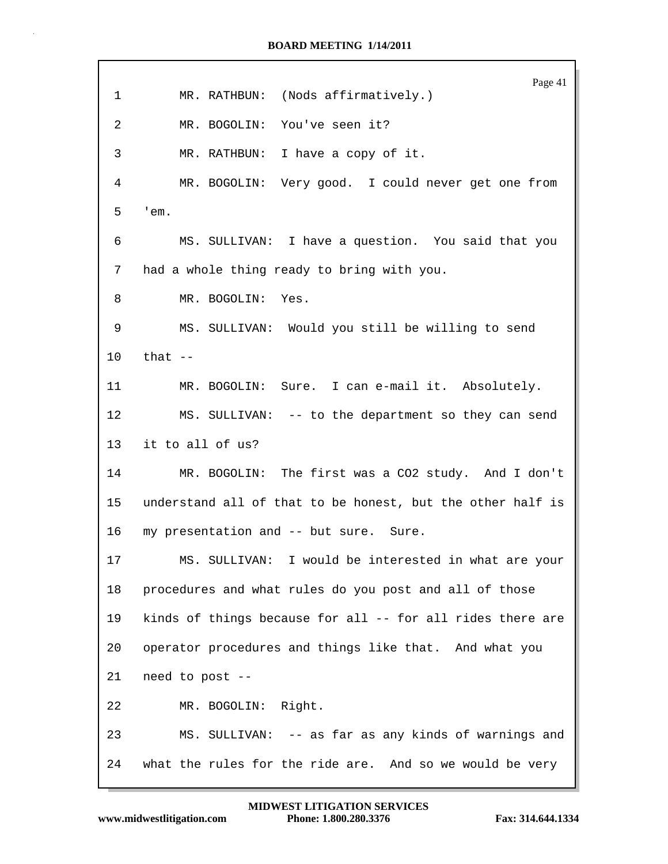Page 41 1 MR. RATHBUN: (Nods affirmatively.) 2 MR. BOGOLIN: You've seen it? 3 MR. RATHBUN: I have a copy of it. 4 MR. BOGOLIN: Very good. I could never get one from 5 'em. 6 MS. SULLIVAN: I have a question. You said that you 7 had a whole thing ready to bring with you. 8 MR. BOGOLIN: Yes. 9 MS. SULLIVAN: Would you still be willing to send 10 that -- 11 MR. BOGOLIN: Sure. I can e-mail it. Absolutely. 12 MS. SULLIVAN: -- to the department so they can send 13 it to all of us? 14 MR. BOGOLIN: The first was a CO2 study. And I don't 15 understand all of that to be honest, but the other half is 16 my presentation and -- but sure. Sure. 17 MS. SULLIVAN: I would be interested in what are your 18 procedures and what rules do you post and all of those 19 kinds of things because for all -- for all rides there are 20 operator procedures and things like that. And what you 21 need to post -- 22 MR. BOGOLIN: Right. 23 MS. SULLIVAN: -- as far as any kinds of warnings and 24 what the rules for the ride are. And so we would be very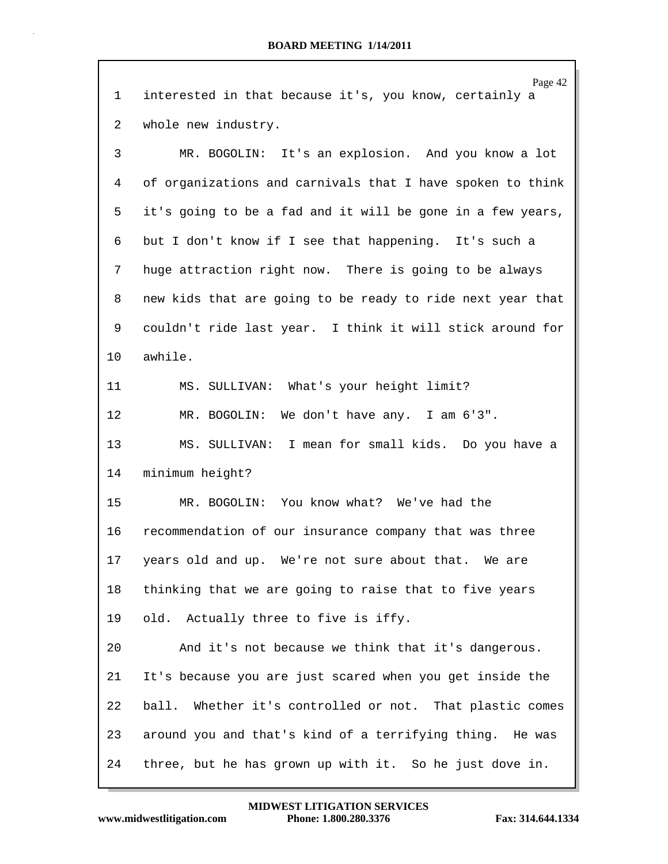|         | Page 42                                                    |
|---------|------------------------------------------------------------|
| 1       | interested in that because it's, you know, certainly a     |
| 2       | whole new industry.                                        |
| 3       | MR. BOGOLIN: It's an explosion. And you know a lot         |
| 4       | of organizations and carnivals that I have spoken to think |
| 5       | it's going to be a fad and it will be gone in a few years, |
| 6       | but I don't know if I see that happening. It's such a      |
| 7       | huge attraction right now. There is going to be always     |
| 8       | new kids that are going to be ready to ride next year that |
| 9       | couldn't ride last year. I think it will stick around for  |
| $10 \,$ | awhile.                                                    |
| 11      | MS. SULLIVAN: What's your height limit?                    |
| 12      | We don't have any. I am 6'3".<br>MR. BOGOLIN:              |
| 13      | MS. SULLIVAN: I mean for small kids. Do you have a         |
| 14      | minimum height?                                            |
| 15      | MR. BOGOLIN: You know what? We've had the                  |
| 16      | recommendation of our insurance company that was three     |
| 17      | years old and up. We're not sure about that. We are        |
| 18      | thinking that we are going to raise that to five years     |
| 19      | old. Actually three to five is iffy.                       |
| 20      | And it's not because we think that it's dangerous.         |
| 21      | It's because you are just scared when you get inside the   |
| 22      | ball. Whether it's controlled or not. That plastic comes   |
| 23      | around you and that's kind of a terrifying thing. He was   |
| 24      | three, but he has grown up with it. So he just dove in.    |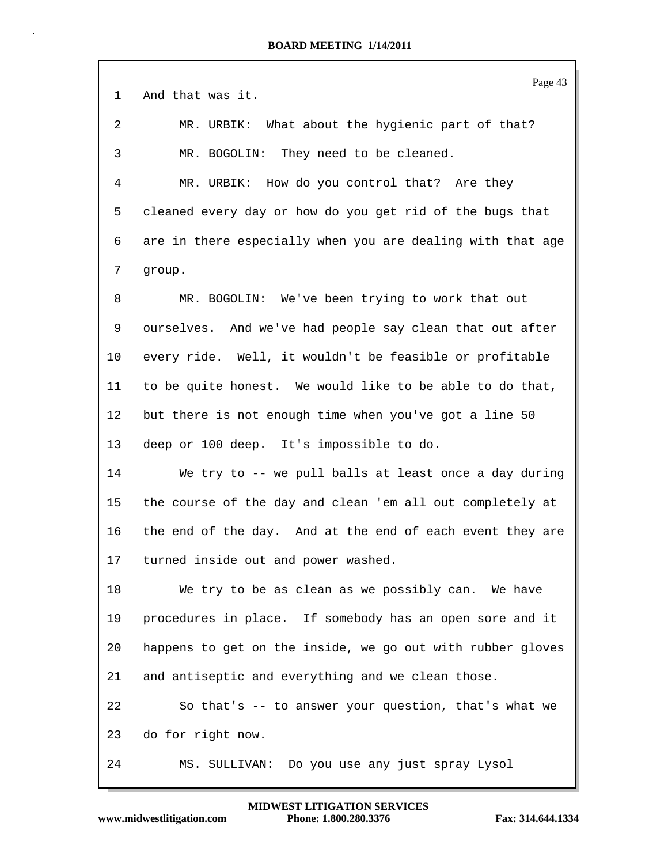|                | Page 43                                                    |
|----------------|------------------------------------------------------------|
| $\mathbf 1$    | And that was it.                                           |
| 2              | MR. URBIK: What about the hygienic part of that?           |
| 3              | MR. BOGOLIN: They need to be cleaned.                      |
| $\overline{4}$ | MR. URBIK: How do you control that? Are they               |
| 5              | cleaned every day or how do you get rid of the bugs that   |
| 6              | are in there especially when you are dealing with that age |
| 7              | group.                                                     |
| 8              | MR. BOGOLIN: We've been trying to work that out            |
| 9              | ourselves. And we've had people say clean that out after   |
| 10             | every ride. Well, it wouldn't be feasible or profitable    |
| 11             | to be quite honest. We would like to be able to do that,   |
| 12             | but there is not enough time when you've got a line 50     |
| 13             | deep or 100 deep. It's impossible to do.                   |
| 14             | We try to -- we pull balls at least once a day during      |
| 15             | the course of the day and clean 'em all out completely at  |
| 16             | the end of the day. And at the end of each event they are  |
| 17             | turned inside out and power washed.                        |
| 18             | We try to be as clean as we possibly can. We have          |
| 19             | procedures in place. If somebody has an open sore and it   |
| 20             | happens to get on the inside, we go out with rubber gloves |
| 21             | and antiseptic and everything and we clean those.          |
| 22             | So that's -- to answer your question, that's what we       |
| 23             | do for right now.                                          |
| 24             | MS. SULLIVAN: Do you use any just spray Lysol              |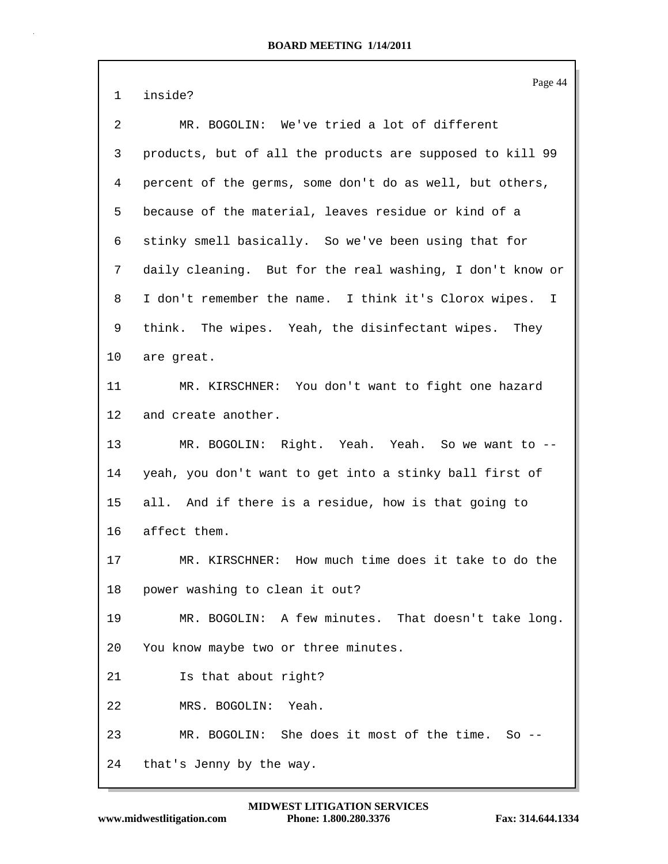Page 44 1 inside? 2 MR. BOGOLIN: We've tried a lot of different 3 products, but of all the products are supposed to kill 99 4 percent of the germs, some don't do as well, but others, 5 because of the material, leaves residue or kind of a 6 stinky smell basically. So we've been using that for 7 daily cleaning. But for the real washing, I don't know or 8 I don't remember the name. I think it's Clorox wipes. I 9 think. The wipes. Yeah, the disinfectant wipes. They 10 are great. 11 MR. KIRSCHNER: You don't want to fight one hazard 12 and create another. 13 MR. BOGOLIN: Right. Yeah. Yeah. So we want to -- 14 yeah, you don't want to get into a stinky ball first of 15 all. And if there is a residue, how is that going to 16 affect them. 17 MR. KIRSCHNER: How much time does it take to do the 18 power washing to clean it out? 19 MR. BOGOLIN: A few minutes. That doesn't take long. 20 You know maybe two or three minutes. 21 Is that about right? 22 MRS. BOGOLIN: Yeah. 23 MR. BOGOLIN: She does it most of the time. So -- 24 that's Jenny by the way.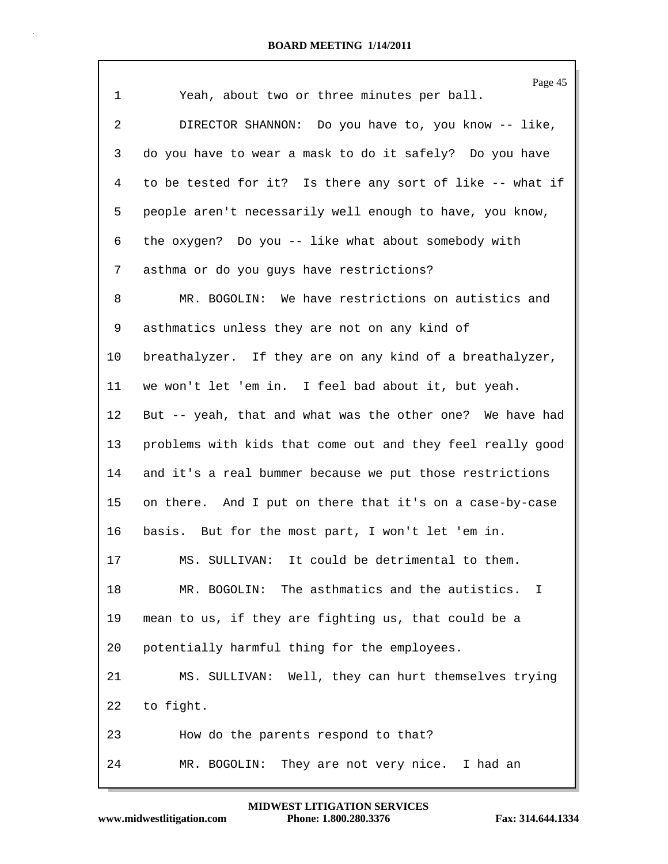|                | Page 45                                                    |
|----------------|------------------------------------------------------------|
| $\mathbf 1$    | Yeah, about two or three minutes per ball.                 |
| $\overline{2}$ | DIRECTOR SHANNON: Do you have to, you know -- like,        |
| 3              | do you have to wear a mask to do it safely? Do you have    |
| $\overline{4}$ | to be tested for it? Is there any sort of like -- what if  |
| 5              | people aren't necessarily well enough to have, you know,   |
| 6              | the oxygen? Do you -- like what about somebody with        |
| 7              | asthma or do you guys have restrictions?                   |
| 8              | MR. BOGOLIN: We have restrictions on autistics and         |
| 9              | asthmatics unless they are not on any kind of              |
| 10             | breathalyzer. If they are on any kind of a breathalyzer,   |
| 11             | we won't let 'em in. I feel bad about it, but yeah.        |
| 12             | But -- yeah, that and what was the other one? We have had  |
| 13             | problems with kids that come out and they feel really good |
| 14             | and it's a real bummer because we put those restrictions   |
| 15             | on there. And I put on there that it's on a case-by-case   |
| 16             | basis. But for the most part, I won't let 'em in.          |
| 17             | MS. SULLIVAN: It could be detrimental to them.             |
| 18             | MR. BOGOLIN: The asthmatics and the autistics. I           |
| 19             | mean to us, if they are fighting us, that could be a       |
| 20             | potentially harmful thing for the employees.               |
| 21             | MS. SULLIVAN: Well, they can hurt themselves trying        |
| 22             | to fight.                                                  |
| 23             | How do the parents respond to that?                        |
| 24             | They are not very nice. I had an<br>MR. BOGOLIN:           |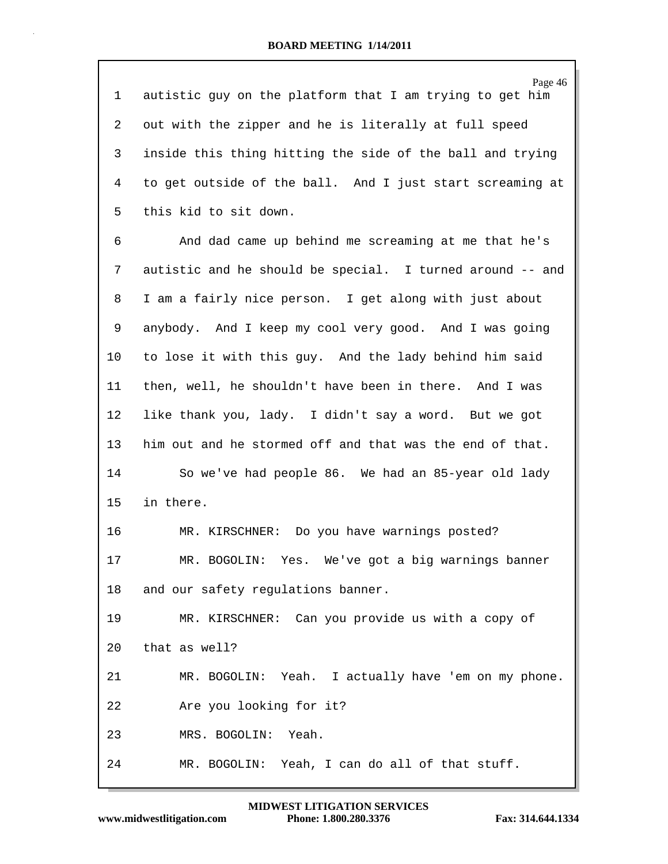Page 46 1 autistic guy on the platform that I am trying to get him 2 out with the zipper and he is literally at full speed 3 inside this thing hitting the side of the ball and trying 4 to get outside of the ball. And I just start screaming at 5 this kid to sit down. 6 And dad came up behind me screaming at me that he's 7 autistic and he should be special. I turned around -- and 8 I am a fairly nice person. I get along with just about 9 anybody. And I keep my cool very good. And I was going 10 to lose it with this guy. And the lady behind him said 11 then, well, he shouldn't have been in there. And I was 12 like thank you, lady. I didn't say a word. But we got 13 him out and he stormed off and that was the end of that. 14 So we've had people 86. We had an 85-year old lady 15 in there. 16 MR. KIRSCHNER: Do you have warnings posted? 17 MR. BOGOLIN: Yes. We've got a big warnings banner 18 and our safety regulations banner. 19 MR. KIRSCHNER: Can you provide us with a copy of 20 that as well? 21 MR. BOGOLIN: Yeah. I actually have 'em on my phone. 22 Are you looking for it? 23 MRS. BOGOLIN: Yeah. 24 MR. BOGOLIN: Yeah, I can do all of that stuff.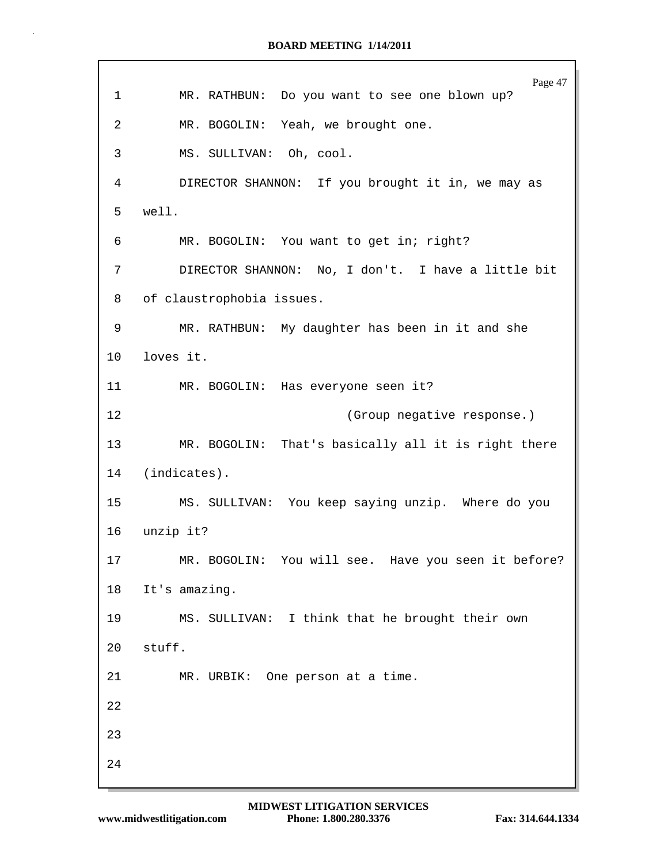Page 47 1 MR. RATHBUN: Do you want to see one blown up? 2 MR. BOGOLIN: Yeah, we brought one. 3 MS. SULLIVAN: Oh, cool. 4 DIRECTOR SHANNON: If you brought it in, we may as 5 well. 6 MR. BOGOLIN: You want to get in; right? 7 DIRECTOR SHANNON: No, I don't. I have a little bit 8 of claustrophobia issues. 9 MR. RATHBUN: My daughter has been in it and she 10 loves it. 11 MR. BOGOLIN: Has everyone seen it? 12 (Group negative response.) 13 MR. BOGOLIN: That's basically all it is right there 14 (indicates). 15 MS. SULLIVAN: You keep saying unzip. Where do you 16 unzip it? 17 MR. BOGOLIN: You will see. Have you seen it before? 18 It's amazing. 19 MS. SULLIVAN: I think that he brought their own 20 stuff. 21 MR. URBIK: One person at a time. 22 23 24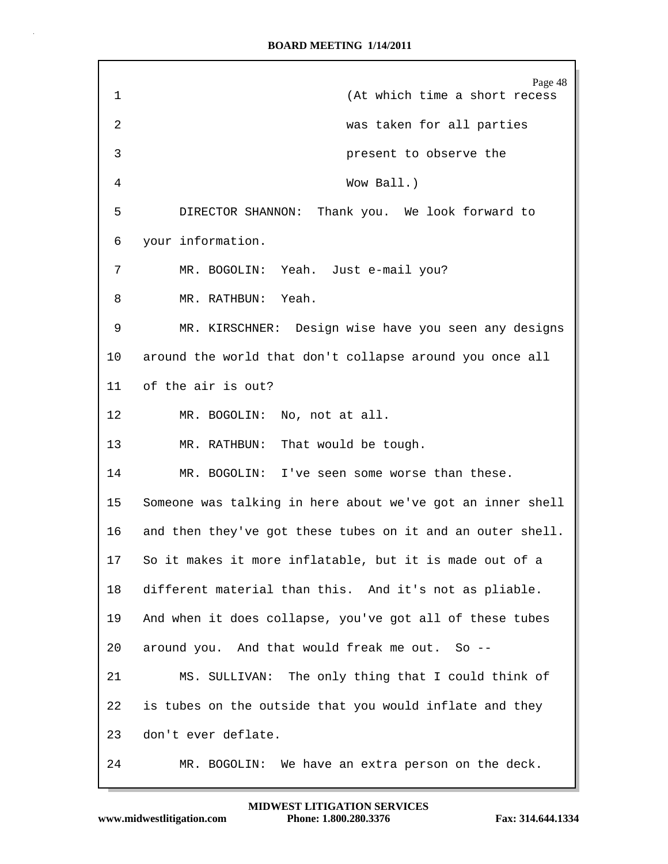| $\mathbf 1$ | Page 48<br>(At which time a short recess                   |
|-------------|------------------------------------------------------------|
| 2           | was taken for all parties                                  |
| 3           | present to observe the                                     |
| 4           | Wow Ball.)                                                 |
| 5           | DIRECTOR SHANNON: Thank you. We look forward to            |
| 6           | your information.                                          |
| 7           | MR. BOGOLIN: Yeah. Just e-mail you?                        |
| 8           | MR. RATHBUN: Yeah.                                         |
| 9           | MR. KIRSCHNER: Design wise have you seen any designs       |
| 10          | around the world that don't collapse around you once all   |
| 11          | of the air is out?                                         |
| 12          | MR. BOGOLIN: No, not at all.                               |
| 13          | MR. RATHBUN: That would be tough.                          |
| 14          | MR. BOGOLIN: I've seen some worse than these.              |
| 15          | Someone was talking in here about we've got an inner shell |
| 16          | and then they've got these tubes on it and an outer shell. |
| 17          | So it makes it more inflatable, but it is made out of a    |
| 18          | different material than this. And it's not as pliable.     |
| 19          | And when it does collapse, you've got all of these tubes   |
| 20          | around you. And that would freak me out. So --             |
| 21          | MS. SULLIVAN: The only thing that I could think of         |
| 22          | is tubes on the outside that you would inflate and they    |
| 23          | don't ever deflate.                                        |
| 24          | We have an extra person on the deck.<br>MR. BOGOLIN:       |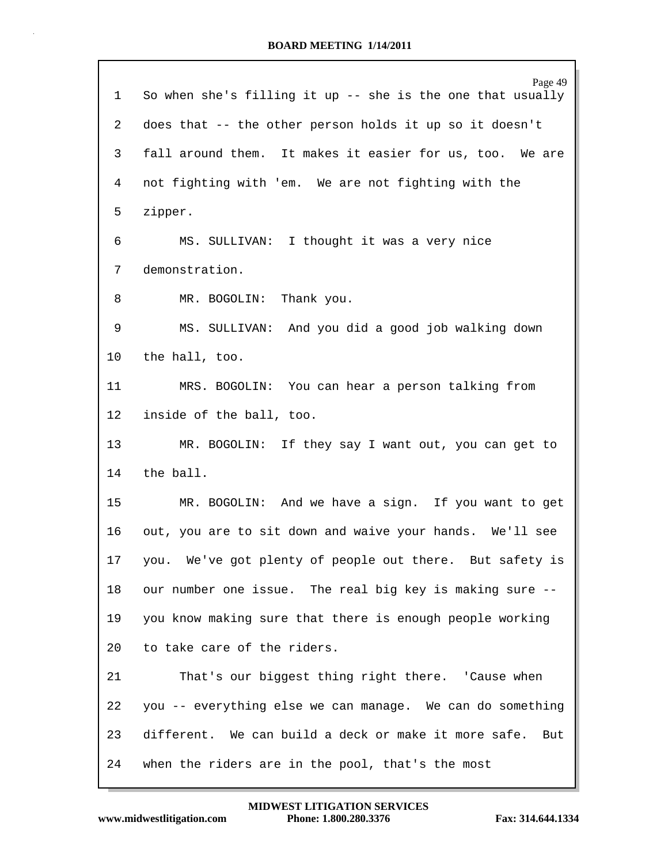| 1               | Page 49<br>So when she's filling it up -- she is the one that usually |
|-----------------|-----------------------------------------------------------------------|
| 2               | does that -- the other person holds it up so it doesn't               |
| 3               | fall around them. It makes it easier for us, too. We are              |
| 4               | not fighting with 'em. We are not fighting with the                   |
| 5               | zipper.                                                               |
| 6               | MS. SULLIVAN: I thought it was a very nice                            |
| 7               | demonstration.                                                        |
| 8               | MR. BOGOLIN: Thank you.                                               |
| 9               | MS. SULLIVAN: And you did a good job walking down                     |
| $10 \,$         | the hall, too.                                                        |
| 11              | MRS. BOGOLIN: You can hear a person talking from                      |
| 12              | inside of the ball, too.                                              |
| 13              | MR. BOGOLIN: If they say I want out, you can get to                   |
| 14              | the ball.                                                             |
| 15              | MR. BOGOLIN: And we have a sign. If you want to get                   |
| 16              | out, you are to sit down and waive your hands. We'll see              |
| 17 <sub>2</sub> | you. We've got plenty of people out there. But safety is              |
| 18              | our number one issue. The real big key is making sure --              |
| 19              | you know making sure that there is enough people working              |
| 20              | to take care of the riders.                                           |
| 21              | That's our biggest thing right there. 'Cause when                     |
| 22              | you -- everything else we can manage. We can do something             |
| 23              | different. We can build a deck or make it more safe.<br>But           |
| 24              | when the riders are in the pool, that's the most                      |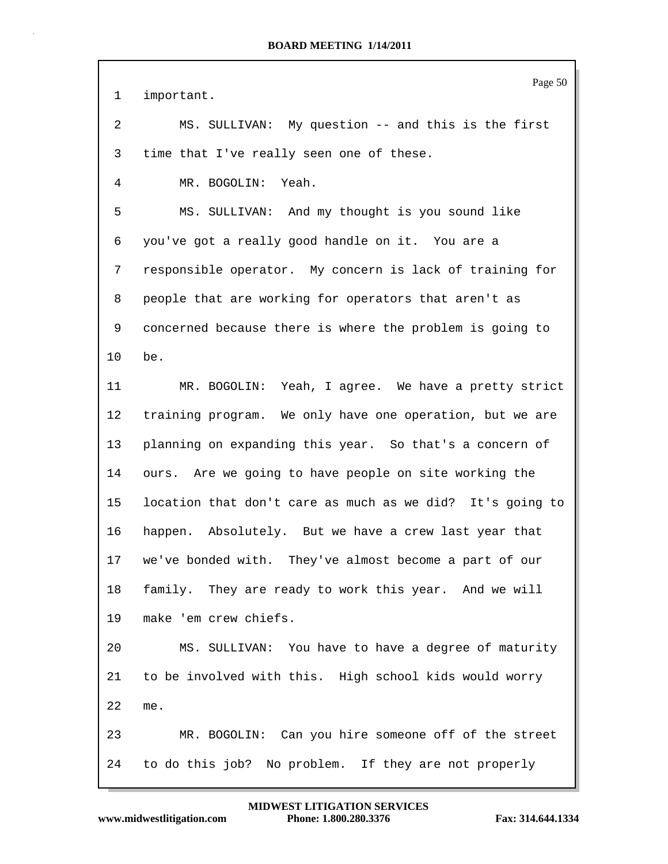Page 50 1 important. 2 MS. SULLIVAN: My question -- and this is the first 3 time that I've really seen one of these. 4 MR. BOGOLIN: Yeah. 5 MS. SULLIVAN: And my thought is you sound like 6 you've got a really good handle on it. You are a 7 responsible operator. My concern is lack of training for 8 people that are working for operators that aren't as 9 concerned because there is where the problem is going to 10 be. 11 MR. BOGOLIN: Yeah, I agree. We have a pretty strict 12 training program. We only have one operation, but we are 13 planning on expanding this year. So that's a concern of 14 ours. Are we going to have people on site working the 15 location that don't care as much as we did? It's going to 16 happen. Absolutely. But we have a crew last year that 17 we've bonded with. They've almost become a part of our 18 family. They are ready to work this year. And we will 19 make 'em crew chiefs. 20 MS. SULLIVAN: You have to have a degree of maturity 21 to be involved with this. High school kids would worry 22 me. 23 MR. BOGOLIN: Can you hire someone off of the street 24 to do this job? No problem. If they are not properly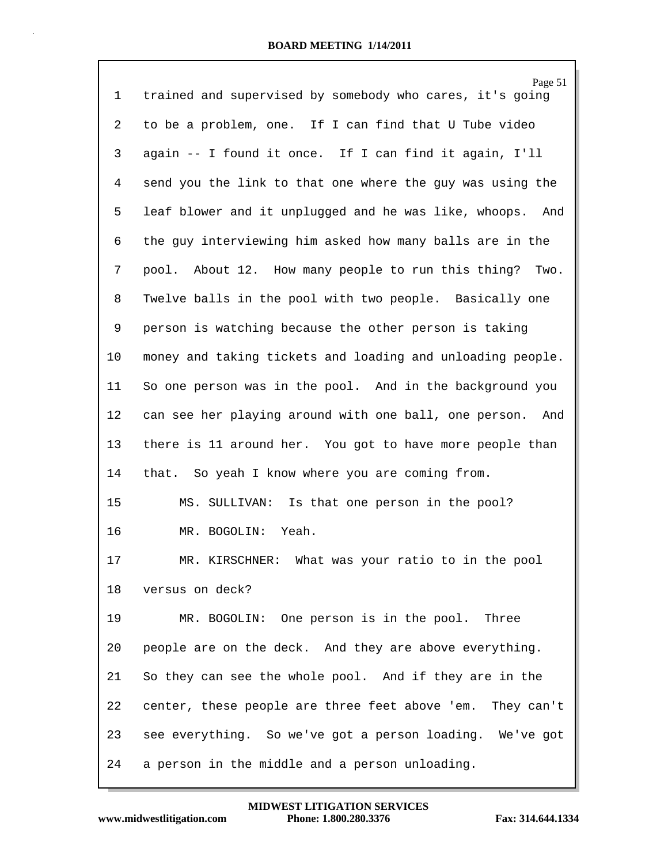|             | Page 51                                                      |
|-------------|--------------------------------------------------------------|
| $\mathbf 1$ | trained and supervised by somebody who cares, it's going     |
| 2           | to be a problem, one. If I can find that U Tube video        |
| 3           | again -- I found it once. If I can find it again, I'll       |
| 4           | send you the link to that one where the guy was using the    |
| 5           | leaf blower and it unplugged and he was like, whoops.<br>And |
| 6           | the guy interviewing him asked how many balls are in the     |
| 7           | pool. About 12. How many people to run this thing? Two.      |
| 8           | Twelve balls in the pool with two people. Basically one      |
| 9           | person is watching because the other person is taking        |
| 10          | money and taking tickets and loading and unloading people.   |
| 11          | So one person was in the pool. And in the background you     |
| 12          | can see her playing around with one ball, one person.<br>And |
| 13          | there is 11 around her. You got to have more people than     |
| 14          | that. So yeah I know where you are coming from.              |
| 15          | Is that one person in the pool?<br>MS. SULLIVAN:             |
| 16          | Yeah.<br>MR. BOGOLIN:                                        |
| 17          | What was your ratio to in the pool<br>MR. KIRSCHNER:         |
| 18          | versus on deck?                                              |
| 19          | MR. BOGOLIN: One person is in the pool. Three                |
| 20          | people are on the deck. And they are above everything.       |
| 21          | So they can see the whole pool. And if they are in the       |
| 22          | center, these people are three feet above 'em. They can't    |
| 23          | see everything. So we've got a person loading. We've got     |
| 24          | a person in the middle and a person unloading.               |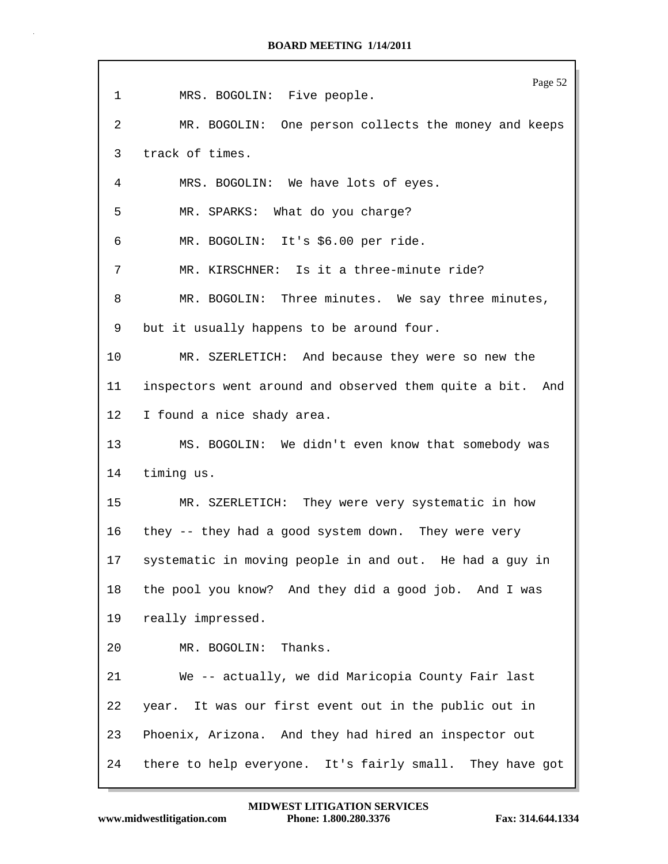| $\mathbf 1$ | Page 52<br>MRS. BOGOLIN: Five people.                        |
|-------------|--------------------------------------------------------------|
| 2           | MR. BOGOLIN: One person collects the money and keeps         |
| 3           | track of times.                                              |
| 4           | MRS. BOGOLIN: We have lots of eyes.                          |
| 5           | MR. SPARKS: What do you charge?                              |
| 6           | MR. BOGOLIN: It's \$6.00 per ride.                           |
| 7           | MR. KIRSCHNER: Is it a three-minute ride?                    |
| 8           | MR. BOGOLIN: Three minutes. We say three minutes,            |
| 9           | but it usually happens to be around four.                    |
| 10          | MR. SZERLETICH: And because they were so new the             |
| 11          | inspectors went around and observed them quite a bit.<br>And |
| 12          | I found a nice shady area.                                   |
| 13          | MS. BOGOLIN: We didn't even know that somebody was           |
| 14          | timing us.                                                   |
| 15          | MR. SZERLETICH: They were very systematic in how             |
| 16          | they -- they had a good system down. They were very          |
| 17          | systematic in moving people in and out. He had a guy in      |
| 18          | the pool you know? And they did a good job. And I was        |
| 19          | really impressed.                                            |
| 20          | MR. BOGOLIN: Thanks.                                         |
| 21          | We -- actually, we did Maricopia County Fair last            |
| 22          | year. It was our first event out in the public out in        |
| 23          | Phoenix, Arizona. And they had hired an inspector out        |
| 24          | there to help everyone. It's fairly small. They have got     |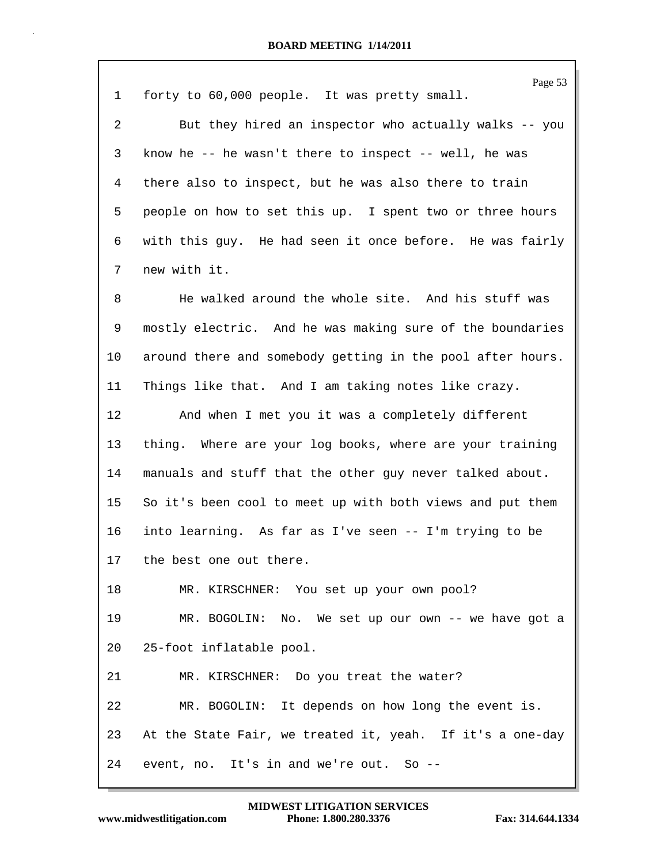|             | Page 53                                                    |
|-------------|------------------------------------------------------------|
| $\mathbf 1$ | forty to 60,000 people. It was pretty small.               |
| 2           | But they hired an inspector who actually walks -- you      |
| 3           | know he -- he wasn't there to inspect -- well, he was      |
| 4           | there also to inspect, but he was also there to train      |
| 5           | people on how to set this up. I spent two or three hours   |
| 6           | with this guy. He had seen it once before. He was fairly   |
| 7           | new with it.                                               |
| 8           | He walked around the whole site. And his stuff was         |
| 9           | mostly electric. And he was making sure of the boundaries  |
| 10          | around there and somebody getting in the pool after hours. |
| 11          | Things like that. And I am taking notes like crazy.        |
| 12          | And when I met you it was a completely different           |
| 13          | thing. Where are your log books, where are your training   |
| 14          | manuals and stuff that the other guy never talked about.   |
| 15          | So it's been cool to meet up with both views and put them  |
| 16          | into learning. As far as I've seen -- I'm trying to be     |
| 17          | the best one out there.                                    |
| 18          | MR. KIRSCHNER: You set up your own pool?                   |
| 19          | MR. BOGOLIN: No. We set up our own -- we have got a        |
| 20          | 25-foot inflatable pool.                                   |
| 21          | MR. KIRSCHNER: Do you treat the water?                     |
| 22          | MR. BOGOLIN: It depends on how long the event is.          |
| 23          | At the State Fair, we treated it, yeah. If it's a one-day  |
| 24          | event, no. It's in and we're out. So --                    |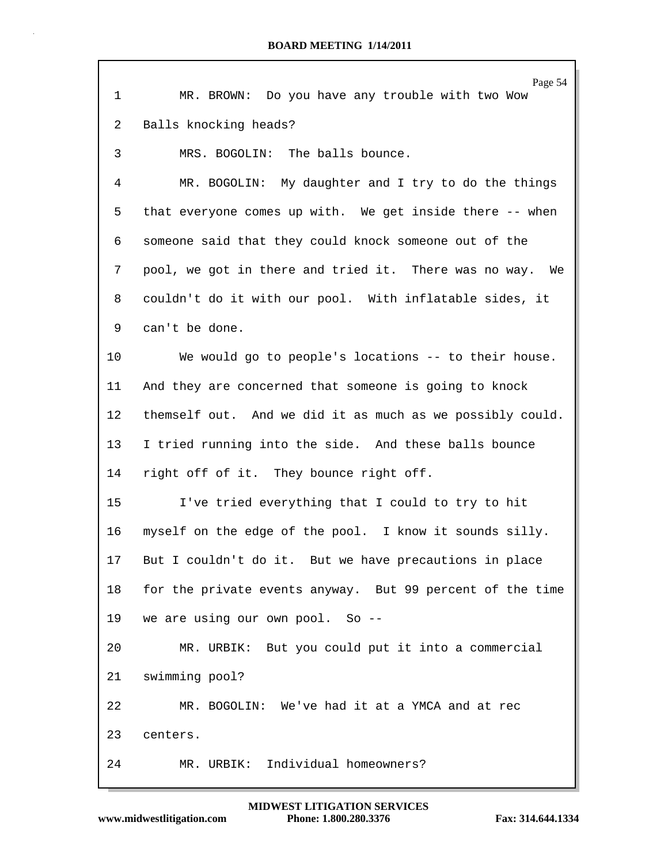|              | Page 54                                                   |
|--------------|-----------------------------------------------------------|
| $\mathbf{1}$ | MR. BROWN: Do you have any trouble with two Wow           |
| 2            | Balls knocking heads?                                     |
| 3            | MRS. BOGOLIN: The balls bounce.                           |
| 4            | MR. BOGOLIN: My daughter and I try to do the things       |
| 5            | that everyone comes up with. We get inside there -- when  |
| 6            | someone said that they could knock someone out of the     |
| 7            | pool, we got in there and tried it. There was no way. We  |
| 8            | couldn't do it with our pool. With inflatable sides, it   |
| 9            | can't be done.                                            |
| 10           | We would go to people's locations -- to their house.      |
| 11           | And they are concerned that someone is going to knock     |
| 12           | themself out. And we did it as much as we possibly could. |
| 13           | I tried running into the side. And these balls bounce     |
| 14           | right off of it. They bounce right off.                   |
| 15           | I've tried everything that I could to try to hit          |
| 16           | myself on the edge of the pool. I know it sounds silly.   |
| 17           | But I couldn't do it. But we have precautions in place    |
| 18           | for the private events anyway. But 99 percent of the time |
| 19           | we are using our own pool. So --                          |
| 20           | MR. URBIK: But you could put it into a commercial         |
| 21           | swimming pool?                                            |
| 22           | MR. BOGOLIN: We've had it at a YMCA and at rec            |
| 23           | centers.                                                  |
| 24           | Individual homeowners?<br>MR. URBIK:                      |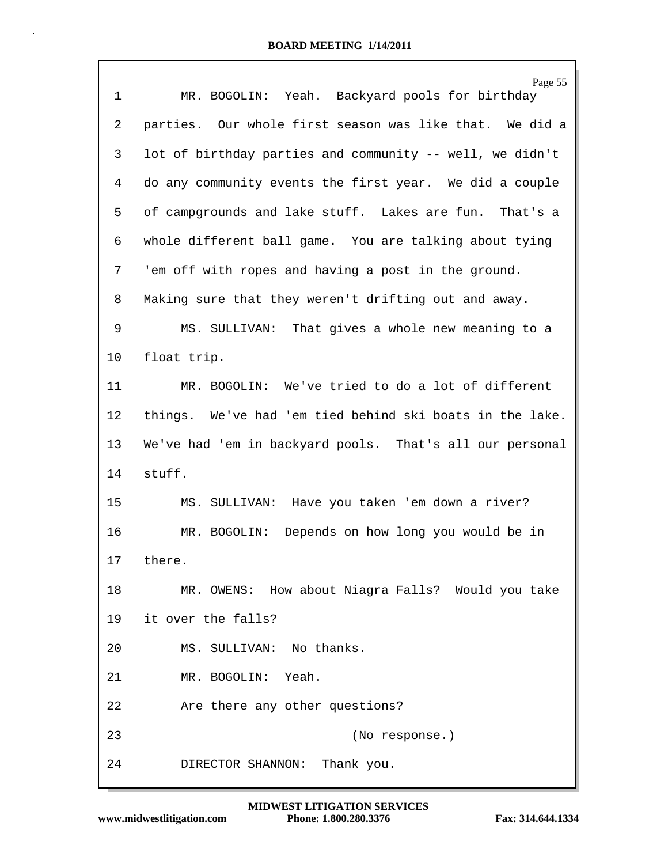| 1  | Page 55<br>MR. BOGOLIN: Yeah. Backyard pools for birthday |
|----|-----------------------------------------------------------|
| 2  | parties. Our whole first season was like that. We did a   |
| 3  | lot of birthday parties and community -- well, we didn't  |
| 4  | do any community events the first year. We did a couple   |
| 5  | of campgrounds and lake stuff. Lakes are fun. That's a    |
| 6  | whole different ball game. You are talking about tying    |
| 7  | 'em off with ropes and having a post in the ground.       |
| 8  | Making sure that they weren't drifting out and away.      |
| 9  | MS. SULLIVAN: That gives a whole new meaning to a         |
| 10 | float trip.                                               |
| 11 | MR. BOGOLIN: We've tried to do a lot of different         |
| 12 | things. We've had 'em tied behind ski boats in the lake.  |
| 13 | We've had 'em in backyard pools. That's all our personal  |
| 14 | stuff.                                                    |
| 15 | MS. SULLIVAN: Have you taken 'em down a river?            |
| 16 | MR. BOGOLIN: Depends on how long you would be in          |
| 17 | there                                                     |
| 18 | MR. OWENS: How about Niagra Falls? Would you take         |
| 19 | it over the falls?                                        |
| 20 | MS. SULLIVAN: No thanks.                                  |
| 21 | MR. BOGOLIN: Yeah.                                        |
| 22 | Are there any other questions?                            |
| 23 | (No response.)                                            |
| 24 | DIRECTOR SHANNON: Thank you.                              |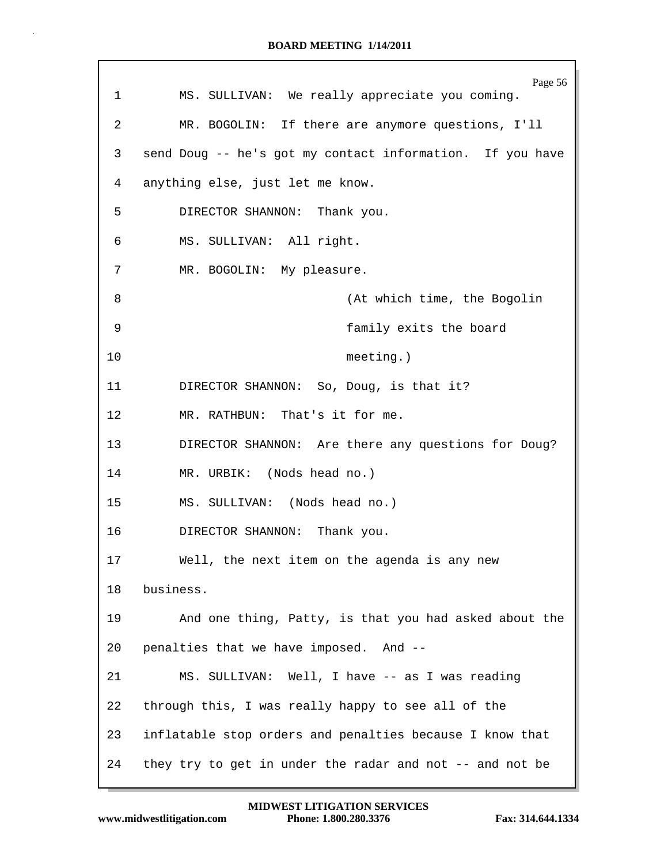| 1  | Page 56<br>MS. SULLIVAN: We really appreciate you coming. |
|----|-----------------------------------------------------------|
| 2  | MR. BOGOLIN: If there are anymore questions, I'll         |
| 3  | send Doug -- he's got my contact information. If you have |
| 4  | anything else, just let me know.                          |
| 5  | DIRECTOR SHANNON: Thank you.                              |
| 6  | MS. SULLIVAN: All right.                                  |
| 7  | MR. BOGOLIN: My pleasure.                                 |
| 8  | (At which time, the Bogolin                               |
| 9  | family exits the board                                    |
| 10 | $meeting.$ )                                              |
| 11 | DIRECTOR SHANNON: So, Doug, is that it?                   |
| 12 | MR. RATHBUN: That's it for me.                            |
| 13 | DIRECTOR SHANNON: Are there any questions for Doug?       |
| 14 | MR. URBIK: (Nods head no.)                                |
| 15 | MS. SULLIVAN: (Nods head no.)                             |
| 16 | DIRECTOR SHANNON: Thank you.                              |
| 17 | Well, the next item on the agenda is any new              |
| 18 | business.                                                 |
| 19 | And one thing, Patty, is that you had asked about the     |
| 20 | penalties that we have imposed. And --                    |
| 21 | MS. SULLIVAN: Well, I have -- as I was reading            |
| 22 | through this, I was really happy to see all of the        |
| 23 | inflatable stop orders and penalties because I know that  |
| 24 | they try to get in under the radar and not -- and not be  |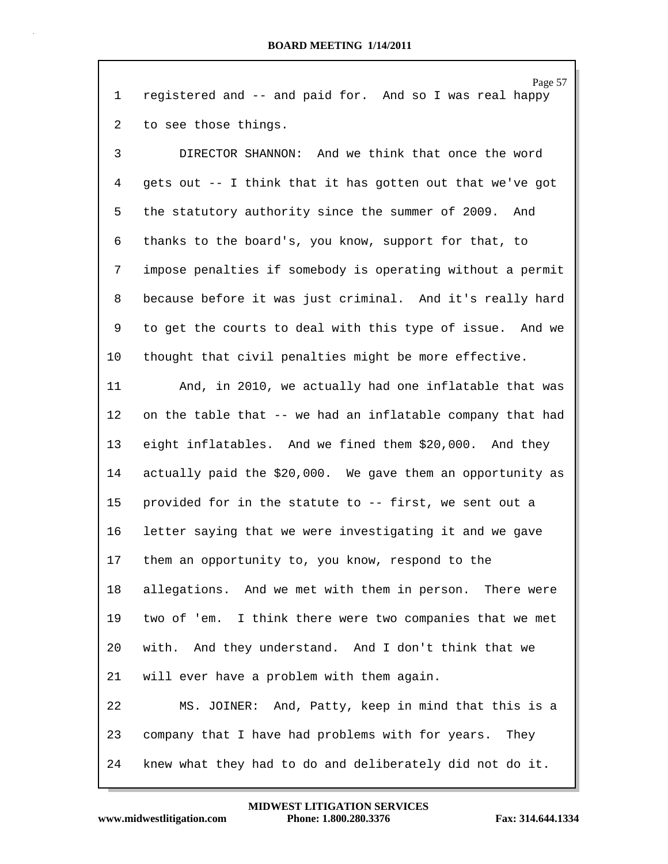Page 57 1 registered and -- and paid for. And so I was real happy 2 to see those things. 3 DIRECTOR SHANNON: And we think that once the word 4 gets out -- I think that it has gotten out that we've got 5 the statutory authority since the summer of 2009. And 6 thanks to the board's, you know, support for that, to 7 impose penalties if somebody is operating without a permit 8 because before it was just criminal. And it's really hard 9 to get the courts to deal with this type of issue. And we 10 thought that civil penalties might be more effective. 11 And, in 2010, we actually had one inflatable that was 12 on the table that -- we had an inflatable company that had 13 eight inflatables. And we fined them \$20,000. And they 14 actually paid the \$20,000. We gave them an opportunity as 15 provided for in the statute to -- first, we sent out a 16 letter saying that we were investigating it and we gave 17 them an opportunity to, you know, respond to the 18 allegations. And we met with them in person. There were 19 two of 'em. I think there were two companies that we met 20 with. And they understand. And I don't think that we 21 will ever have a problem with them again. 22 MS. JOINER: And, Patty, keep in mind that this is a 23 company that I have had problems with for years. They 24 knew what they had to do and deliberately did not do it.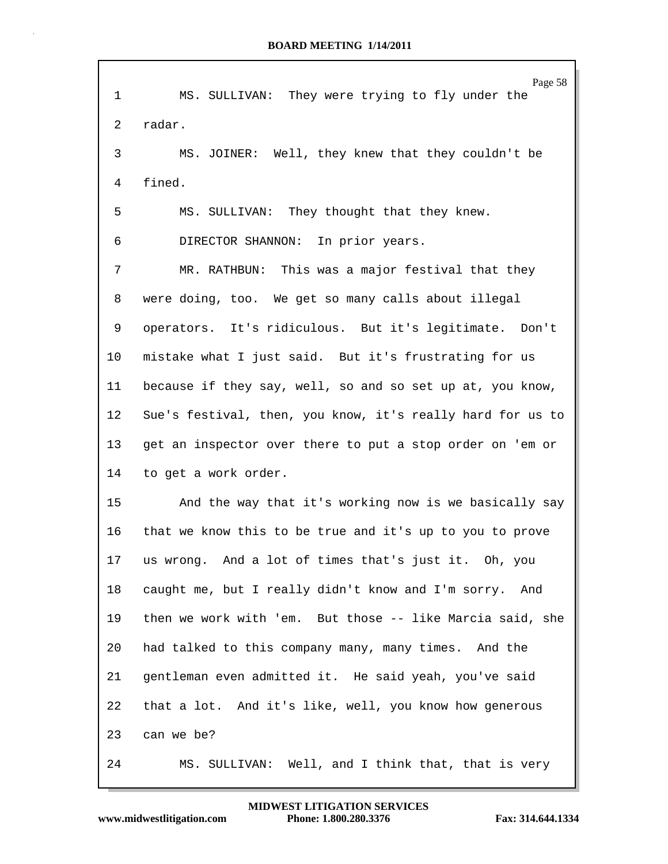| $\mathbf{1}$    | Page 58<br>MS. SULLIVAN: They were trying to fly under the |
|-----------------|------------------------------------------------------------|
| 2               | radar.                                                     |
| 3               | MS. JOINER: Well, they knew that they couldn't be          |
| 4               | fined.                                                     |
| 5               | They thought that they knew.<br>MS. SULLIVAN:              |
| 6               | DIRECTOR SHANNON: In prior years.                          |
| 7               | MR. RATHBUN: This was a major festival that they           |
| 8               | were doing, too. We get so many calls about illegal        |
| 9               | operators. It's ridiculous. But it's legitimate. Don't     |
| 10              | mistake what I just said. But it's frustrating for us      |
| 11              | because if they say, well, so and so set up at, you know,  |
| 12              | Sue's festival, then, you know, it's really hard for us to |
| 13 <sup>°</sup> | get an inspector over there to put a stop order on 'em or  |
| 14              | to get a work order.                                       |
| 15              | And the way that it's working now is we basically say      |
| 16              | that we know this to be true and it's up to you to prove   |
| 17              | us wrong. And a lot of times that's just it. Oh, you       |
| 18              | caught me, but I really didn't know and I'm sorry. And     |
| 19              | then we work with 'em. But those -- like Marcia said, she  |
| 20              | had talked to this company many, many times. And the       |
| 21              | gentleman even admitted it. He said yeah, you've said      |
| 22              | that a lot. And it's like, well, you know how generous     |
| 23              | can we be?                                                 |
| 24              | Well, and I think that, that is very<br>MS. SULLIVAN:      |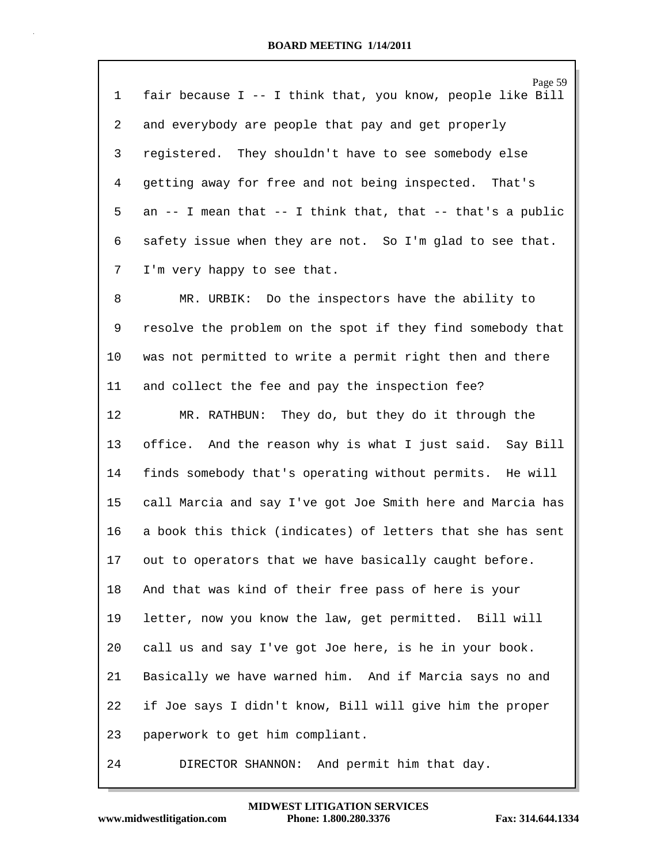| 1              | Page 59<br>fair because I -- I think that, you know, people like Bill |
|----------------|-----------------------------------------------------------------------|
|                |                                                                       |
| $\overline{a}$ | and everybody are people that pay and get properly                    |
| 3              | registered. They shouldn't have to see somebody else                  |
| 4              | getting away for free and not being inspected. That's                 |
| 5              | an -- I mean that -- I think that, that -- that's a public            |
| 6              | safety issue when they are not. So I'm glad to see that.              |
| 7              | I'm very happy to see that.                                           |
| 8              | MR. URBIK: Do the inspectors have the ability to                      |
| 9              | resolve the problem on the spot if they find somebody that            |
| 10             | was not permitted to write a permit right then and there              |
| 11             | and collect the fee and pay the inspection fee?                       |
| 12             | MR. RATHBUN: They do, but they do it through the                      |
| 13             | And the reason why is what I just said. Say Bill<br>office.           |
| 14             | finds somebody that's operating without permits. He will              |
| 15             | call Marcia and say I've got Joe Smith here and Marcia has            |
| 16             | a book this thick (indicates) of letters that she has sent            |
| 17             | out to operators that we have basically caught before.                |
| 18             | And that was kind of their free pass of here is your                  |
| 19             | letter, now you know the law, get permitted. Bill will                |
| 20             | call us and say I've got Joe here, is he in your book.                |
| 21             | Basically we have warned him. And if Marcia says no and               |
| 22             | if Joe says I didn't know, Bill will give him the proper              |
| 23             | paperwork to get him compliant.                                       |
| 24             | DIRECTOR SHANNON:<br>And permit him that day.                         |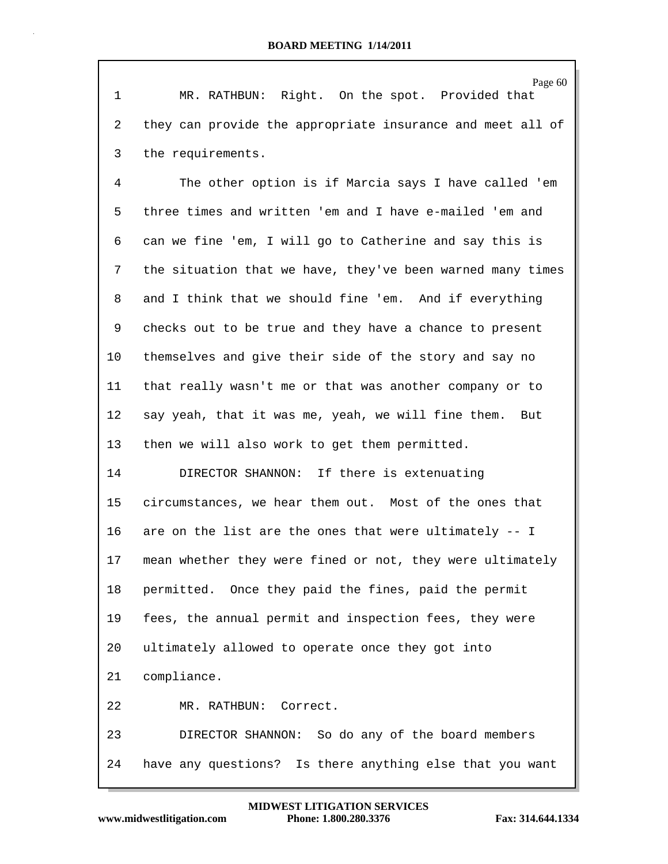Page 60 1 MR. RATHBUN: Right. On the spot. Provided that 2 they can provide the appropriate insurance and meet all of 3 the requirements. 4 The other option is if Marcia says I have called 'em 5 three times and written 'em and I have e-mailed 'em and 6 can we fine 'em, I will go to Catherine and say this is 7 the situation that we have, they've been warned many times 8 and I think that we should fine 'em. And if everything 9 checks out to be true and they have a chance to present 10 themselves and give their side of the story and say no 11 that really wasn't me or that was another company or to 12 say yeah, that it was me, yeah, we will fine them. But 13 then we will also work to get them permitted. 14 DIRECTOR SHANNON: If there is extenuating 15 circumstances, we hear them out. Most of the ones that 16 are on the list are the ones that were ultimately -- I 17 mean whether they were fined or not, they were ultimately 18 permitted. Once they paid the fines, paid the permit 19 fees, the annual permit and inspection fees, they were 20 ultimately allowed to operate once they got into 21 compliance. 22 MR. RATHBUN: Correct. 23 DIRECTOR SHANNON: So do any of the board members 24 have any questions? Is there anything else that you want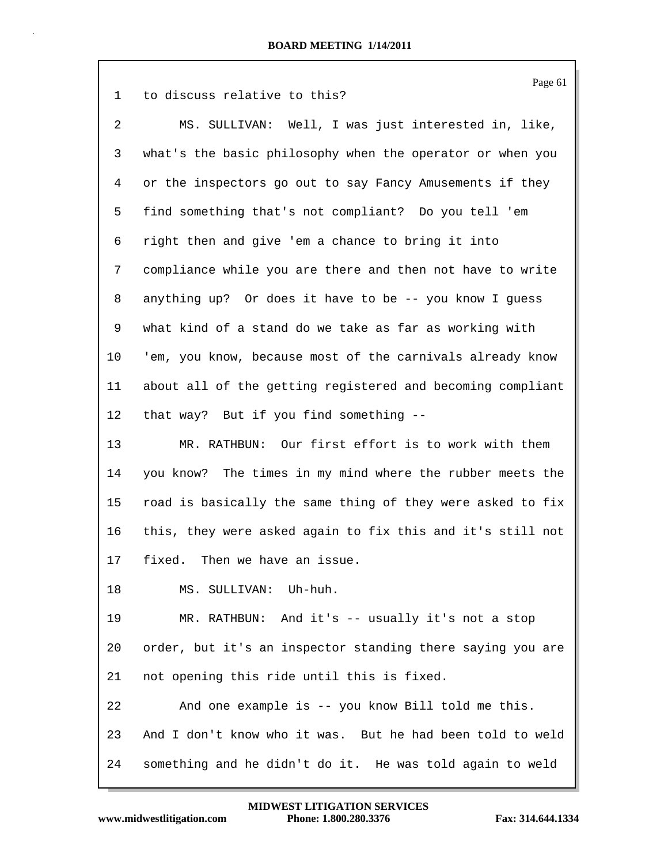| $\mathbf 1$    | Page 61<br>to discuss relative to this?                    |
|----------------|------------------------------------------------------------|
| $\overline{2}$ | MS. SULLIVAN: Well, I was just interested in, like,        |
| 3              | what's the basic philosophy when the operator or when you  |
| 4              | or the inspectors go out to say Fancy Amusements if they   |
| 5              | find something that's not compliant? Do you tell 'em       |
| 6              | right then and give 'em a chance to bring it into          |
| 7              | compliance while you are there and then not have to write  |
| 8              | anything up? Or does it have to be -- you know I guess     |
| 9              | what kind of a stand do we take as far as working with     |
| 10             | 'em, you know, because most of the carnivals already know  |
| 11             | about all of the getting registered and becoming compliant |
| 12             | that way? But if you find something --                     |
| 13             | MR. RATHBUN: Our first effort is to work with them         |
| 14             | you know? The times in my mind where the rubber meets the  |
| 15             | road is basically the same thing of they were asked to fix |
| 16             | this, they were asked again to fix this and it's still not |
| 17             | fixed. Then we have an issue.                              |
| 18             | MS. SULLIVAN: Uh-huh.                                      |
| 19             | MR. RATHBUN: And it's -- usually it's not a stop           |
| 20             | order, but it's an inspector standing there saying you are |
| 21             | not opening this ride until this is fixed.                 |
| 22             | And one example is -- you know Bill told me this.          |
| 23             | And I don't know who it was. But he had been told to weld  |
| 24             | something and he didn't do it. He was told again to weld   |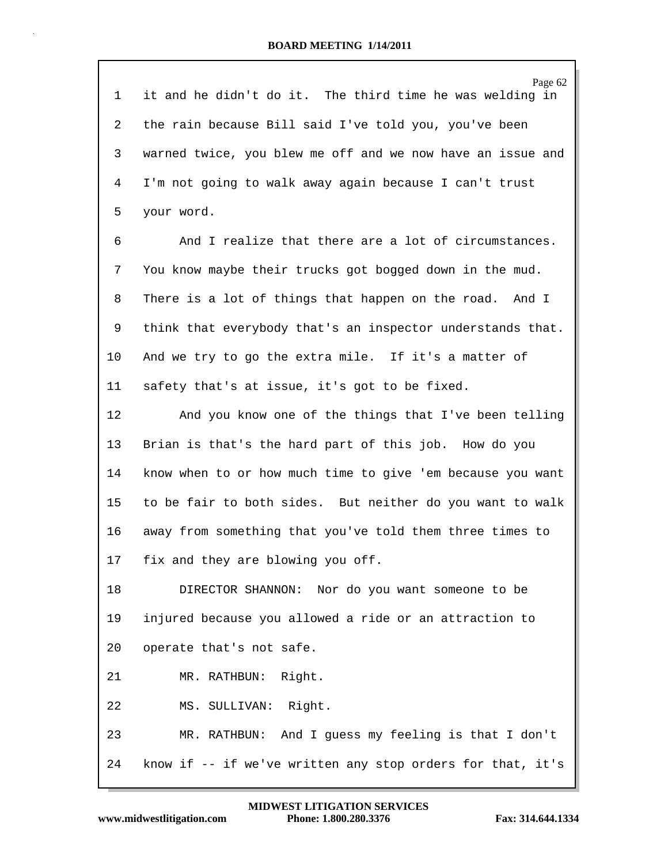| 1  | Page 62<br>it and he didn't do it. The third time he was welding in |
|----|---------------------------------------------------------------------|
| 2  | the rain because Bill said I've told you, you've been               |
|    |                                                                     |
| 3  | warned twice, you blew me off and we now have an issue and          |
| 4  | I'm not going to walk away again because I can't trust              |
| 5  | your word.                                                          |
| 6  | And I realize that there are a lot of circumstances.                |
| 7  | You know maybe their trucks got bogged down in the mud.             |
| 8  | There is a lot of things that happen on the road. And I             |
| 9  | think that everybody that's an inspector understands that.          |
| 10 | And we try to go the extra mile. If it's a matter of                |
| 11 | safety that's at issue, it's got to be fixed.                       |
| 12 | And you know one of the things that I've been telling               |
| 13 | Brian is that's the hard part of this job. How do you               |
| 14 | know when to or how much time to give 'em because you want          |
| 15 | to be fair to both sides. But neither do you want to walk           |
| 16 | away from something that you've told them three times to            |
| 17 | fix and they are blowing you off.                                   |
| 18 | DIRECTOR SHANNON: Nor do you want someone to be                     |
| 19 | injured because you allowed a ride or an attraction to              |
| 20 | operate that's not safe.                                            |
| 21 | MR. RATHBUN: Right.                                                 |
| 22 | MS. SULLIVAN: Right.                                                |
| 23 | MR. RATHBUN: And I guess my feeling is that I don't                 |
| 24 | know if -- if we've written any stop orders for that, it's          |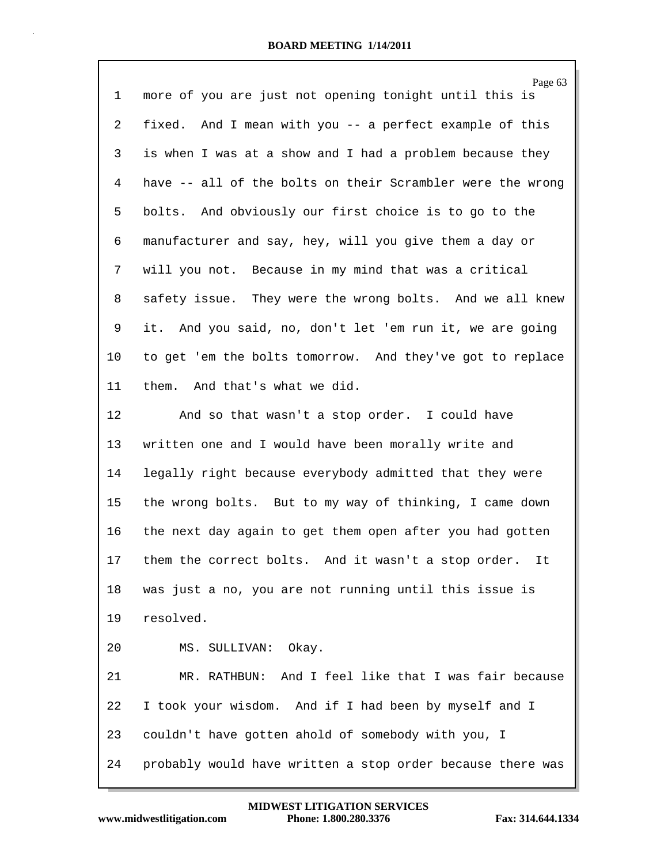| 1  | Page 63<br>more of you are just not opening tonight until this is |
|----|-------------------------------------------------------------------|
| 2  | fixed. And I mean with you -- a perfect example of this           |
| 3  | is when I was at a show and I had a problem because they          |
| 4  | have -- all of the bolts on their Scrambler were the wrong        |
| 5  | bolts. And obviously our first choice is to go to the             |
| 6  | manufacturer and say, hey, will you give them a day or            |
| 7  | will you not. Because in my mind that was a critical              |
| 8  | safety issue. They were the wrong bolts. And we all knew          |
| 9  | it. And you said, no, don't let 'em run it, we are going          |
| 10 | to get 'em the bolts tomorrow. And they've got to replace         |
| 11 | them. And that's what we did.                                     |
| 12 | And so that wasn't a stop order. I could have                     |
| 13 | written one and I would have been morally write and               |
| 14 | legally right because everybody admitted that they were           |
| 15 | the wrong bolts. But to my way of thinking, I came down           |
| 16 | the next day again to get them open after you had gotten          |
| 17 | them the correct bolts. And it wasn't a stop order. It            |
| 18 | was just a no, you are not running until this issue is            |
| 19 | resolved.                                                         |
| 20 | MS. SULLIVAN: Okay.                                               |
| 21 | MR. RATHBUN: And I feel like that I was fair because              |
| 22 | I took your wisdom. And if I had been by myself and I             |
| 23 | couldn't have gotten ahold of somebody with you, I                |
| 24 | probably would have written a stop order because there was        |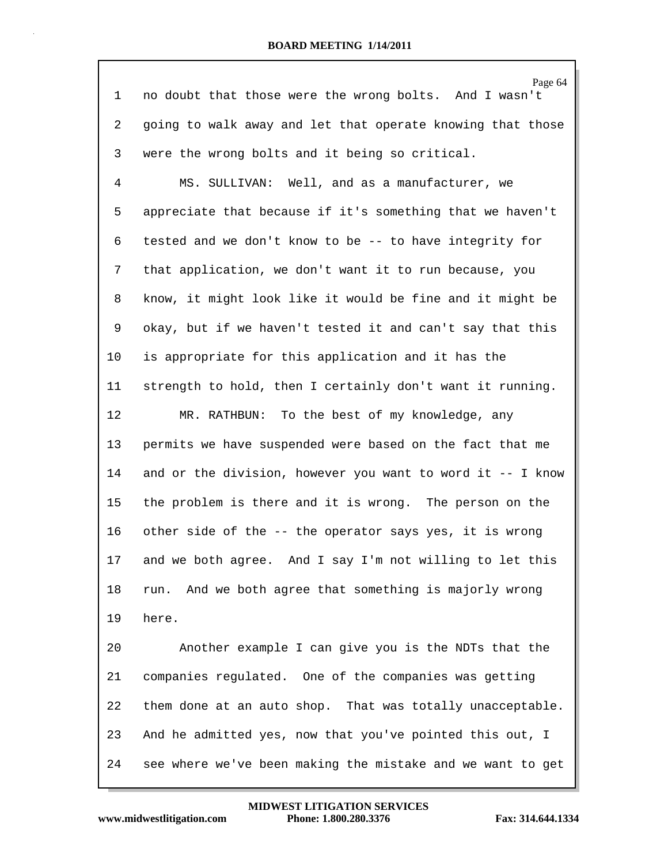| $\mathbf 1$ | Page 64<br>no doubt that those were the wrong bolts. And I wasn't |
|-------------|-------------------------------------------------------------------|
| 2           | going to walk away and let that operate knowing that those        |
| 3           | were the wrong bolts and it being so critical.                    |
| 4           | MS. SULLIVAN: Well, and as a manufacturer, we                     |
| 5           | appreciate that because if it's something that we haven't         |
| 6           | tested and we don't know to be -- to have integrity for           |
| 7           | that application, we don't want it to run because, you            |
| 8           | know, it might look like it would be fine and it might be         |
| 9           | okay, but if we haven't tested it and can't say that this         |
| 10          | is appropriate for this application and it has the                |
| 11          | strength to hold, then I certainly don't want it running.         |
| 12          | MR. RATHBUN: To the best of my knowledge, any                     |
| 13          | permits we have suspended were based on the fact that me          |
| 14          | and or the division, however you want to word it -- I know        |
| 15          | the problem is there and it is wrong. The person on the           |
| 16          | other side of the -- the operator says yes, it is wrong           |
| 17          | and we both agree. And I say I'm not willing to let this          |
| 18          | run. And we both agree that something is majorly wrong            |
| 19          | here.                                                             |
| 20          | Another example I can give you is the NDTs that the               |
| 21          | companies regulated. One of the companies was getting             |
| 22          | them done at an auto shop. That was totally unacceptable.         |
| 23          | And he admitted yes, now that you've pointed this out, I          |
| 24          | see where we've been making the mistake and we want to get        |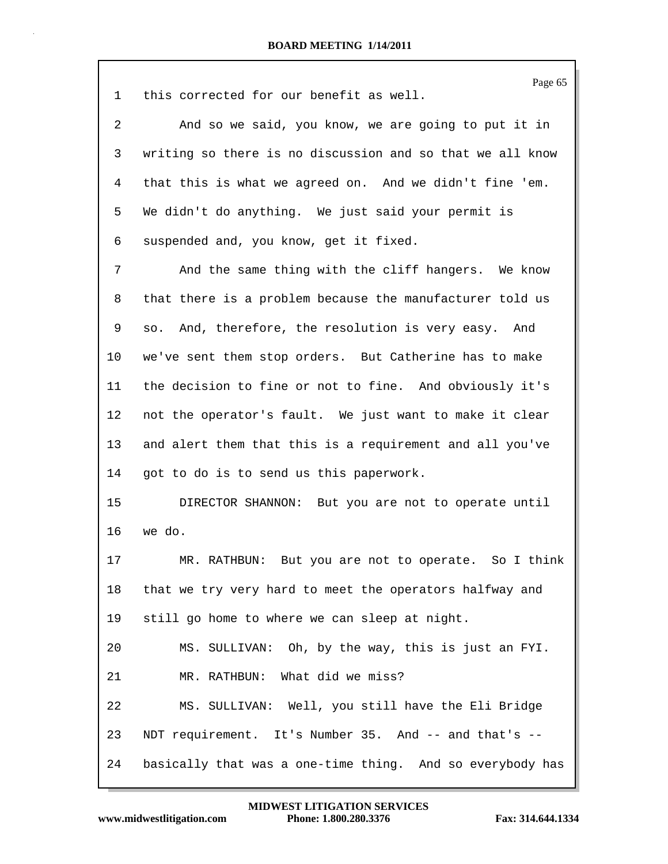| 1  | Page 65<br>this corrected for our benefit as well.        |
|----|-----------------------------------------------------------|
| 2  | And so we said, you know, we are going to put it in       |
| 3  | writing so there is no discussion and so that we all know |
| 4  | that this is what we agreed on. And we didn't fine 'em.   |
| 5  | We didn't do anything. We just said your permit is        |
| 6  | suspended and, you know, get it fixed.                    |
| 7  | And the same thing with the cliff hangers. We know        |
| 8  | that there is a problem because the manufacturer told us  |
| 9  | so. And, therefore, the resolution is very easy. And      |
| 10 | we've sent them stop orders. But Catherine has to make    |
| 11 | the decision to fine or not to fine. And obviously it's   |
| 12 | not the operator's fault. We just want to make it clear   |
| 13 | and alert them that this is a requirement and all you've  |
| 14 | got to do is to send us this paperwork.                   |
| 15 | DIRECTOR SHANNON: But you are not to operate until        |
| 16 | we do.                                                    |
| 17 | MR<br>RATHBUN: But you are not to operate. So I think     |
| 18 | that we try very hard to meet the operators halfway and   |
| 19 | still go home to where we can sleep at night.             |
| 20 | MS. SULLIVAN: Oh, by the way, this is just an FYI.        |
| 21 | MR. RATHBUN: What did we miss?                            |
| 22 | MS. SULLIVAN: Well, you still have the Eli Bridge         |
| 23 | NDT requirement. It's Number 35. And -- and that's --     |
| 24 | basically that was a one-time thing. And so everybody has |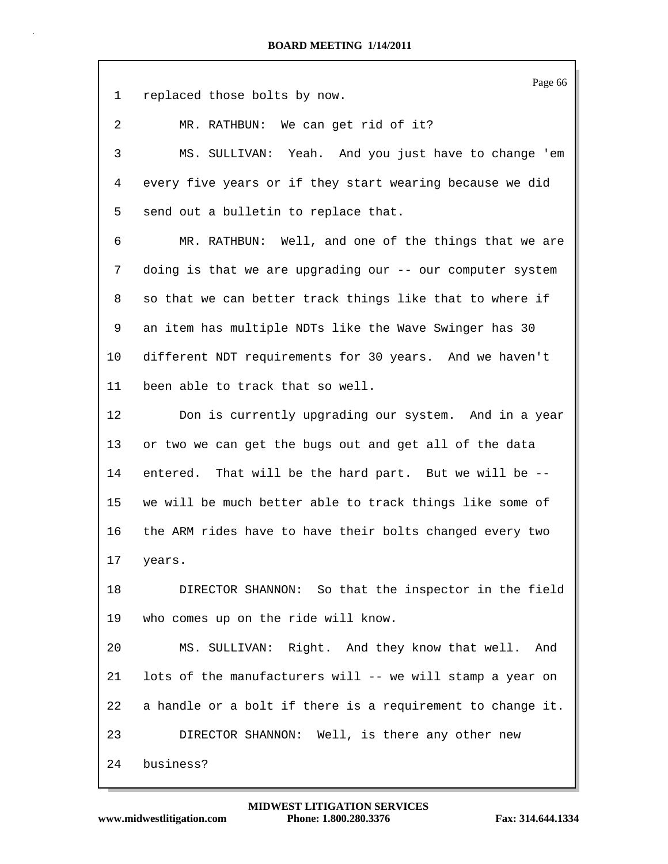| $\mathbf{1}$ | Page 66<br>replaced those bolts by now.                    |
|--------------|------------------------------------------------------------|
| 2            | MR. RATHBUN: We can get rid of it?                         |
| 3            | MS. SULLIVAN: Yeah. And you just have to change 'em        |
| 4            | every five years or if they start wearing because we did   |
| 5            | send out a bulletin to replace that.                       |
| 6            | MR. RATHBUN: Well, and one of the things that we are       |
| 7            | doing is that we are upgrading our -- our computer system  |
| 8            | so that we can better track things like that to where if   |
| 9            | an item has multiple NDTs like the Wave Swinger has 30     |
| 10           | different NDT requirements for 30 years. And we haven't    |
| 11           | been able to track that so well.                           |
| 12           | Don is currently upgrading our system. And in a year       |
| 13           | or two we can get the bugs out and get all of the data     |
| 14           | entered. That will be the hard part. But we will be --     |
| 15           | we will be much better able to track things like some of   |
| 16           | the ARM rides have to have their bolts changed every two   |
| 17           | years.                                                     |
| 18           | DIRECTOR SHANNON: So that the inspector in the field       |
| 19           | who comes up on the ride will know.                        |
| 20           | MS. SULLIVAN: Right. And they know that well. And          |
| 21           | lots of the manufacturers will -- we will stamp a year on  |
| 22           | a handle or a bolt if there is a requirement to change it. |
| 23           | DIRECTOR SHANNON: Well, is there any other new             |
| 24           | business?                                                  |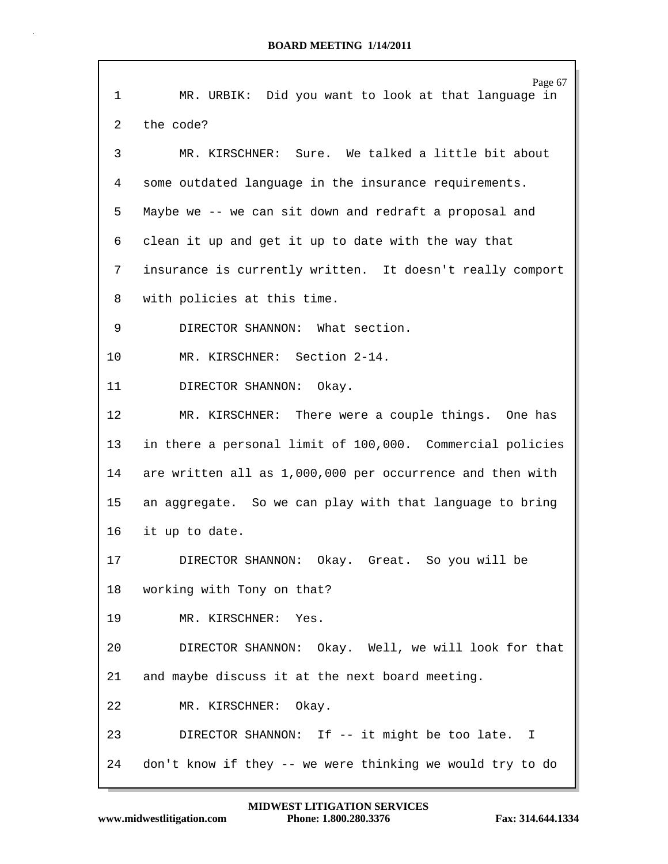|    | Page 67                                                   |
|----|-----------------------------------------------------------|
| 1  | MR. URBIK: Did you want to look at that language in       |
| 2  | the code?                                                 |
| 3  | MR. KIRSCHNER: Sure. We talked a little bit about         |
| 4  | some outdated language in the insurance requirements.     |
| 5  | Maybe we -- we can sit down and redraft a proposal and    |
| 6  | clean it up and get it up to date with the way that       |
| 7  | insurance is currently written. It doesn't really comport |
| 8  | with policies at this time.                               |
| 9  | DIRECTOR SHANNON: What section.                           |
| 10 | MR. KIRSCHNER: Section 2-14.                              |
| 11 | DIRECTOR SHANNON: Okay.                                   |
| 12 | MR. KIRSCHNER: There were a couple things. One has        |
| 13 | in there a personal limit of 100,000. Commercial policies |
| 14 | are written all as 1,000,000 per occurrence and then with |
| 15 | an aggregate. So we can play with that language to bring  |
| 16 | it up to date.                                            |
| 17 | DIRECTOR SHANNON: Okay. Great. So you will be             |
| 18 | working with Tony on that?                                |
| 19 | MR. KIRSCHNER: Yes.                                       |
| 20 | DIRECTOR SHANNON: Okay. Well, we will look for that       |
| 21 | and maybe discuss it at the next board meeting.           |
| 22 | Okay.<br>MR. KIRSCHNER:                                   |
| 23 | DIRECTOR SHANNON: If -- it might be too late. I           |
| 24 | don't know if they -- we were thinking we would try to do |

 $\mathsf{r}$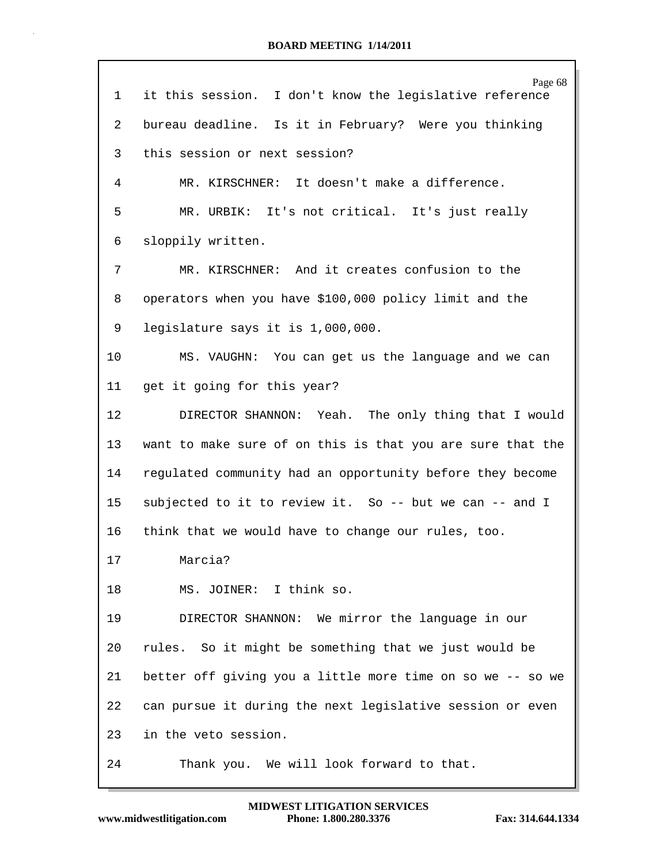| $\mathbf{1}$ | Page 68<br>it this session. I don't know the legislative reference |
|--------------|--------------------------------------------------------------------|
| 2            | bureau deadline. Is it in February? Were you thinking              |
| 3            | this session or next session?                                      |
| 4            | MR. KIRSCHNER: It doesn't make a difference.                       |
| 5            | MR. URBIK: It's not critical. It's just really                     |
| 6            | sloppily written.                                                  |
| 7            | MR. KIRSCHNER: And it creates confusion to the                     |
| 8            | operators when you have \$100,000 policy limit and the             |
| 9            | legislature says it is 1,000,000.                                  |
| 10           | MS. VAUGHN: You can get us the language and we can                 |
| 11           | get it going for this year?                                        |
| 12           | DIRECTOR SHANNON: Yeah. The only thing that I would                |
| 13           | want to make sure of on this is that you are sure that the         |
| 14           | regulated community had an opportunity before they become          |
| 15           | subjected to it to review it. So -- but we can -- and I            |
| 16           | think that we would have to change our rules, too.                 |
| 17           | Marcia?                                                            |
| 18           | MS. JOINER: I think so.                                            |
| 19           | DIRECTOR SHANNON: We mirror the language in our                    |
| 20           | rules. So it might be something that we just would be              |
| 21           | better off giving you a little more time on so we -- so we         |
| 22           | can pursue it during the next legislative session or even          |
| 23           | in the veto session.                                               |
| 24           | Thank you. We will look forward to that.                           |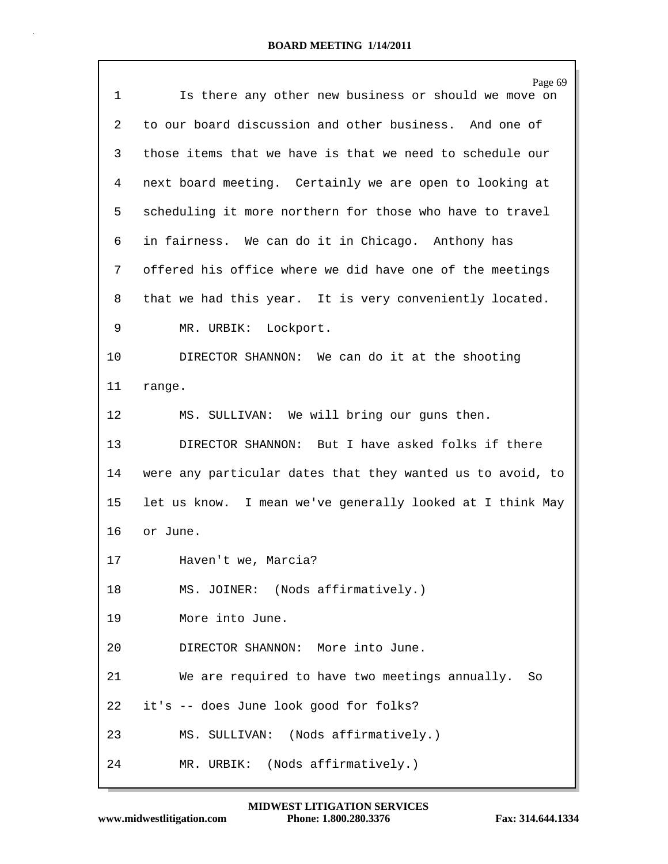| 1  | Page 69<br>Is there any other new business or should we move on |
|----|-----------------------------------------------------------------|
| 2  | to our board discussion and other business. And one of          |
| 3  | those items that we have is that we need to schedule our        |
|    |                                                                 |
| 4  | next board meeting. Certainly we are open to looking at         |
| 5. | scheduling it more northern for those who have to travel        |
| 6  | in fairness. We can do it in Chicago. Anthony has               |
| 7  | offered his office where we did have one of the meetings        |
| 8  | that we had this year. It is very conveniently located.         |
| 9  | MR. URBIK: Lockport.                                            |
| 10 | DIRECTOR SHANNON: We can do it at the shooting                  |
| 11 | range.                                                          |
| 12 | MS. SULLIVAN: We will bring our guns then.                      |
| 13 | DIRECTOR SHANNON: But I have asked folks if there               |
| 14 | were any particular dates that they wanted us to avoid, to      |
| 15 | let us know. I mean we've generally looked at I think May       |
| 16 | or June.                                                        |
| 17 | Haven't we, Marcia?                                             |
| 18 | MS. JOINER: (Nods affirmatively.)                               |
| 19 | More into June.                                                 |
| 20 | DIRECTOR SHANNON: More into June.                               |
| 21 | We are required to have two meetings annually.<br>So            |
| 22 | it's -- does June look good for folks?                          |
| 23 | MS. SULLIVAN: (Nods affirmatively.)                             |
| 24 | MR. URBIK: (Nods affirmatively.)                                |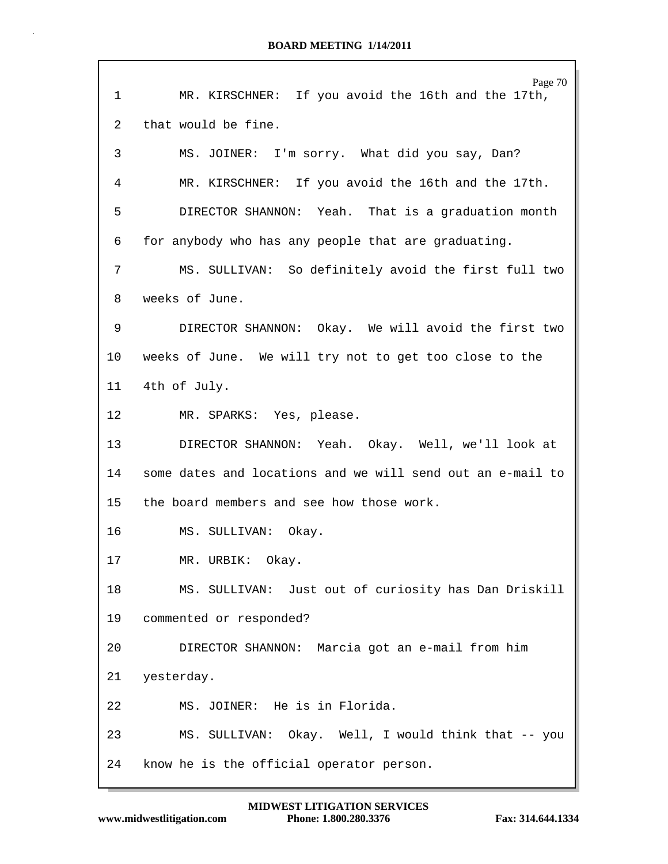| 1               | Page 70<br>MR. KIRSCHNER: If you avoid the 16th and the 17th, |
|-----------------|---------------------------------------------------------------|
| 2               | that would be fine.                                           |
| 3               | MS. JOINER: I'm sorry. What did you say, Dan?                 |
| 4               | MR. KIRSCHNER: If you avoid the 16th and the 17th.            |
| 5               | DIRECTOR SHANNON: Yeah. That is a graduation month            |
| 6               | for anybody who has any people that are graduating.           |
| 7               | MS. SULLIVAN: So definitely avoid the first full two          |
| 8               | weeks of June.                                                |
| 9               | DIRECTOR SHANNON: Okay. We will avoid the first two           |
| 10              | weeks of June. We will try not to get too close to the        |
| 11              | 4th of July.                                                  |
| 12 <sup>°</sup> | MR. SPARKS: Yes, please.                                      |
| 13              | DIRECTOR SHANNON: Yeah. Okay. Well, we'll look at             |
| 14              | some dates and locations and we will send out an e-mail to    |
| 15              | the board members and see how those work.                     |
| 16              | MS. SULLIVAN: Okay.                                           |
| 17              | MR. URBIK: Okay.                                              |
| 18              | MS. SULLIVAN: Just out of curiosity has Dan Driskill          |
| 19              | commented or responded?                                       |
| 20              | DIRECTOR SHANNON: Marcia got an e-mail from him               |
| 21              | yesterday.                                                    |
| 22              | MS. JOINER: He is in Florida.                                 |
| 23              | MS. SULLIVAN: Okay. Well, I would think that -- you           |
| 24              | know he is the official operator person.                      |

Г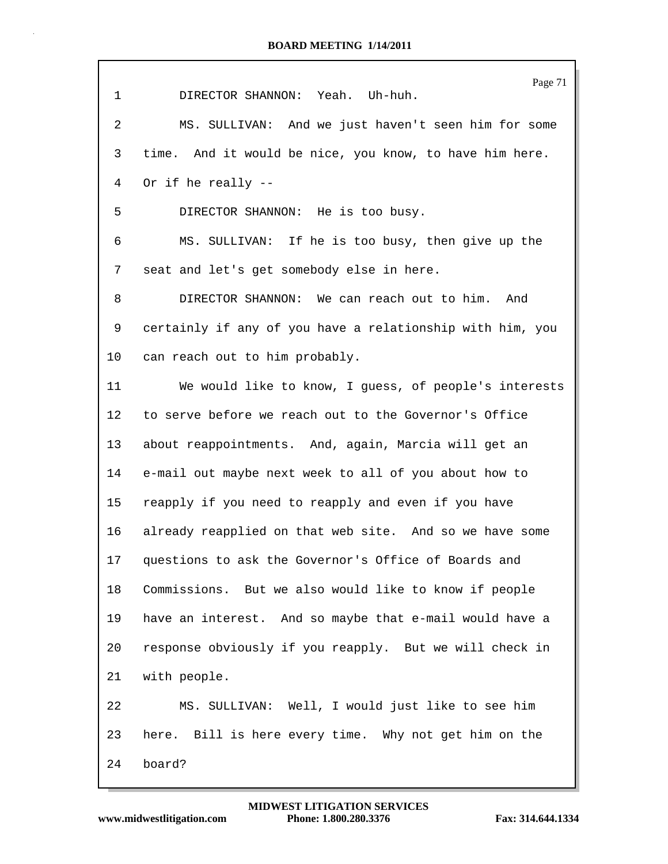| $\mathbf 1$ | Page 71<br>DIRECTOR SHANNON: Yeah. Uh-huh.                |
|-------------|-----------------------------------------------------------|
| 2           | MS. SULLIVAN: And we just haven't seen him for some       |
| 3           | time. And it would be nice, you know, to have him here.   |
| 4           | Or if he really --                                        |
| 5           | DIRECTOR SHANNON: He is too busy.                         |
| 6           | MS. SULLIVAN: If he is too busy, then give up the         |
| 7           | seat and let's get somebody else in here.                 |
| 8           | DIRECTOR SHANNON: We can reach out to him. And            |
| 9           | certainly if any of you have a relationship with him, you |
| $10 \,$     | can reach out to him probably.                            |
| 11          | We would like to know, I guess, of people's interests     |
| 12          | to serve before we reach out to the Governor's Office     |
| 13          | about reappointments. And, again, Marcia will get an      |
| 14          | e-mail out maybe next week to all of you about how to     |
| 15          | reapply if you need to reapply and even if you have       |
| 16          | already reapplied on that web site. And so we have some   |
| 17          | questions to ask the Governor's Office of Boards and      |
| 18          | Commissions. But we also would like to know if people     |
| 19          | have an interest. And so maybe that e-mail would have a   |
| 20          | response obviously if you reapply. But we will check in   |
| 21          | with people.                                              |
| 22          | MS. SULLIVAN: Well, I would just like to see him          |
| 23          | here. Bill is here every time. Why not get him on the     |
| 24          | board?                                                    |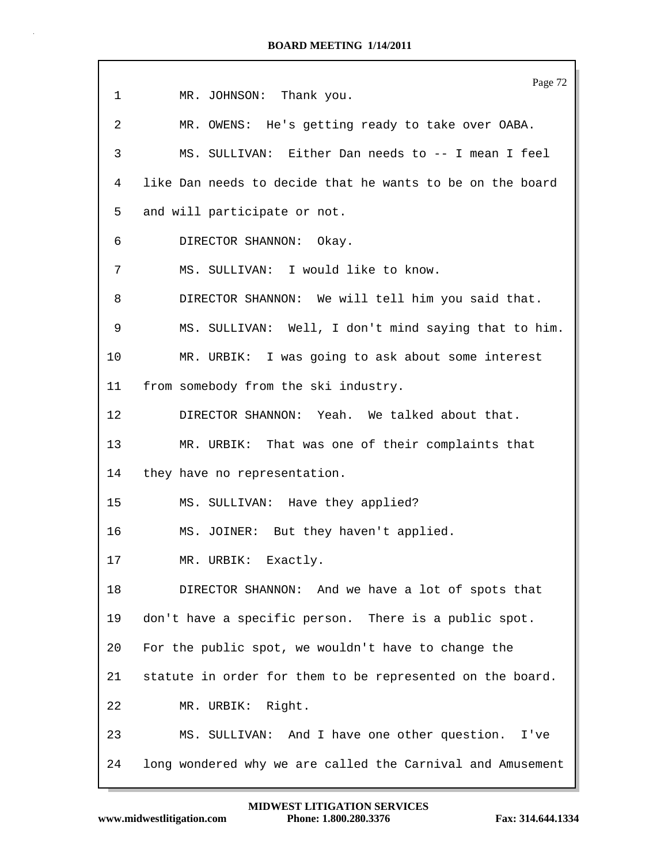|             | Page 72                                                    |
|-------------|------------------------------------------------------------|
| $\mathbf 1$ | MR. JOHNSON: Thank you.                                    |
| 2           | MR. OWENS: He's getting ready to take over OABA.           |
| 3           | MS. SULLIVAN: Either Dan needs to -- I mean I feel         |
| 4           | like Dan needs to decide that he wants to be on the board  |
| 5           | and will participate or not.                               |
| 6           | DIRECTOR SHANNON: Okay.                                    |
| 7           | MS. SULLIVAN: I would like to know.                        |
| 8           | DIRECTOR SHANNON: We will tell him you said that.          |
| 9           | MS. SULLIVAN: Well, I don't mind saying that to him.       |
| 10          | MR. URBIK: I was going to ask about some interest          |
| 11          | from somebody from the ski industry.                       |
| 12          | DIRECTOR SHANNON: Yeah. We talked about that.              |
| 13          | MR. URBIK: That was one of their complaints that           |
| 14          | they have no representation.                               |
| 15          | MS. SULLIVAN: Have they applied?                           |
| 16          | MS. JOINER: But they haven't applied.                      |
| 17          | MR. URBIK: Exactly.                                        |
| 18          | DIRECTOR SHANNON: And we have a lot of spots that          |
| 19          | don't have a specific person. There is a public spot.      |
| 20          | For the public spot, we wouldn't have to change the        |
| 21          | statute in order for them to be represented on the board.  |
| 22          | MR. URBIK: Right.                                          |
| 23          | MS. SULLIVAN: And I have one other question. I've          |
| 24          | long wondered why we are called the Carnival and Amusement |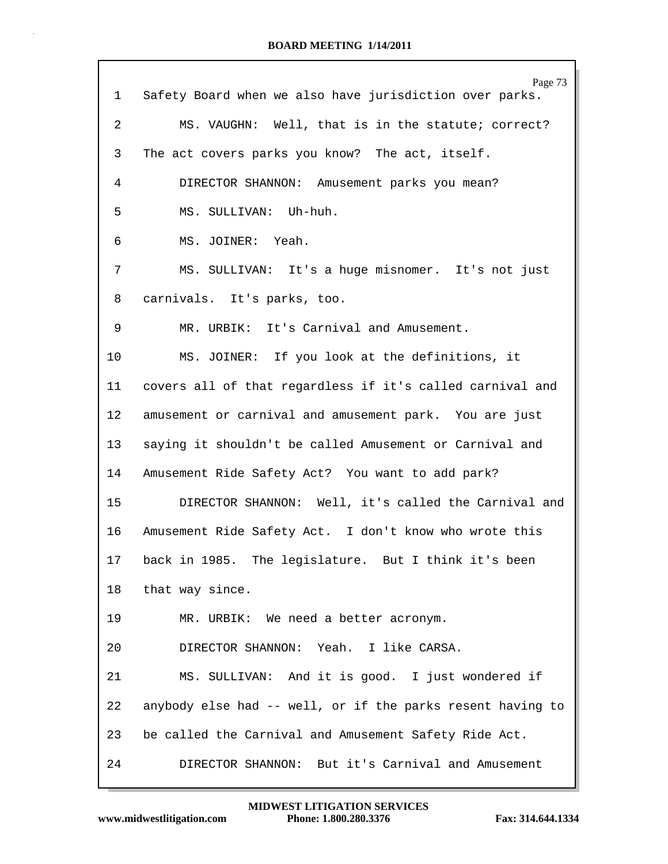| 1               | Page 73<br>Safety Board when we also have jurisdiction over parks. |
|-----------------|--------------------------------------------------------------------|
| $\overline{2}$  | MS. VAUGHN: Well, that is in the statute; correct?                 |
| 3               | The act covers parks you know? The act, itself.                    |
| 4               | DIRECTOR SHANNON: Amusement parks you mean?                        |
| 5               | MS. SULLIVAN: Uh-huh.                                              |
| 6               | MS. JOINER: Yeah.                                                  |
| 7               | MS. SULLIVAN: It's a huge misnomer. It's not just                  |
| 8               | carnivals. It's parks, too.                                        |
| 9               | MR. URBIK: It's Carnival and Amusement.                            |
| $10 \,$         | MS. JOINER: If you look at the definitions, it                     |
| 11              | covers all of that regardless if it's called carnival and          |
| 12              | amusement or carnival and amusement park. You are just             |
| 13              | saying it shouldn't be called Amusement or Carnival and            |
| 14              | Amusement Ride Safety Act? You want to add park?                   |
| 15              | DIRECTOR SHANNON: Well, it's called the Carnival and               |
| 16              | Amusement Ride Safety Act. I don't know who wrote this             |
| 17 <sub>2</sub> | back in 1985. The legislature. But I think it's been               |
| 18              | that way since.                                                    |
| 19              | MR. URBIK: We need a better acronym.                               |
| 20              | DIRECTOR SHANNON: Yeah. I like CARSA.                              |
| 21              | MS. SULLIVAN: And it is good. I just wondered if                   |
| 22              | anybody else had -- well, or if the parks resent having to         |
| 23              | be called the Carnival and Amusement Safety Ride Act.              |
| 24              | DIRECTOR SHANNON: But it's Carnival and Amusement                  |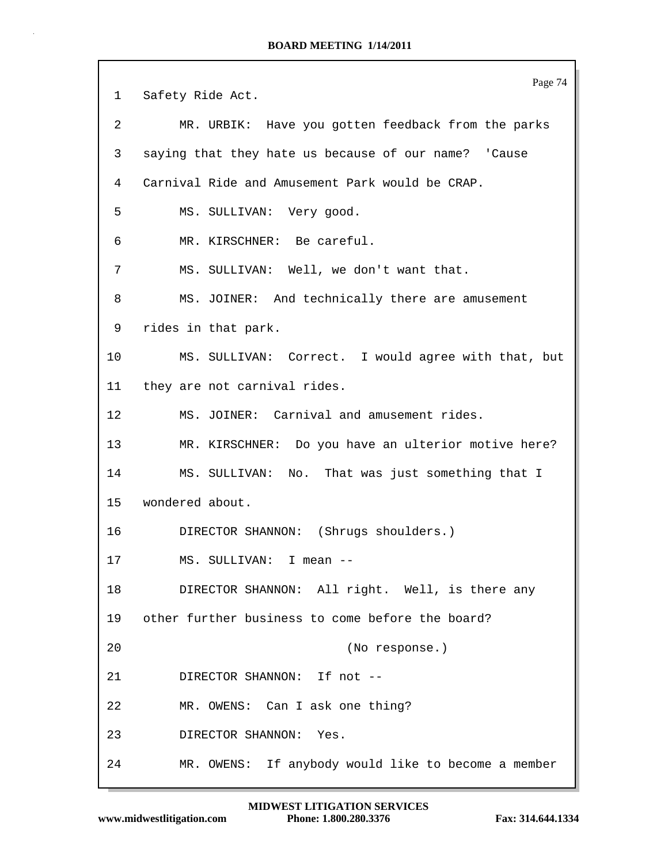Page 74 1 Safety Ride Act. 2 MR. URBIK: Have you gotten feedback from the parks 3 saying that they hate us because of our name? 'Cause 4 Carnival Ride and Amusement Park would be CRAP. 5 MS. SULLIVAN: Very good. 6 MR. KIRSCHNER: Be careful. 7 MS. SULLIVAN: Well, we don't want that. 8 MS. JOINER: And technically there are amusement 9 rides in that park. 10 MS. SULLIVAN: Correct. I would agree with that, but 11 they are not carnival rides. 12 MS. JOINER: Carnival and amusement rides. 13 MR. KIRSCHNER: Do you have an ulterior motive here? 14 MS. SULLIVAN: No. That was just something that I 15 wondered about. 16 DIRECTOR SHANNON: (Shrugs shoulders.) 17 MS. SULLIVAN: I mean -- 18 DIRECTOR SHANNON: All right. Well, is there any 19 other further business to come before the board? 20 (No response.) 21 DIRECTOR SHANNON: If not -- 22 MR. OWENS: Can I ask one thing? 23 DIRECTOR SHANNON: Yes. 24 MR. OWENS: If anybody would like to become a member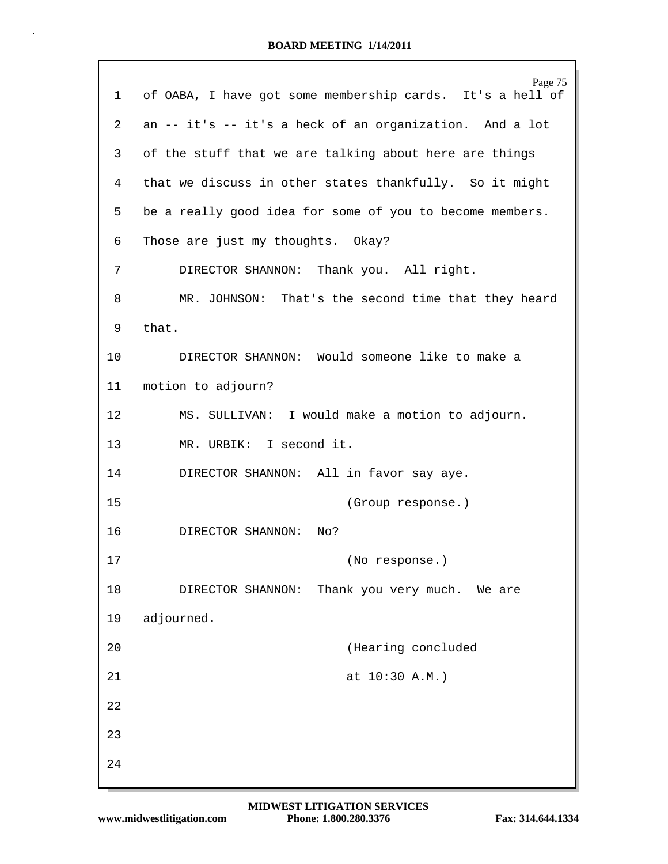| ı  | Page 75<br>of OABA, I have got some membership cards. It's a hell of |
|----|----------------------------------------------------------------------|
| 2  | an -- it's -- it's a heck of an organization. And a lot              |
| 3  | of the stuff that we are talking about here are things               |
| 4  | that we discuss in other states thankfully. So it might              |
| 5  | be a really good idea for some of you to become members.             |
| 6  | Those are just my thoughts. Okay?                                    |
| 7  | DIRECTOR SHANNON: Thank you. All right.                              |
| 8  | MR. JOHNSON: That's the second time that they heard                  |
| 9  | that.                                                                |
| 10 | DIRECTOR SHANNON: Would someone like to make a                       |
| 11 | motion to adjourn?                                                   |
| 12 | MS. SULLIVAN: I would make a motion to adjourn.                      |
| 13 | MR. URBIK: I second it.                                              |
| 14 | DIRECTOR SHANNON: All in favor say aye.                              |
| 15 | (Group response.)                                                    |
| 16 | DIRECTOR SHANNON:<br>No?                                             |
| 17 | (No response.)                                                       |
| 18 | Thank you very much. We are<br>DIRECTOR SHANNON:                     |
| 19 | adjourned.                                                           |
| 20 | (Hearing concluded                                                   |
| 21 | at 10:30 A.M.)                                                       |
| 22 |                                                                      |
| 23 |                                                                      |
| 24 |                                                                      |

Г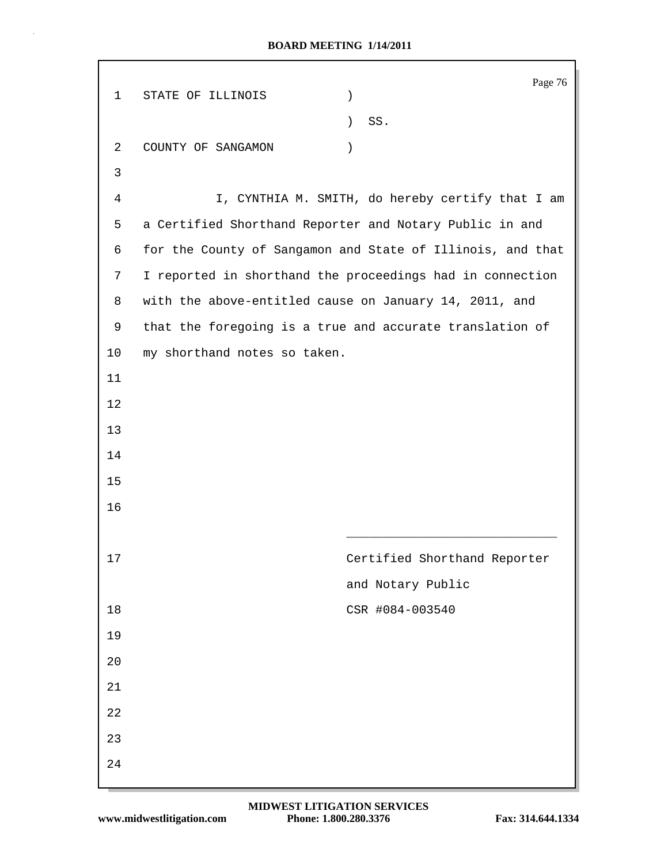|             |                                                            | Page 76                                          |
|-------------|------------------------------------------------------------|--------------------------------------------------|
| $\mathbf 1$ | STATE OF ILLINOIS<br>$\mathcal{C}$                         |                                                  |
|             | $\mathcal{L}$                                              | SS.                                              |
| 2           | COUNTY OF SANGAMON<br>$\mathcal{C}$                        |                                                  |
| 3           |                                                            |                                                  |
| 4           |                                                            | I, CYNTHIA M. SMITH, do hereby certify that I am |
| 5           | a Certified Shorthand Reporter and Notary Public in and    |                                                  |
| 6           | for the County of Sangamon and State of Illinois, and that |                                                  |
| 7           | I reported in shorthand the proceedings had in connection  |                                                  |
| 8           | with the above-entitled cause on January 14, 2011, and     |                                                  |
| 9           | that the foregoing is a true and accurate translation of   |                                                  |
| 10          | my shorthand notes so taken.                               |                                                  |
| 11          |                                                            |                                                  |
| 12          |                                                            |                                                  |
| 13          |                                                            |                                                  |
| 14          |                                                            |                                                  |
| 15          |                                                            |                                                  |
| 16          |                                                            |                                                  |
|             |                                                            |                                                  |
| $17$        |                                                            | Certified Shorthand Reporter                     |
|             |                                                            | and Notary Public                                |
| 18          |                                                            | CSR #084-003540                                  |
| 19          |                                                            |                                                  |
| 20          |                                                            |                                                  |
| 21          |                                                            |                                                  |
| 22          |                                                            |                                                  |
| 23          |                                                            |                                                  |
| 24          |                                                            |                                                  |
|             |                                                            |                                                  |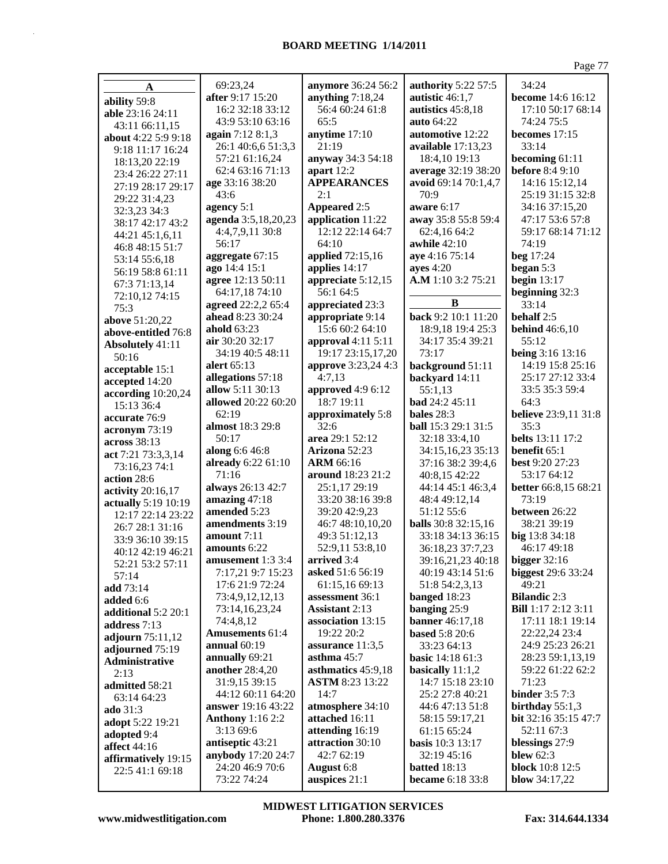| A                       | 69:23,24                | anymore 36:24 56:2     | <b>authority</b> 5:22 57:5 | 34:24                       |
|-------------------------|-------------------------|------------------------|----------------------------|-----------------------------|
| ability 59:8            | after 9:17 15:20        | anything $7:18,24$     | autistic 46:1,7            | <b>become</b> 14:6 16:12    |
| able 23:16 24:11        | 16:2 32:18 33:12        | 56:4 60:24 61:8        | autistics 45:8,18          | 17:10 50:17 68:14           |
| 43:11 66:11,15          | 43:9 53:10 63:16        | 65:5                   | auto 64:22                 | 74:24 75:5                  |
| about 4:22 5:9 9:18     | again 7:12 8:1,3        | anytime 17:10          | automotive 12:22           | becomes $17:15$             |
| 9:18 11:17 16:24        | 26:1 40:6,6 51:3,3      | 21:19                  | available 17:13,23         | 33:14                       |
| 18:13,20 22:19          | 57:21 61:16,24          | anyway 34:3 54:18      | 18:4,10 19:13              | becoming 61:11              |
| 23:4 26:22 27:11        | 62:4 63:16 71:13        | apart 12:2             | average 32:19 38:20        | <b>before</b> 8:4 9:10      |
| 27:19 28:17 29:17       | age 33:16 38:20         | <b>APPEARANCES</b>     | avoid 69:14 70:1,4,7       | 14:16 15:12,14              |
| 29:22 31:4,23           | 43:6                    | 2:1                    | 70:9                       | 25:19 31:15 32:8            |
| 32:3,23 34:3            | agency 5:1              | <b>Appeared 2:5</b>    | aware 6:17                 | 34:16 37:15,20              |
| 38:17 42:17 43:2        | agenda 3:5,18,20,23     | application 11:22      | away 35:8 55:8 59:4        | 47:17 53:6 57:8             |
| 44:21 45:1,6,11         | 4:4,7,9,11 30:8         | 12:12 22:14 64:7       | 62:4,16 64:2               | 59:17 68:14 71:12           |
| 46:8 48:15 51:7         | 56:17                   | 64:10                  | awhile $42:10$             | 74:19                       |
| 53:14 55:6,18           | aggregate 67:15         | applied 72:15,16       | aye 4:16 75:14             | beg 17:24                   |
| 56:19 58:8 61:11        | ago 14:4 15:1           | applies 14:17          | ayes $4:20$                | began 5:3                   |
| 67:3 71:13,14           | agree 12:13 50:11       | appreciate $5:12,15$   | A.M 1:10 3:2 75:21         | begin $13:17$               |
| 72:10,12 74:15          | 64:17,18 74:10          | 56:1 64:5              |                            | beginning 32:3              |
| 75:3                    | agreed 22:2,2 65:4      | appreciated 23:3       | B                          | 33:14                       |
| above 51:20,22          | ahead 8:23 30:24        | appropriate 9:14       | back 9:2 10:1 11:20        | behalf 2:5                  |
| above-entitled 76:8     | ahold 63:23             | 15:6 60:2 64:10        | 18:9,18 19:4 25:3          | <b>behind</b> 46:6,10       |
| <b>Absolutely 41:11</b> | air 30:20 32:17         | approval $4:11$ $5:11$ | 34:17 35:4 39:21           | 55:12                       |
| 50:16                   | 34:19 40:5 48:11        | 19:17 23:15,17,20      | 73:17                      | being 3:16 13:16            |
| acceptable 15:1         | alert 65:13             | approve 3:23,24 4:3    | background 51:11           | 14:19 15:8 25:16            |
| accepted 14:20          | allegations 57:18       | 4:7,13                 | backyard 14:11             | 25:17 27:12 33:4            |
| according 10:20,24      | allow 5:11 30:13        | approved 4:9 6:12      | 55:1,13                    | 33:5 35:3 59:4              |
| 15:13 36:4              | allowed 20:22 60:20     | 18:7 19:11             | bad 24:2 45:11             | 64:3                        |
| accurate 76:9           | 62:19                   | approximately 5:8      | bales $28:3$               | <b>believe</b> 23:9,11 31:8 |
| acronym 73:19           | almost 18:3 29:8        | 32:6                   | <b>ball</b> 15:3 29:1 31:5 | 35:3                        |
| across 38:13            | 50:17                   | area 29:1 52:12        | 32:18 33:4,10              | <b>belts</b> 13:11 17:2     |
| act 7:21 73:3,3,14      | along 6:6 46:8          | Arizona 52:23          | 34:15,16,23 35:13          | benefit 65:1                |
| 73:16,23 74:1           | already 6:22 61:10      | <b>ARM 66:16</b>       | 37:16 38:2 39:4,6          | <b>best 9:20 27:23</b>      |
| action 28:6             | 71:16                   | around 18:23 21:2      | 40:8,15 42:22              | 53:17 64:12                 |
| activity 20:16,17       | always 26:13 42:7       | 25:1,17 29:19          | 44:14 45:1 46:3,4          | better 66:8,15 68:21        |
| actually 5:19 10:19     | amazing 47:18           | 33:20 38:16 39:8       | 48:4 49:12,14              | 73:19                       |
| 12:17 22:14 23:22       | amended 5:23            | 39:20 42:9,23          | 51:12 55:6                 | between 26:22               |
| 26:7 28:1 31:16         | amendments 3:19         | 46:7 48:10,10,20       | <b>balls</b> 30:8 32:15,16 | 38:21 39:19                 |
| 33:9 36:10 39:15        | amount 7:11             | 49:3 51:12,13          | 33:18 34:13 36:15          | big 13:8 34:18              |
| 40:12 42:19 46:21       | amounts 6:22            | 52:9,11 53:8,10        | 36:18,23 37:7,23           | 46:17 49:18                 |
| 52:21 53:2 57:11        | amusement $1:3\,3:4$    | arrived 3:4            | 39:16,21,23 40:18          | <b>bigger</b> 32:16         |
| 57:14                   | 7:17,21 9:7 15:23       | asked 51:6 56:19       | 40:19 43:14 51:6           | <b>biggest</b> 29:6 33:24   |
| add 73:14               | 17:6 21:9 72:24         | 61:15,16 69:13         | 51:8 54:2,3,13             | 49:21                       |
| added 6:6               | 73:4,9,12,12,13         | assessment 36:1        | banged 18:23               | <b>Bilandic 2:3</b>         |
| additional 5:2 20:1     | 73:14,16,23,24          | <b>Assistant</b> 2:13  | banging 25:9               | <b>Bill</b> 1:17 2:12 3:11  |
| address $7:13$          | 74:4,8,12               | association 13:15      | <b>banner</b> 46:17,18     | 17:11 18:1 19:14            |
| adjourn 75:11,12        | <b>Amusements 61:4</b>  | 19:22 20:2             | <b>based</b> 5:8 20:6      | 22:22,24 23:4               |
| adjourned 75:19         | annual $60:19$          | assurance $11:3,5$     | 33:23 64:13                | 24:9 25:23 26:21            |
| Administrative          | annually 69:21          | asthma $45:7$          | <b>basic</b> $14:1861:3$   | 28:23 59:1,13,19            |
| 2:13                    | another 28:4,20         | asthmatics 45:9,18     | basically 11:1,2           | 59:22 61:22 62:2            |
| admitted 58:21          | 31:9,15 39:15           | <b>ASTM 8:23 13:22</b> | 14:7 15:18 23:10           | 71:23                       |
| 63:14 64:23             | 44:12 60:11 64:20       | 14:7                   | 25:2 27:8 40:21            | <b>binder</b> 3:5 7:3       |
| ado 31:3                | answer 19:16 43:22      | atmosphere 34:10       | 44:6 47:13 51:8            | birthday $55:1,3$           |
| adopt 5:22 19:21        | <b>Anthony</b> 1:16 2:2 | attached 16:11         | 58:15 59:17,21             | <b>bit</b> 32:16 35:15 47:7 |
| adopted 9:4             | 3:13 69:6               | attending 16:19        | 61:15 65:24                | 52:11 67:3                  |
| affect 44:16            | antiseptic 43:21        | attraction 30:10       | <b>basis</b> $10:3$ 13:17  | blessings 27:9              |
| affirmatively 19:15     | anybody 17:20 24:7      | 42:7 62:19             | 32:19 45:16                | blew $62:3$                 |
| 22:5 41:1 69:18         | 24:20 46:9 70:6         | August 6:8             | <b>batted</b> 18:13        | <b>block</b> 10:8 12:5      |
|                         | 73:22 74:24             | auspices 21:1          | became 6:18 33:8           | blow 34:17,22               |

MIDWEST LITIGATION SERVICES Phone: 1.800.280.3376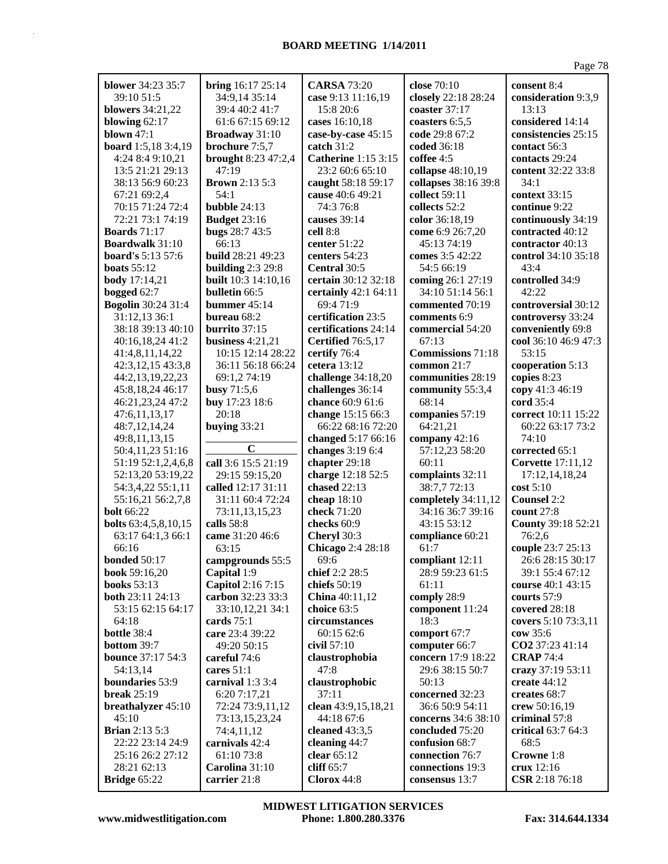| <b>blower</b> 34:23 35:7        | bring 16:17 25:14            | <b>CARSA 73:20</b>                     | close 70:10                       | consent 8:4                             |
|---------------------------------|------------------------------|----------------------------------------|-----------------------------------|-----------------------------------------|
| 39:10 51:5                      | 34:9,14 35:14                | case 9:13 11:16,19                     | closely 22:18 28:24               | consideration 9:3,9                     |
| <b>blowers</b> 34:21,22         | 39:4 40:2 41:7               | 15:8 20:6                              | coaster 37:17                     | 13:13                                   |
| blowing $62:17$                 | 61:6 67:15 69:12             | cases 16:10,18                         | coasters 6:5,5                    | considered 14:14                        |
| <b>blown</b> 47:1               | Broadway 31:10               | case-by-case 45:15                     | code 29:8 67:2                    | consistencies 25:15                     |
| board 1:5,18 3:4,19             | brochure 7:5,7               | catch $31:2$                           | coded 36:18                       | contact 56:3                            |
| 4:24 8:4 9:10,21                | <b>brought</b> 8:23 47:2,4   | <b>Catherine</b> 1:15 3:15             | coffee 4:5                        | contacts 29:24                          |
| 13:5 21:21 29:13                | 47:19                        | 23:2 60:6 65:10                        | collapse 48:10,19                 | content 32:22 33:8                      |
| 38:13 56:9 60:23                | <b>Brown</b> 2:13 5:3        | caught 58:18 59:17                     | collapses 38:16 39:8              | 34:1                                    |
| 67:21 69:2,4                    | 54:1                         | cause 40:6 49:21                       | collect 59:11                     | context 33:15                           |
| 70:15 71:24 72:4                | bubble 24:13                 | 74:3 76:8                              | collects 52:2                     | continue 9:22                           |
| 72:21 73:1 74:19                | <b>Budget 23:16</b>          | causes 39:14                           | color 36:18,19                    | continuously 34:19                      |
| <b>Boards</b> 71:17             | bugs 28:7 43:5               | cell 8:8                               | come 6:9 26:7,20                  | contracted 40:12                        |
| <b>Boardwalk</b> 31:10          | 66:13                        | center $51:22$                         | 45:13 74:19                       | contractor 40:13                        |
| <b>board's</b> 5:13 57:6        | build 28:21 49:23            | centers 54:23                          | comes 3:5 42:22                   | control 34:10 35:18                     |
| boats $55:12$                   | building $2:3$ 29:8          | Central 30:5                           | 54:5 66:19                        | 43:4                                    |
| <b>body</b> 17:14,21            | <b>built</b> 10:3 14:10,16   | certain 30:12 32:18                    | coming 26:1 27:19                 | controlled 34:9                         |
| bogged $62:7$                   | bulletin 66:5                | certainly $42:1$ 64:11                 | 34:10 51:14 56:1                  | 42:22                                   |
| <b>Bogolin 30:24 31:4</b>       | bummer $45:14$               | 69:4 71:9                              | commented 70:19                   | controversial 30:12                     |
| 31:12,13 36:1                   | bureau 68:2                  | certification 23:5                     | comments 6:9                      | controversy 33:24                       |
| 38:18 39:13 40:10               | burrito 37:15                | certifications 24:14                   | commercial 54:20                  | conveniently 69:8                       |
| 40:16,18,24 41:2                | business $4:21,21$           | Certified 76:5,17                      | 67:13                             | cool 36:10 46:9 47:3                    |
| 41:4,8,11,14,22                 | 10:15 12:14 28:22            | certify 76:4                           | <b>Commissions</b> 71:18          | 53:15                                   |
| 42:3,12,15 43:3,8               | 36:11 56:18 66:24            | cetera 13:12                           | common 21:7                       | cooperation 5:13                        |
| 44:2,13,19,22,23                | 69:1,2 74:19                 | challenge 34:18,20                     | communities 28:19                 | copies 8:23                             |
| 45:8,18,24 46:17                | busy 71:5,6                  | challenges 36:14                       | community 55:3,4                  | copy 41:3 46:19                         |
| 46:21,23,24 47:2                | buy 17:23 18:6<br>20:18      | chance 60:9 61:6                       | 68:14                             | cord 35:4                               |
| 47:6,11,13,17                   |                              | change 15:15 66:3<br>66:22 68:16 72:20 | companies 57:19<br>64:21,21       | correct 10:11 15:22<br>60:22 63:17 73:2 |
| 48:7,12,14,24<br>49:8,11,13,15  | buying $33:21$               | changed 5:17 66:16                     | company 42:16                     | 74:10                                   |
| 50:4,11,23 51:16                | $\mathbf C$                  | changes 3:19 6:4                       | 57:12,23 58:20                    | corrected 65:1                          |
| 51:19 52:1,2,4,6,8              | call 3:6 15:5 21:19          | chapter 29:18                          | 60:11                             | <b>Corvette</b> 17:11,12                |
| 52:13,20 53:19,22               | 29:15 59:15,20               | charge 12:18 52:5                      | complaints 32:11                  | 17:12,14,18,24                          |
| 54:3,4,22 55:1,11               | called 12:17 31:11           | chased 22:13                           | 38:7,7 72:13                      | $\cos t 5:10$                           |
| 55:16,21 56:2,7,8               | 31:11 60:4 72:24             | cheap 18:10                            | completely 34:11,12               | <b>Counsel 2:2</b>                      |
| <b>bolt</b> 66:22               | 73:11,13,15,23               | check 71:20                            | 34:16 36:7 39:16                  | count $27:8$                            |
| <b>bolts</b> 63:4,5,8,10,15     | calls 58:8                   | checks 60:9                            | 43:15 53:12                       | County 39:18 52:21                      |
| 63:17 64:1,3 66:1               | came 31:20 46:6              | Cheryl 30:3                            | compliance 60:21                  | 76:2,6                                  |
| 66:16                           | 63:15                        | Chicago 2:4 28:18                      | 61:7                              | couple 23:7 25:13                       |
| <b>bonded</b> 50:17             | campgrounds 55:5             | 69:6                                   | compliant 12:11                   | 26:6 28:15 30:17                        |
| book 59:16,20                   | Capital 1:9                  | chief 2:2 28:5                         | 28:9 59:23 61:5                   | 39:1 55:4 67:12                         |
| <b>books</b> 53:13              | Capitol 2:16 7:15            | chiefs 50:19                           | 61:11                             | course 40:1 43:15                       |
| both 23:11 24:13                | carbon 32:23 33:3            | China 40:11,12                         | comply 28:9                       | courts 57:9                             |
| 53:15 62:15 64:17               | 33:10,12,21 34:1             | choice 63:5                            | component 11:24                   | covered 28:18                           |
| 64:18                           | cards $75:1$                 | circumstances                          | 18:3                              | covers 5:10 73:3,11                     |
| bottle 38:4                     | care 23:4 39:22              | 60:15 62:6                             | comport 67:7                      | cow 35:6                                |
| bottom 39:7                     | 49:20 50:15                  | civil 57:10                            | computer 66:7                     | CO2 37:23 41:14                         |
| <b>bounce</b> 37:17 54:3        | careful 74:6                 | claustrophobia                         | concern 17:9 18:22                | <b>CRAP 74:4</b>                        |
| 54:13,14                        | cares $51:1$                 | 47:8                                   | 29:6 38:15 50:7                   | crazy 37:19 53:11                       |
| boundaries 53:9                 | carnival 1:3 3:4             | claustrophobic                         | 50:13                             | create 44:12                            |
| <b>break</b> 25:19              | 6:20 7:17,21                 | 37:11                                  | concerned 32:23                   | creates 68:7                            |
| breathalyzer 45:10              | 72:24 73:9,11,12             | clean 43:9,15,18,21                    | 36:6 50:9 54:11                   | crew 50:16,19                           |
| 45:10                           | 73:13,15,23,24               | 44:18 67:6                             | concerns 34:6 38:10               | criminal 57:8                           |
| <b>Brian</b> 2:13 5:3           | 74:4,11,12                   | cleaned $43:3,5$                       | concluded 75:20                   | critical 63:7 64:3                      |
| 22:22 23:14 24:9                | carnivals 42:4               | cleaning 44:7                          | confusion 68:7<br>connection 76:7 | 68:5                                    |
| 25:16 26:2 27:12<br>28:21 62:13 | 61:10 73:8<br>Carolina 31:10 | clear $65:12$<br>cliff 65:7            | connections 19:3                  | Crowne 1:8<br>crux 12:16                |
| Bridge 65:22                    | carrier 21:8                 | Clorox 44:8                            | consensus 13:7                    | CSR 2:18 76:18                          |
|                                 |                              |                                        |                                   |                                         |

**www.midwestlitigation.com Phone: 1.800.280.3376 Fax: 314.644.1334 MIDWEST LITIGATION SERVICES**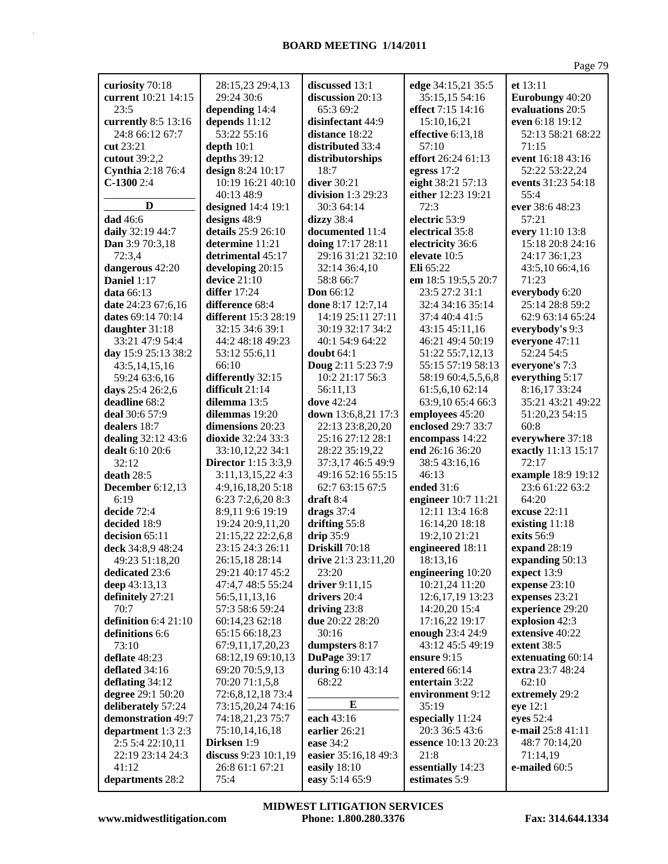|                          |                             |                      |                     | Page 79             |
|--------------------------|-----------------------------|----------------------|---------------------|---------------------|
| curiosity 70:18          | 28:15,23 29:4,13            | discussed 13:1       | edge 34:15,21 35:5  | et 13:11            |
| current 10:21 14:15      | 29:24 30:6                  | discussion 20:13     | 35:15,15 54:16      | Eurobungy 40:20     |
| 23:5                     | depending 14:4              | 65:3 69:2            | effect 7:15 14:16   | evaluations 20:5    |
| currently 8:5 13:16      | depends 11:12               | disinfectant 44:9    | 15:10,16,21         | even 6:18 19:12     |
|                          |                             |                      |                     |                     |
| 24:8 66:12 67:7          | 53:22 55:16                 | distance 18:22       | effective 6:13,18   | 52:13 58:21 68:22   |
| cut 23:21                | depth $10:1$                | distributed 33:4     | 57:10               | 71:15               |
| cutout 39:2,2            | depths 39:12                | distributorships     | effort 26:24 61:13  | event 16:18 43:16   |
| <b>Cynthia</b> 2:18 76:4 | design 8:24 10:17           | 18:7                 | egress 17:2         | 52:22 53:22,24      |
| $C-13002:4$              | 10:19 16:21 40:10           | diver 30:21          | eight 38:21 57:13   | events 31:23 54:18  |
|                          | 40:13 48:9                  | division 1:3 29:23   | either 12:23 19:21  | 55:4                |
| D                        | designed 14:4 19:1          | 30:3 64:14           | 72:3                | ever 38:6 48:23     |
| <b>dad</b> 46:6          | designs 48:9                | dizzy 38:4           | electric 53:9       | 57:21               |
| daily 32:19 44:7         | details 25:9 26:10          | documented 11:4      | electrical 35:8     | every 11:10 13:8    |
| Dan 3:9 70:3,18          | determine 11:21             | doing 17:17 28:11    | electricity 36:6    | 15:18 20:8 24:16    |
| 72:3,4                   | detrimental 45:17           | 29:16 31:21 32:10    | elevate 10:5        | 24:17 36:1,23       |
| dangerous 42:20          | developing 20:15            | 32:14 36:4,10        | Eli 65:22           | 43:5,10 66:4,16     |
| Daniel 1:17              | device $21:10$              | 58:8 66:7            | em 18:5 19:5,5 20:7 | 71:23               |
| <b>data</b> 66:13        | <b>differ</b> 17:24         | <b>Don</b> 66:12     | 23:5 27:2 31:1      | everybody 6:20      |
| date 24:23 67:6,16       | difference 68:4             | done 8:17 12:7,14    | 32:4 34:16 35:14    | 25:14 28:8 59:2     |
| dates 69:14 70:14        | <b>different</b> 15:3 28:19 | 14:19 25:11 27:11    | 37:4 40:4 41:5      | 62:9 63:14 65:24    |
| daughter 31:18           | 32:15 34:6 39:1             | 30:19 32:17 34:2     | 43:15 45:11,16      | everybody's 9:3     |
| 33:21 47:9 54:4          | 44:2 48:18 49:23            | 40:1 54:9 64:22      | 46:21 49:4 50:19    | everyone 47:11      |
| day 15:9 25:13 38:2      | 53:12 55:6,11               | doubt $64:1$         | 51:22 55:7,12,13    | 52:24 54:5          |
| 43:5,14,15,16            | 66:10                       | Doug 2:11 5:23 7:9   | 55:15 57:19 58:13   | everyone's 7:3      |
| 59:24 63:6,16            | differently 32:15           | 10:2 21:17 56:3      | 58:19 60:4,5,5,6,8  | everything 5:17     |
| days 25:4 26:2,6         | difficult 21:14             | 56:11,13             | 61:5,6,10 62:14     | 8:16,17 33:24       |
| deadline 68:2            | dilemma 13:5                | <b>dove</b> 42:24    | 63:9,10 65:4 66:3   | 35:21 43:21 49:22   |
| deal 30:6 57:9           | dilemmas 19:20              | down 13:6,8,21 17:3  | employees 45:20     | 51:20,23 54:15      |
| dealers 18:7             | dimensions 20:23            | 22:13 23:8,20,20     | enclosed 29:7 33:7  | 60:8                |
| dealing 32:12 43:6       | dioxide 32:24 33:3          | 25:16 27:12 28:1     | encompass 14:22     | everywhere 37:18    |
| dealt 6:10 20:6          | 33:10,12,22 34:1            | 28:22 35:19,22       | end 26:16 36:20     | exactly 11:13 15:17 |
| 32:12                    | <b>Director</b> 1:15 3:3,9  | 37:3,17 46:5 49:9    | 38:5 43:16,16       | 72:17               |
| death $28:5$             | 3:11, 13, 15, 22 4: 3       | 49:16 52:16 55:15    | 46:13               | example 18:9 19:12  |
| December 6:12,13         | 4:9,16,18,20 5:18           | 62:7 63:15 67:5      | ended 31:6          | 23:6 61:22 63:2     |
| 6:19                     | 6:23 7:2,6,20 8:3           | draft $8:4$          | engineer 10:7 11:21 | 64:20               |
| decide 72:4              | 8:9,11 9:6 19:19            | drags $37:4$         | 12:11 13:4 16:8     | excuse 22:11        |
| decided 18:9             | 19:24 20:9,11,20            | drifting 55:8        | 16:14,20 18:18      | existing 11:18      |
| decision 65:11           | 21:15,22 22:2,6,8           | drip 35:9            | 19:2,10 21:21       | exits 56:9          |
| deck 34:8,9 48:24        | 23:15 24:3 26:11            | Driskill 70:18       | engineered 18:11    | expand 28:19        |
| 49:23 51:18,20           | 26:15,18 28:14              | drive 21:3 23:11,20  | 18:13,16            | expanding 50:13     |
| dedicated 23:6           | 29:21 40:17 45:2            | 23:20                | engineering 10:20   | expect 13:9         |
| deep 43:13,13            | 47:4,7 48:5 55:24           | driver 9:11,15       | 10:21,24 11:20      | expense 23:10       |
| definitely 27:21         | 56:5,11,13,16               | drivers 20:4         | 12:6, 17, 19 13:23  | expenses 23:21      |
| 70:7                     | 57:3 58:6 59:24             | driving 23:8         | 14:20,20 15:4       | experience 29:20    |
| definition $6:4$ 21:10   | 60:14,23 62:18              | due 20:22 28:20      | 17:16,22 19:17      | explosion 42:3      |
| definitions 6:6          | 65:15 66:18,23              | 30:16                | enough 23:4 24:9    | extensive 40:22     |
| 73:10                    | 67:9,11,17,20,23            | dumpsters 8:17       | 43:12 45:5 49:19    | extent 38:5         |
| deflate 48:23            | 68:12,19 69:10,13           | DuPage 39:17         | ensure 9:15         | extenuating 60:14   |
| deflated 34:16           | 69:20 70:5,9,13             | during 6:10 43:14    | entered 66:14       | extra 23:7 48:24    |
| deflating 34:12          | 70:20 71:1,5,8              | 68:22                | entertain 3:22      | 62:10               |
| degree 29:1 50:20        | 72:6,8,12,18 73:4           |                      | environment 9:12    | extremely 29:2      |
| deliberately 57:24       | 73:15,20,24 74:16           | E                    | 35:19               | eye 12:1            |
| demonstration 49:7       | 74:18,21,23 75:7            | each 43:16           | especially 11:24    | eyes 52:4           |
| department 1:3 2:3       | 75:10,14,16,18              | earlier 26:21        | 20:3 36:5 43:6      | e-mail 25:8 41:11   |
| 2:5 5:4 22:10,11         | Dirksen 1:9                 | ease 34:2            | essence 10:13 20:23 | 48:7 70:14,20       |
| 22:19 23:14 24:3         | discuss $9:23$ 10:1,19      | easier 35:16,18 49:3 | 21:8                | 71:14,19            |
| 41:12                    | 26:8 61:1 67:21             | easily 18:10         | essentially 14:23   | e-mailed 60:5       |
| departments 28:2         | 75:4                        | easy 5:14 65:9       | estimates 5:9       |                     |
|                          |                             |                      |                     |                     |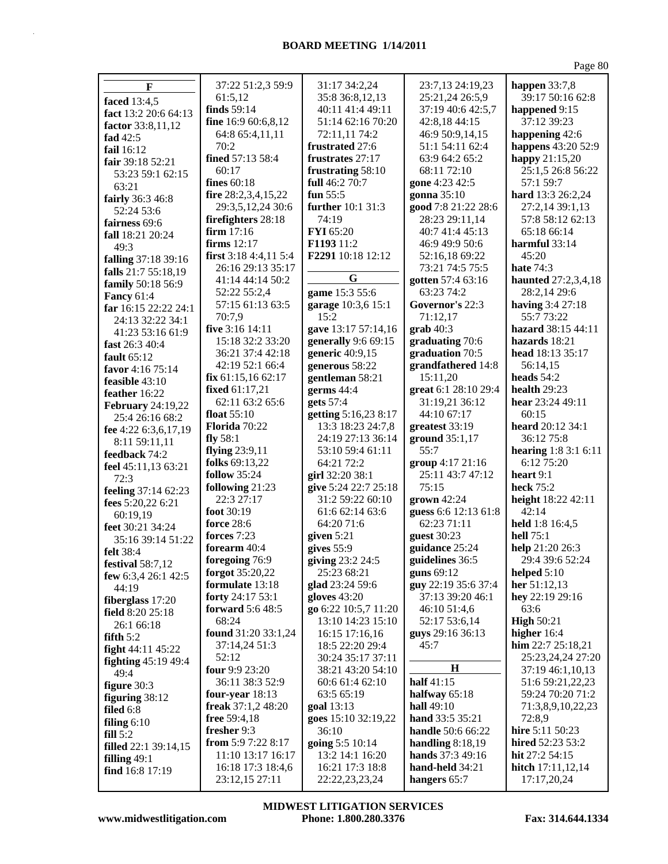| $\mathbf F$              | 37:22 51:2,3 59:9     | 31:17 34:2,24              | 23:7,13 24:19,23         | happen $33:7,8$      |
|--------------------------|-----------------------|----------------------------|--------------------------|----------------------|
|                          | 61:5,12               | 35:8 36:8,12,13            | 25:21,24 26:5,9          | 39:17 50:16 62:8     |
| faced 13:4,5             | finds 59:14           | 40:11 41:4 49:11           | 37:19 40:6 42:5,7        | happened 9:15        |
| fact 13:2 20:6 64:13     | fine 16:9 60:6,8,12   | 51:14 62:16 70:20          | 42:8,18 44:15            | 37:12 39:23          |
| factor 33:8,11,12        | 64:8 65:4,11,11       | 72:11,11 74:2              | 46:9 50:9,14,15          | happening 42:6       |
| fad $42:5$               | 70:2                  | frustrated 27:6            | 51:1 54:11 62:4          | happens 43:20 52:9   |
| fail 16:12               | fined 57:13 58:4      | frustrates 27:17           | 63:9 64:2 65:2           | happy 21:15,20       |
| fair 39:18 52:21         | 60:17                 | frustrating 58:10          | 68:11 72:10              | 25:1,5 26:8 56:22    |
| 53:23 59:1 62:15         | fines 60:18           | full 46:2 70:7             | gone 4:23 42:5           | 57:1 59:7            |
| 63:21                    | fire 28:2,3,4,15,22   | fun $55:5$                 | gonna 35:10              | hard 13:3 26:2,24    |
| fairly 36:3 46:8         | 29:3,5,12,24 30:6     | further 10:1 31:3          | good 7:8 21:22 28:6      | 27:2,14 39:1,13      |
| 52:24 53:6               | firefighters 28:18    | 74:19                      | 28:23 29:11,14           | 57:8 58:12 62:13     |
| fairness 69:6            | firm $17:16$          | FYI 65:20                  | 40:7 41:4 45:13          | 65:18 66:14          |
| fall 18:21 20:24         | firms 12:17           | F1193 11:2                 | 46:9 49:9 50:6           | harmful 33:14        |
| 49:3                     | first 3:18 4:4,11 5:4 | F2291 10:18 12:12          | 52:16,18 69:22           | 45:20                |
| falling 37:18 39:16      | 26:16 29:13 35:17     |                            | 73:21 74:5 75:5          | hate $74:3$          |
| falls 21:7 55:18,19      | 41:14 44:14 50:2      | G                          | gotten 57:4 63:16        | haunted 27:2,3,4,18  |
| family 50:18 56:9        | 52:22 55:2,4          | game 15:3 55:6             | 63:23 74:2               | 28:2,14 29:6         |
| <b>Fancy 61:4</b>        | 57:15 61:13 63:5      |                            | Governor's 22:3          | having 3:4 27:18     |
| far 16:15 22:22 24:1     | 70:7,9                | garage 10:3,6 15:1<br>15:2 | 71:12,17                 | 55:773:22            |
| 24:13 32:22 34:1         | five $3:16$ 14:11     | gave 13:17 57:14,16        | $graph 40:3$             | hazard 38:15 44:11   |
| 41:23 53:16 61:9         | 15:18 32:2 33:20      | generally 9:6 69:15        | graduating 70:6          | hazards 18:21        |
| fast 26:3 40:4           | 36:21 37:4 42:18      | generic 40:9,15            | graduation 70:5          | head 18:13 35:17     |
| fault $65:12$            | 42:19 52:1 66:4       | generous 58:22             | grandfathered 14:8       | 56:14,15             |
| favor 4:16 75:14         | fix 61:15,1662:17     | gentleman 58:21            | 15:11,20                 | heads $54:2$         |
| feasible 43:10           | fixed 61:17,21        | germs 44:4                 | great 6:1 28:10 29:4     | health 29:23         |
| feather 16:22            | 62:11 63:2 65:6       | gets 57:4                  | 31:19,21 36:12           | hear 23:24 49:11     |
| <b>February</b> 24:19,22 | float $55:10$         | getting 5:16,23 8:17       | 44:10 67:17              | 60:15                |
| 25:4 26:16 68:2          | Florida 70:22         | 13:3 18:23 24:7,8          | greatest 33:19           | heard 20:12 34:1     |
| fee 4:22 6:3,6,17,19     | fly $58:1$            | 24:19 27:13 36:14          | ground 35:1,17           | 36:12 75:8           |
| 8:11 59:11,11            | flying $23:9,11$      | 53:10 59:4 61:11           | 55:7                     | hearing 1:8 3:1 6:11 |
| feedback 74:2            | folks 69:13,22        | 64:21 72:2                 | group 4:17 21:16         | 6:12 75:20           |
| feel 45:11,13 63:21      | <b>follow</b> 35:24   | girl 32:20 38:1            | 25:11 43:7 47:12         | heart $9:1$          |
| 72:3                     | following 21:23       | give 5:24 22:7 25:18       | 75:15                    | heck 75:2            |
| feeling 37:14 62:23      | 22:3 27:17            | 31:2 59:22 60:10           | grown 42:24              | height 18:22 42:11   |
| fees 5:20,22 6:21        | foot 30:19            | 61:6 62:14 63:6            | guess 6:6 12:13 61:8     | 42:14                |
| 60:19,19                 | <b>force</b> 28:6     | 64:20 71:6                 | 62:23 71:11              | held 1:8 16:4,5      |
| feet 30:21 34:24         | forces 7:23           | given $5:21$               | guest 30:23              | hell 75:1            |
| 35:16 39:14 51:22        | forearm 40:4          | gives $55:9$               | guidance 25:24           | help 21:20 26:3      |
| <b>felt</b> 38:4         | foregoing 76:9        | giving 23:2 24:5           | guidelines 36:5          | 29:4 39:6 52:24      |
| festival 58:7,12         | forgot 35:20,22       | 25:23 68:21                | guns $69:12$             | helped $5:10$        |
| few 6:3,4 26:1 42:5      | formulate 13:18       | glad 23:24 59:6            | guy 22:19 35:6 37:4      | her 51:12,13         |
| 44:19                    | forty 24:17 53:1      | gloves 43:20               | 37:13 39:20 46:1         | hey 22:19 29:16      |
| fiberglass 17:20         | forward 5:6 48:5      | go 6:22 10:5,7 11:20       | 46:10 51:4,6             | 63:6                 |
| field 8:20 25:18         | 68:24                 | 13:10 14:23 15:10          | 52:17 53:6,14            | <b>High 50:21</b>    |
| 26:1 66:18               | found 31:20 33:1,24   | 16:15 17:16,16             | guys 29:16 36:13         | higher $16:4$        |
| fifth $5:2$              | 37:14,24 51:3         | 18:5 22:20 29:4            | 45:7                     | him $22:7 25:18,21$  |
| fight 44:11 45:22        | 52:12                 | 30:24 35:17 37:11          |                          | 25:23,24,24 27:20    |
| fighting $45:19$ $49:4$  | four 9:9 23:20        | 38:21 43:20 54:10          | $\bf H$                  | 37:19 46:1,10,13     |
| 49:4                     | 36:11 38:3 52:9       | 60:6 61:4 62:10            | half 41:15               | 51:6 59:21,22,23     |
| figure 30:3              | four-year $18:13$     | 63:5 65:19                 | halfway 65:18            | 59:24 70:20 71:2     |
| figuring $38:12$         | freak $37:1,248:20$   | goal 13:13                 | hall 49:10               | 71:3,8,9,10,22,23    |
| filed $6:8$              | free $59:4,18$        | goes 15:10 32:19,22        | hand 33:5 35:21          | 72:8,9               |
| filing $6:10$            | fresher 9:3           | 36:10                      | <b>handle</b> 50:6 66:22 | hire 5:11 50:23      |
| fill 5:2                 | from 5:9 7:22 8:17    | going 5:5 10:14            | handling $8:18,19$       | hired 52:23 53:2     |
| filled 22:1 39:14,15     | 11:10 13:17 16:17     | 13:2 14:1 16:20            | <b>hands</b> $37:349:16$ | hit 27:2 54:15       |
| filling $49:1$           | 16:18 17:3 18:4,6     | 16:21 17:3 18:8            | hand-held 34:21          | hitch $17:11,12,14$  |
| find 16:8 17:19          | 23:12,15 27:11        | 22:22,23,23,24             | hangers 65:7             | 17:17,20,24          |

**www.midwestlitigation.com Phone: 1.800.280.3376 Fax: 314.644.1334 MIDWEST LITIGATION SERVICES**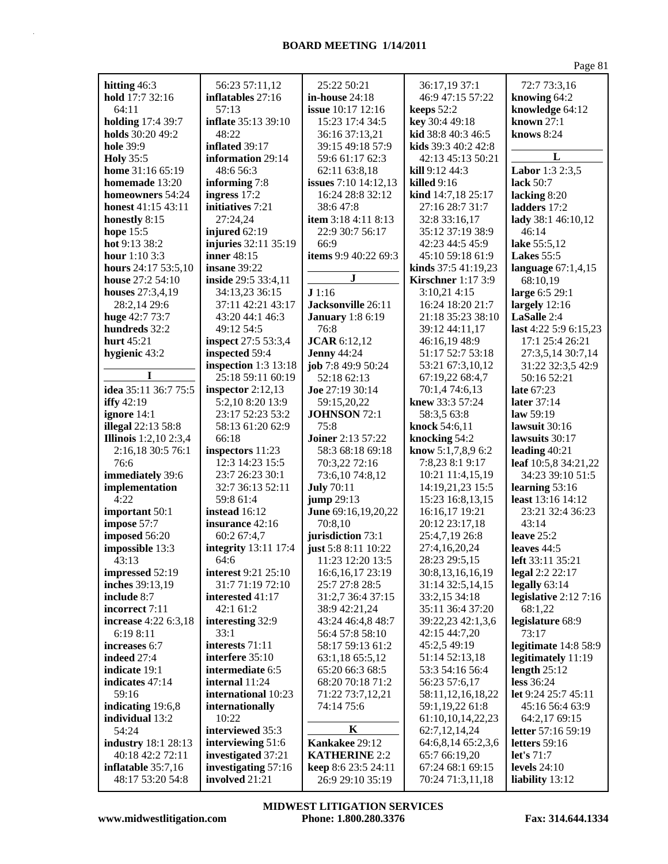| hitting 46:3                                  | 56:23 57:11,12                            | 25:22 50:21                                 | 36:17,19 37:1                         | 72:7 73:3,16                  |
|-----------------------------------------------|-------------------------------------------|---------------------------------------------|---------------------------------------|-------------------------------|
| hold 17:7 32:16                               | inflatables 27:16                         | in-house $24:18$                            | 46:9 47:15 57:22                      | knowing 64:2                  |
| 64:11                                         | 57:13                                     | issue 10:17 12:16                           | keeps 52:2                            | knowledge 64:12               |
| <b>holding</b> 17:4 39:7                      | inflate 35:13 39:10                       | 15:23 17:4 34:5                             | key 30:4 49:18                        | known $27:1$                  |
| holds 30:20 49:2                              | 48:22                                     | 36:16 37:13,21                              | kid 38:8 40:3 46:5                    | knows 8:24                    |
| <b>hole</b> 39:9                              | inflated 39:17                            | 39:15 49:18 57:9                            | kids 39:3 40:2 42:8                   |                               |
| <b>Holy</b> 35:5                              | information 29:14                         | 59:6 61:17 62:3                             | 42:13 45:13 50:21                     | L                             |
| home 31:16 65:19                              | 48:6 56:3                                 | 62:11 63:8,18                               | <b>kill</b> $9:12\,44:3$              | Labor 1:3 2:3,5               |
| homemade 13:20                                | informing 7:8                             | <b>issues</b> 7:10 14:12,13                 | killed $9:16$                         | lack 50:7                     |
| homeowners 54:24<br><b>honest</b> 41:15 43:11 | ingress 17:2<br>initiatives 7:21          | 16:24 28:8 32:12<br>38:647:8                | kind 14:7,18 25:17<br>27:16 28:7 31:7 | lacking 8:20<br>ladders 17:2  |
| honestly 8:15                                 | 27:24,24                                  | item 3:18 4:11 8:13                         | 32:8 33:16,17                         | lady 38:1 46:10,12            |
| hope $15:5$                                   | injured 62:19                             | 22:9 30:7 56:17                             | 35:12 37:19 38:9                      | 46:14                         |
| hot 9:13 38:2                                 | injuries 32:11 35:19                      | 66:9                                        | 42:23 44:5 45:9                       | lake 55:5,12                  |
| hour $1:103:3$                                | inner 48:15                               | items 9:9 40:22 69:3                        | 45:10 59:18 61:9                      | <b>Lakes</b> 55:5             |
| hours 24:17 53:5,10                           | insane 39:22                              |                                             | kinds $37:541:19,23$                  | language $67:1,4,15$          |
| house 27:2 54:10                              | inside 29:5 33:4,11                       | $\bf J$                                     | <b>Kirschner</b> 1:17 3:9             | 68:10,19                      |
| houses 27:3,4,19                              | 34:13,23 36:15                            | J1:16                                       | 3:10,21 4:15                          | large 6:5 29:1                |
| 28:2,14 29:6                                  | 37:11 42:21 43:17                         | Jacksonville 26:11                          | 16:24 18:20 21:7                      | largely $12:16$               |
| huge 42:7 73:7                                | 43:20 44:1 46:3                           | <b>January</b> 1:8 6:19                     | 21:18 35:23 38:10                     | LaSalle 2:4                   |
| hundreds 32:2                                 | 49:12 54:5                                | 76:8                                        | 39:12 44:11,17                        | last 4:22 5:9 6:15,23         |
| hurt 45:21                                    | inspect 27:5 53:3,4                       | <b>JCAR</b> 6:12,12                         | 46:16,19 48:9                         | 17:1 25:4 26:21               |
| hygienic 43:2                                 | inspected 59:4                            | <b>Jenny 44:24</b>                          | 51:17 52:7 53:18                      | 27:3,5,14 30:7,14             |
|                                               | inspection $1:3$ 13:18                    | job 7:8 49:9 50:24                          | 53:21 67:3,10,12                      | 31:22 32:3,5 42:9             |
| I                                             | 25:18 59:11 60:19                         | 52:18 62:13                                 | 67:19,22 68:4,7                       | 50:16 52:21                   |
| idea 35:11 36:7 75:5                          | inspector $2:12,13$                       | <b>Joe</b> 27:19 30:14                      | 70:1,4 74:6,13                        | late 67:23                    |
| iffy $42:19$                                  | 5:2,10 8:20 13:9                          | 59:15,20,22                                 | knew 33:3 57:24                       | later 37:14                   |
| ignore 14:1                                   | 23:17 52:23 53:2                          | JOHNSON 72:1                                | 58:3,5 63:8                           | law $59:19$                   |
| <b>illegal</b> 22:13 58:8                     | 58:13 61:20 62:9<br>66:18                 | 75:8                                        | knock 54:6,11                         | lawsuit 30:16                 |
|                                               |                                           |                                             |                                       |                               |
| <b>Illinois</b> 1:2,10 2:3,4                  |                                           | <b>Joiner</b> 2:13 57:22                    | knocking 54:2                         | lawsuits 30:17                |
| 2:16,18 30:5 76:1                             | inspectors 11:23                          | 58:3 68:18 69:18                            | know 5:1,7,8,9 6:2                    | leading $40:21$               |
| 76:6                                          | 12:3 14:23 15:5                           | 70:3,22 72:16                               | 7:8,23 8:1 9:17                       | leaf 10:5,8 34:21,22          |
| immediately 39:6                              | 23:7 26:23 30:1                           | 73:6,10 74:8,12                             | 10:21 11:4,15,19                      | 34:23 39:10 51:5              |
| implementation                                | 32:7 36:13 52:11                          | <b>July 70:11</b>                           | 14:19,21,23 15:5                      | learning 53:16                |
| 4:22                                          | 59:8 61:4                                 | <b>jump</b> 29:13                           | 15:23 16:8,13,15                      | least 13:16 14:12             |
| important 50:1                                | instead 16:12                             | June 69:16,19,20,22                         | 16:16,17 19:21                        | 23:21 32:4 36:23              |
| impose 57:7                                   | insurance 42:16                           | 70:8,10                                     | 20:12 23:17,18                        | 43:14<br>leave $25:2$         |
| imposed 56:20                                 | 60:2 67:4,7<br>integrity 13:11 17:4       | jurisdiction 73:1                           | 25:4,7,19 26:8<br>27:4,16,20,24       | leaves 44:5                   |
| impossible 13:3<br>43:13                      | 64:6                                      | just 5:8 8:11 10:22<br>11:23 12:20 13:5     | 28:23 29:5,15                         | left $33:11\,35:21$           |
| impressed 52:19                               | interest 9:21 25:10                       | 16:6, 16, 17 23:19                          | 30:8,13,16,16,19                      | legal 2:2 22:17               |
| inches 39:13,19                               | 31:7 71:19 72:10                          | 25:7 27:8 28:5                              | 31:14 32:5,14,15                      | legally $63:14$               |
| include 8:7                                   | interested 41:17                          | 31:2,7 36:4 37:15                           | 33:2,15 34:18                         | legislative $2:127:16$        |
| incorrect 7:11                                | 42:1 61:2                                 | 38:9 42:21,24                               | 35:11 36:4 37:20                      | 68:1,22                       |
| increase 4:22 6:3,18                          | interesting 32:9                          | 43:24 46:4,8 48:7                           | 39:22,23 42:1,3,6                     | legislature 68:9              |
| 6:19 8:11                                     | 33:1                                      | 56:4 57:8 58:10                             | 42:15 44:7,20                         | 73:17                         |
| increases 6:7                                 | interests 71:11                           | 58:17 59:13 61:2                            | 45:2,5 49:19                          | legitimate 14:8 58:9          |
| indeed 27:4                                   | interfere 35:10                           | 63:1,18 65:5,12                             | 51:14 52:13,18                        | legitimately 11:19            |
| indicate 19:1                                 | intermediate 6:5                          | 65:20 66:3 68:5                             | 53:3 54:16 56:4                       | length $25:12$                |
| indicates 47:14                               | internal 11:24                            | 68:20 70:18 71:2                            | 56:23 57:6,17                         | less 36:24                    |
| 59:16                                         | international 10:23                       | 71:22 73:7,12,21                            | 58:11,12,16,18,22                     | let 9:24 25:7 45:11           |
| indicating 19:6,8                             | internationally                           | 74:14 75:6                                  | 59:1,19,22 61:8                       | 45:16 56:4 63:9               |
| individual 13:2                               | 10:22                                     | K                                           | 61:10,10,14,22,23                     | 64:2,17 69:15                 |
| 54:24                                         | interviewed 35:3                          |                                             | 62:7,12,14,24                         | letter $57:1659:19$           |
| <b>industry</b> 18:1 28:13                    | interviewing 51:6                         | Kankakee 29:12                              | 64:6,8,14 65:2,3,6                    | letters 59:16<br>let's $71:7$ |
| 40:18 42:2 72:11<br>inflatable $35:7,16$      | investigated 37:21<br>investigating 57:16 | <b>KATHERINE 2:2</b><br>keep 8:6 23:5 24:11 | 65:7 66:19,20<br>67:24 68:1 69:15     | levels $24:10$                |
| 48:17 53:20 54:8                              | involved 21:21                            | 26:9 29:10 35:19                            | 70:24 71:3,11,18                      | liability 13:12               |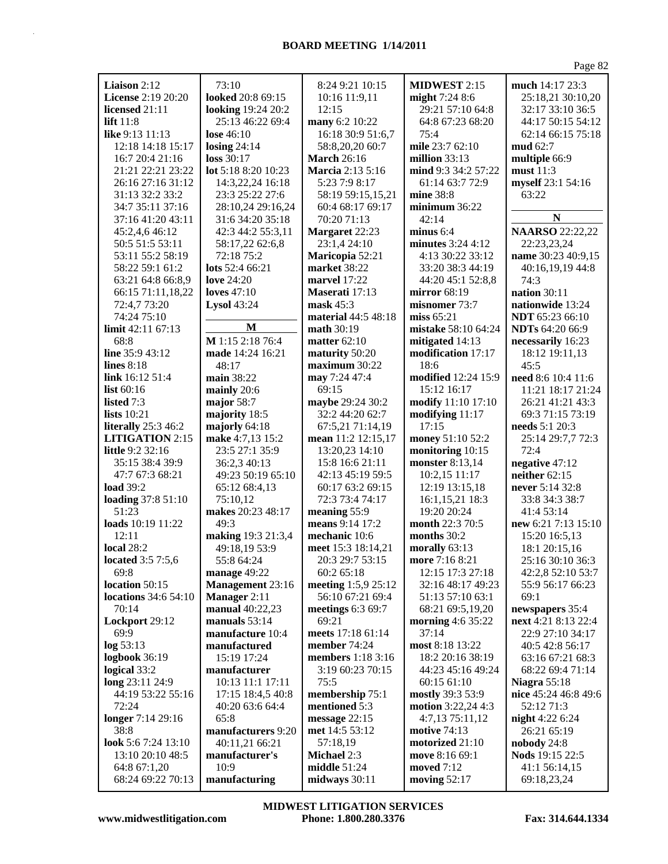| Liaison 2:12                         | 73:10                                  | 8:24 9:21 10:15                        | <b>MIDWEST 2:15</b>                  | much 14:17 23:3                        |
|--------------------------------------|----------------------------------------|----------------------------------------|--------------------------------------|----------------------------------------|
| License 2:19 20:20                   | looked 20:8 69:15                      | 10:16 11:9,11                          | might 7:24 8:6                       | 25:18,21 30:10,20                      |
| licensed 21:11                       |                                        | 12:15                                  | 29:21 57:10 64:8                     | 32:17 33:10 36:5                       |
| lift $11:8$                          | looking 19:24 20:2<br>25:13 46:22 69:4 | many 6:2 10:22                         |                                      |                                        |
| like 9:13 11:13                      | lose $46:10$                           |                                        | 64:8 67:23 68:20<br>75:4             | 44:17 50:15 54:12                      |
| 12:18 14:18 15:17                    |                                        | 16:18 30:9 51:6,7                      | mile 23:7 62:10                      | 62:14 66:15 75:18<br>mud 62:7          |
|                                      | losing $24:14$                         | 58:8,20,20 60:7                        | million 33:13                        |                                        |
| 16:7 20:4 21:16<br>21:21 22:21 23:22 | loss 30:17<br>lot 5:18 8:20 10:23      | <b>March</b> 26:16<br>Marcia 2:13 5:16 | mind 9:3 34:2 57:22                  | multiple 66:9<br>must 11:3             |
| 26:16 27:16 31:12                    |                                        | 5:23 7:9 8:17                          | 61:14 63:7 72:9                      | myself 23:1 54:16                      |
| 31:13 32:2 33:2                      | 14:3,22,24 16:18<br>23:3 25:22 27:6    | 58:19 59:15,15,21                      | mine 38:8                            | 63:22                                  |
| 34:7 35:11 37:16                     | 28:10,24 29:16,24                      | 60:4 68:17 69:17                       | minimum 36:22                        |                                        |
| 37:16 41:20 43:11                    | 31:6 34:20 35:18                       | 70:20 71:13                            | 42:14                                | $\mathbb N$                            |
| 45:2,4,6 46:12                       | 42:3 44:2 55:3,11                      | Margaret 22:23                         | minus 6:4                            | <b>NAARSO</b> 22:22,22                 |
| 50:5 51:5 53:11                      | 58:17,22 62:6,8                        | 23:1,4 24:10                           | minutes 3:24 4:12                    | 22:23,23,24                            |
| 53:11 55:2 58:19                     | 72:18 75:2                             | Maricopia 52:21                        | 4:13 30:22 33:12                     | name 30:23 40:9,15                     |
| 58:22 59:1 61:2                      | lots 52:4 66:21                        | market 38:22                           | 33:20 38:3 44:19                     | 40:16,19,19 44:8                       |
| 63:21 64:8 66:8,9                    | love $24:20$                           | <b>marvel</b> 17:22                    | 44:20 45:1 52:8,8                    | 74:3                                   |
| 66:15 71:11,18,22                    | loves $47:10$                          | Maserati 17:13                         | mirror $68:19$                       | nation 30:11                           |
| 72:4,7 73:20                         | <b>Lysol 43:24</b>                     | $\text{mask } 45:3$                    | misnomer 73:7                        | nationwide 13:24                       |
| 74:24 75:10                          |                                        | material 44:5 48:18                    | miss $65:21$                         | <b>NDT</b> 65:23 66:10                 |
| limit 42:11 67:13                    | M                                      | <b>math</b> 30:19                      | mistake 58:10 64:24                  | <b>NDTs</b> 64:20 66:9                 |
| 68:8                                 | M 1:15 2:18 76:4                       | matter $62:10$                         | mitigated 14:13                      | necessarily 16:23                      |
| line 35:9 43:12                      | made 14:24 16:21                       | maturity 50:20                         | modification 17:17                   | 18:12 19:11,13                         |
| lines $8:18$                         | 48:17                                  | maximum 30:22                          | 18:6                                 | 45:5                                   |
| link 16:12 51:4                      | main 38:22                             | may 7:24 47:4                          | modified 12:24 15:9                  | need 8:6 10:4 11:6                     |
| list $60:16$                         | mainly 20:6                            | 69:15                                  | 15:12 16:17                          | 11:21 18:17 21:24                      |
| listed 7:3                           | major 58:7                             | maybe 29:24 30:2                       | modify 11:10 17:10                   | 26:21 41:21 43:3                       |
| lists $10:21$                        | majority 18:5                          | 32:2 44:20 62:7                        | modifying 11:17                      | 69:3 71:15 73:19                       |
| literally 25:3 46:2                  | majorly 64:18                          | 67:5,21 71:14,19                       | 17:15                                | needs 5:1 20:3                         |
| <b>LITIGATION</b> 2:15               | make 4:7,13 15:2                       | mean 11:2 12:15,17                     | money 51:10 52:2                     | 25:14 29:7,7 72:3                      |
| little 9:2 32:16                     | 23:5 27:1 35:9                         | 13:20,23 14:10                         | monitoring 10:15                     | 72:4                                   |
| 35:15 38:4 39:9                      | 36:2,3 40:13                           | 15:8 16:6 21:11                        | monster 8:13,14                      | negative 47:12                         |
| 47:7 67:3 68:21                      | 49:23 50:19 65:10                      | 42:13 45:19 59:5                       | 10:2,15 11:17                        | neither $62:15$                        |
| load 39:2                            | 65:12 68:4,13                          | 60:17 63:2 69:15                       | 12:19 13:15,18                       | never 5:14 32:8                        |
| loading 37:8 51:10                   | 75:10,12                               | 72:3 73:4 74:17                        | 16:1,15,21 18:3                      | 33:8 34:3 38:7                         |
| 51:23                                | makes 20:23 48:17                      | meaning 55:9                           | 19:20 20:24                          | 41:4 53:14                             |
| loads 10:19 11:22                    | 49:3                                   | means 9:14 17:2                        | month 22:3 70:5                      | new 6:21 7:13 15:10                    |
| 12:11                                | making 19:3 21:3,4                     | mechanic 10:6                          | months 30:2                          | 15:20 16:5,13                          |
| <b>local</b> 28:2                    | 49:18,19 53:9                          | meet 15:3 18:14,21                     | morally 63:13                        | 18:1 20:15,16                          |
| <b>located</b> 3:5 7:5,6             | 55:8 64:24                             | 20:3 29:7 53:15                        | more $7:168:21$                      | 25:1630:1036:3                         |
| 69:8                                 | manage 49:22                           | 60:2 65:18                             | 12:15 17:3 27:18                     | 42:2,8 52:10 53:7                      |
| location 50:15                       | Management 23:16                       | meeting 1:5,9 25:12                    | 32:16 48:17 49:23                    | 55:9 56:17 66:23                       |
| <b>locations</b> 34:6 54:10<br>70:14 | Manager 2:11<br>manual 40:22,23        | 56:10 67:21 69:4<br>meetings 6:3 69:7  | 51:13 57:10 63:1<br>68:21 69:5,19,20 | 69:1                                   |
| Lockport 29:12                       | manuals $53:14$                        | 69:21                                  | morning 4:6 35:22                    | newspapers 35:4<br>next 4:21 8:13 22:4 |
| 69:9                                 | manufacture 10:4                       | meets 17:18 61:14                      | 37:14                                | 22:9 27:10 34:17                       |
| log 53:13                            | manufactured                           | member 74:24                           | most 8:18 13:22                      | 40:5 42:8 56:17                        |
| logbook 36:19                        | 15:19 17:24                            | members 1:18 3:16                      | 18:2 20:16 38:19                     | 63:16 67:21 68:3                       |
| logical 33:2                         | manufacturer                           | 3:19 60:23 70:15                       | 44:23 45:16 49:24                    | 68:22 69:4 71:14                       |
| long 23:11 24:9                      | 10:13 11:1 17:11                       | 75:5                                   | 60:15 61:10                          | <b>Niagra 55:18</b>                    |
| 44:19 53:22 55:16                    | 17:15 18:4,5 40:8                      | membership 75:1                        | mostly 39:3 53:9                     | nice 45:24 46:8 49:6                   |
| 72:24                                | 40:20 63:6 64:4                        | mentioned 5:3                          | motion 3:22,24 4:3                   | 52:12 71:3                             |
| longer 7:14 29:16                    | 65:8                                   | message 22:15                          | 4:7,13 75:11,12                      | night 4:22 6:24                        |
| 38:8                                 | manufacturers 9:20                     | met 14:5 53:12                         | <b>motive</b> 74:13                  | 26:21 65:19                            |
| look 5:6 7:24 13:10                  | 40:11,21 66:21                         | 57:18,19                               | motorized 21:10                      | nobody $24:8$                          |
| 13:10 20:10 48:5                     | manufacturer's                         | <b>Michael 2:3</b>                     | move 8:16 69:1                       | <b>Nods</b> 19:15 22:5                 |
| 64:8 67:1,20                         | 10:9                                   | middle 51:24                           | moved 7:12                           | 41:1 56:14,15                          |
| 68:24 69:22 70:13                    | manufacturing                          | midways 30:11                          | moving $52:17$                       | 69:18,23,24                            |
|                                      |                                        |                                        |                                      |                                        |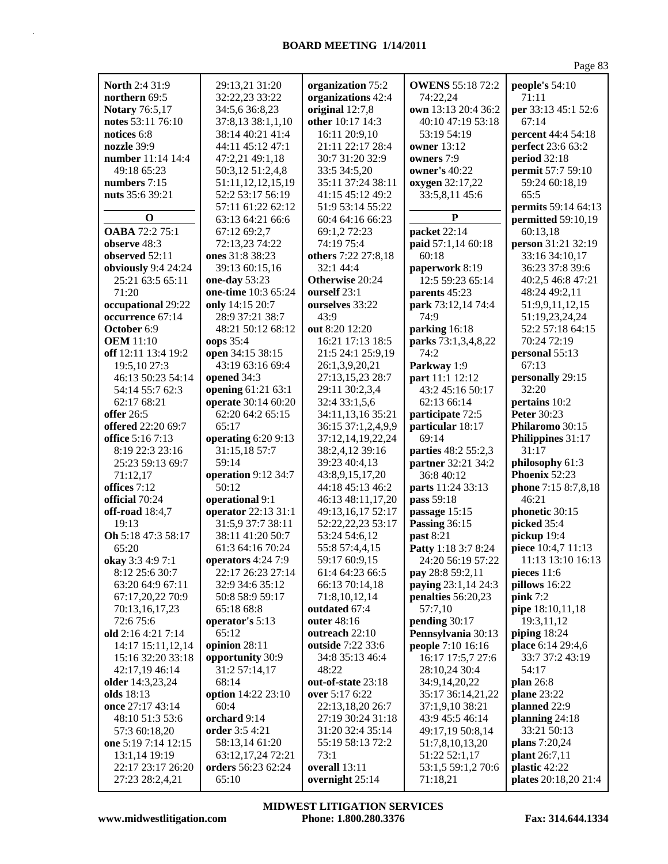| North 2:4 31:9        | 29:13,21 31:20      | organization 75:2   | <b>OWENS 55:18 72:2</b> | people's 54:10              |
|-----------------------|---------------------|---------------------|-------------------------|-----------------------------|
| northern 69:5         | 32:22,23 33:22      | organizations 42:4  | 74:22,24                | 71:11                       |
| <b>Notary 76:5,17</b> | 34:5,6 36:8,23      | original 12:7,8     | own 13:13 20:4 36:2     | per 33:13 45:1 52:6         |
| notes 53:11 76:10     | 37:8,13 38:1,1,10   | other 10:17 14:3    | 40:10 47:19 53:18       | 67:14                       |
| notices 6:8           | 38:14 40:21 41:4    | 16:11 20:9,10       | 53:19 54:19             | percent 44:4 54:18          |
| nozzle 39:9           |                     |                     |                         |                             |
|                       | 44:11 45:12 47:1    | 21:11 22:17 28:4    | <b>owner</b> 13:12      | perfect 23:6 63:2           |
| number 11:14 14:4     | 47:2,21 49:1,18     | 30:7 31:20 32:9     | owners 7:9              | <b>period</b> 32:18         |
| 49:18 65:23           | 50:3,12 51:2,4,8    | 33:5 34:5,20        | owner's 40:22           | permit 57:7 59:10           |
| numbers 7:15          | 51:11,12,12,15,19   | 35:11 37:24 38:11   | oxygen 32:17,22         | 59:24 60:18,19              |
| nuts 35:6 39:21       | 52:2 53:17 56:19    | 41:15 45:12 49:2    | 33:5,8,11 45:6          | 65:5                        |
|                       | 57:11 61:22 62:12   | 51:9 53:14 55:22    |                         | permits 59:14 64:13         |
| $\mathbf 0$           | 63:13 64:21 66:6    | 60:4 64:16 66:23    | P                       | permitted 59:10,19          |
| OABA 72:2 75:1        | 67:12 69:2,7        | 69:1,2 72:23        | packet 22:14            | 60:13,18                    |
| observe 48:3          | 72:13,23 74:22      | 74:19 75:4          | paid 57:1,14 60:18      | person 31:21 32:19          |
| observed 52:11        | ones 31:8 38:23     | others 7:22 27:8,18 | 60:18                   | 33:16 34:10,17              |
| obviously 9:4 24:24   | 39:13 60:15,16      | 32:1 44:4           | paperwork 8:19          | 36:23 37:8 39:6             |
|                       |                     |                     |                         |                             |
| 25:21 63:5 65:11      | one-day 53:23       | Otherwise 20:24     | 12:5 59:23 65:14        | 40:2,5 46:8 47:21           |
| 71:20                 | one-time 10:3 65:24 | ourself 23:1        | parents 45:23           | 48:24 49:2,11               |
| occupational 29:22    | only 14:15 20:7     | ourselves 33:22     | park 73:12,14 74:4      | 51:9,9,11,12,15             |
| occurrence 67:14      | 28:9 37:21 38:7     | 43:9                | 74:9                    | 51:19,23,24,24              |
| October 6:9           | 48:21 50:12 68:12   | out 8:20 12:20      | parking 16:18           | 52:2 57:18 64:15            |
| <b>OEM</b> 11:10      | oops 35:4           | 16:21 17:13 18:5    | parks 73:1,3,4,8,22     | 70:24 72:19                 |
| off 12:11 13:4 19:2   | open 34:15 38:15    | 21:5 24:1 25:9,19   | 74:2                    | personal 55:13              |
| 19:5,10 27:3          | 43:19 63:16 69:4    | 26:1,3,9,20,21      | Parkway 1:9             | 67:13                       |
| 46:13 50:23 54:14     | opened 34:3         | 27:13,15,23 28:7    | part 11:1 12:12         | personally 29:15            |
| 54:14 55:7 62:3       | opening 61:21 63:1  | 29:11 30:2,3,4      | 43:2 45:16 50:17        | 32:20                       |
| 62:17 68:21           | operate 30:14 60:20 | 32:4 33:1,5,6       | 62:13 66:14             | pertains 10:2               |
| <b>offer</b> 26:5     | 62:20 64:2 65:15    | 34:11,13,16 35:21   | participate 72:5        | <b>Peter 30:23</b>          |
|                       | 65:17               |                     |                         | Philaromo 30:15             |
| offered 22:20 69:7    |                     | 36:15 37:1,2,4,9,9  | particular 18:17        |                             |
| office 5:16 7:13      | operating 6:20 9:13 | 37:12,14,19,22,24   | 69:14                   | Philippines 31:17           |
| 8:19 22:3 23:16       | 31:15,18 57:7       | 38:2,4,12 39:16     | parties 48:2 55:2,3     | 31:17                       |
| 25:23 59:13 69:7      | 59:14               | 39:23 40:4,13       | partner 32:21 34:2      | philosophy 61:3             |
| 71:12,17              | operation 9:12 34:7 | 43:8,9,15,17,20     | 36:8 40:12              | Phoenix 52:23               |
| offices $7:12$        | 50:12               | 44:18 45:13 46:2    | parts 11:24 33:13       | phone 7:15 8:7,8,18         |
| official 70:24        | operational 9:1     | 46:13 48:11,17,20   | pass 59:18              | 46:21                       |
| off-road 18:4,7       | operator 22:13 31:1 | 49:13,16,17 52:17   | passage 15:15           | phonetic 30:15              |
| 19:13                 | 31:5,9 37:7 38:11   | 52:22,22,23 53:17   | Passing 36:15           | picked 35:4                 |
| Oh 5:18 47:3 58:17    | 38:11 41:20 50:7    | 53:24 54:6,12       | past 8:21               | pickup 19:4                 |
| 65:20                 | 61:3 64:16 70:24    | 55:8 57:4,4,15      | Patty 1:18 3:7 8:24     | piece 10:4,7 11:13          |
| okay 3:3 4:9 7:1      | operators 4:24 7:9  | 59:17 60:9,15       | 24:20 56:19 57:22       | 11:13 13:10 16:13           |
|                       |                     |                     |                         |                             |
| 8:12 25:6 30:7        | 22:17 26:23 27:14   | 61:4 64:23 66:5     | pay 28:8 59:2,11        | pieces $11:6$               |
| 63:20 64:9 67:11      | 32:9 34:6 35:12     | 66:13 70:14,18      | paying 23:1,14 24:3     | pillows 16:22               |
| 67:17,20,22 70:9      | 50:8 58:9 59:17     | 71:8, 10, 12, 14    | penalties 56:20,23      | pink $7:2$                  |
| 70:13,16,17,23        | 65:18 68:8          | outdated 67:4       | 57:7,10                 | pipe 18:10,11,18            |
| 72:6 75:6             | operator's 5:13     | outer 48:16         | pending 30:17           | 19:3,11,12                  |
| old 2:16 4:21 7:14    | 65:12               | outreach 22:10      | Pennsylvania 30:13      | piping 18:24                |
| 14:17 15:11,12,14     | opinion 28:11       | outside 7:22 33:6   | people 7:10 16:16       | place 6:14 29:4,6           |
| 15:16 32:20 33:18     | opportunity 30:9    | 34:8 35:13 46:4     | 16:17 17:5,7 27:6       | 33:7 37:2 43:19             |
| 42:17,19 46:14        | 31:2 57:14,17       | 48:22               | 28:10,24 30:4           | 54:17                       |
| older 14:3,23,24      | 68:14               | out-of-state 23:18  | 34:9,14,20,22           | plan 26:8                   |
| olds 18:13            | option 14:22 23:10  | over 5:17 6:22      | 35:17 36:14,21,22       | plane 23:22                 |
|                       |                     |                     |                         |                             |
| once 27:17 43:14      | 60:4                | 22:13,18,20 26:7    | 37:1,9,10 38:21         | planned 22:9                |
| 48:10 51:3 53:6       | orchard 9:14        | 27:19 30:24 31:18   | 43:9 45:5 46:14         | planning 24:18              |
| 57:3 60:18,20         | order 3:5 4:21      | 31:20 32:4 35:14    | 49:17,19 50:8,14        | 33:21 50:13                 |
| one 5:19 7:14 12:15   | 58:13,14 61:20      | 55:19 58:13 72:2    | 51:7,8,10,13,20         | plans 7:20,24               |
| 13:1,14 19:19         | 63:12,17,24 72:21   | 73:1                | 51:22 52:1,17           | <b>plant</b> 26:7,11        |
| 22:17 23:17 26:20     | orders 56:23 62:24  | overall 13:11       | 53:1,5 59:1,2 70:6      | plastic 42:22               |
| 27:23 28:2,4,21       | 65:10               | overnight 25:14     | 71:18,21                | <b>plates</b> 20:18,20 21:4 |

**www.midwestlitigation.com Phone: 1.800.280.3376 Fax: 314.644.1334 MIDWEST LITIGATION SERVICES**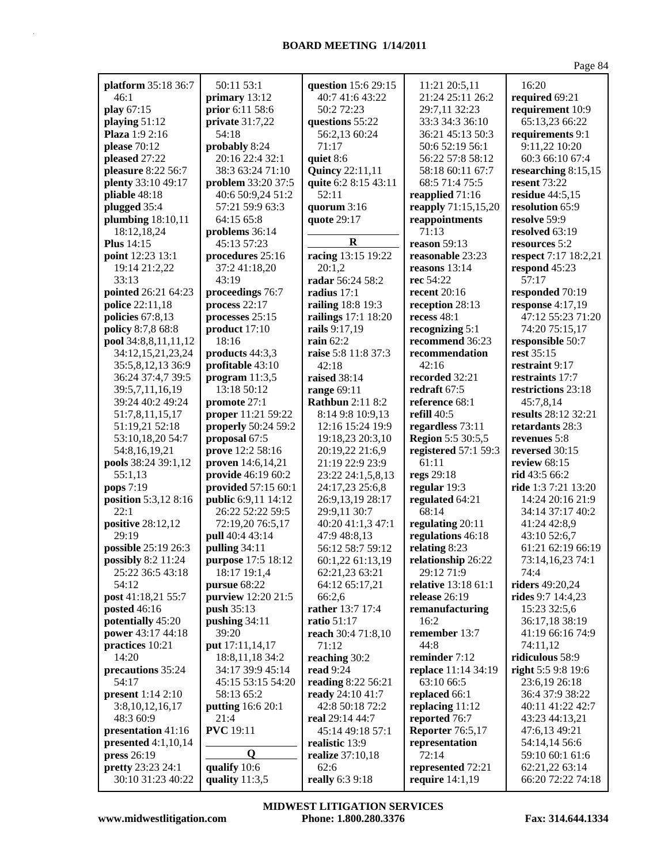| platform 35:18 36:7      | 50:11 53:1               | question 15:6 29:15     | 11:21 20:5,11            | 16:20                               |
|--------------------------|--------------------------|-------------------------|--------------------------|-------------------------------------|
| 46:1                     | primary 13:12            | 40:7 41:6 43:22         | 21:24 25:11 26:2         | required 69:21                      |
| play 67:15               | prior 6:11 58:6          | 50:2 72:23              | 29:7,11 32:23            | requirement 10:9                    |
| playing 51:12            | private 31:7,22          | questions 55:22         | 33:3 34:3 36:10          | 65:13,23 66:22                      |
| Plaza 1:9 2:16           | 54:18                    | 56:2,13 60:24           | 36:21 45:13 50:3         | requirements 9:1                    |
| please 70:12             | probably 8:24            | 71:17                   | 50:6 52:19 56:1          | 9:11,22 10:20                       |
| pleased 27:22            | 20:16 22:4 32:1          | quiet 8:6               | 56:22 57:8 58:12         | 60:3 66:10 67:4                     |
| pleasure 8:22 56:7       | 38:3 63:24 71:10         | <b>Quincy</b> 22:11,11  | 58:18 60:11 67:7         |                                     |
| plenty 33:10 49:17       | problem 33:20 37:5       | quite 6:2 8:15 43:11    | 68:5 71:4 75:5           | researching 8:15,15<br>resent 73:22 |
| pliable 48:18            | 40:6 50:9,24 51:2        | 52:11                   | reapplied 71:16          | residue $44:5,15$                   |
| plugged 35:4             | 57:21 59:9 63:3          | quorum 3:16             | reapply 71:15,15,20      | resolution 65:9                     |
| plumbing $18:10,11$      | 64:15 65:8               | quote 29:17             | reappointments           | resolve 59:9                        |
| 18:12,18,24              | problems 36:14           |                         | 71:13                    | resolved 63:19                      |
| <b>Plus</b> 14:15        | 45:13 57:23              | $\mathbf R$             | reason 59:13             | resources 5:2                       |
| point 12:23 13:1         | procedures 25:16         | racing 13:15 19:22      | reasonable 23:23         | respect 7:17 18:2,21                |
| 19:14 21:2,22            | 37:2 41:18,20            | 20:1,2                  | reasons $13:14$          | respond 45:23                       |
| 33:13                    | 43:19                    | radar 56:24 58:2        | rec 54:22                | 57:17                               |
| pointed 26:21 64:23      | proceedings 76:7         | radius 17:1             | recent $20:16$           | responded 70:19                     |
| police 22:11,18          | process 22:17            | railing 18:8 19:3       | reception 28:13          | response 4:17,19                    |
| policies 67:8,13         | processes 25:15          | railings 17:1 18:20     | recess $48:1$            | 47:12 55:23 71:20                   |
| policy 8:7,8 68:8        | product 17:10            | rails 9:17,19           | recognizing 5:1          | 74:20 75:15,17                      |
| pool 34:8,8,11,11,12     | 18:16                    | rain 62:2               | recommend 36:23          | responsible 50:7                    |
| 34:12,15,21,23,24        | products 44:3,3          | raise 5:8 11:8 37:3     | recommendation           | rest 35:15                          |
| 35:5,8,12,13 36:9        | profitable 43:10         | 42:18                   | 42:16                    | restraint 9:17                      |
| 36:24 37:4,7 39:5        | program $11:3,5$         | <b>raised</b> 38:14     | recorded 32:21           | restraints 17:7                     |
| 39:5,7,11,16,19          | 13:18 50:12              | range 69:11             | redraft 67:5             | restrictions 23:18                  |
| 39:24 40:2 49:24         | promote 27:1             | <b>Rathbun</b> 2:11 8:2 | reference 68:1           | 45:7,8,14                           |
| 51:7,8,11,15,17          | proper 11:21 59:22       | 8:14 9:8 10:9,13        | refill 40:5              | results 28:12 32:21                 |
| 51:19,21 52:18           | properly 50:24 59:2      | 12:16 15:24 19:9        | regardless 73:11         | retardants 28:3                     |
| 53:10,18,20 54:7         | proposal 67:5            | 19:18,23 20:3,10        | <b>Region 5:5 30:5,5</b> | revenues 5:8                        |
| 54:8,16,19,21            | prove 12:2 58:16         | 20:19,22 21:6,9         | registered 57:1 59:3     | reversed 30:15                      |
| pools 38:24 39:1,12      | proven 14:6,14,21        | 21:19 22:9 23:9         | 61:11                    | review $68:15$                      |
| 55:1,13                  | provide 46:19 60:2       | 23:22 24:1,5,8,13       | regs 29:18               | rid $43:566:2$                      |
| pops 7:19                | provided 57:15 60:1      | 24:17,23 25:6,8         | regular 19:3             | ride 1:3 7:21 13:20                 |
| position 5:3,12 8:16     | public 6:9,11 14:12      | 26:9,13,19 28:17        | regulated 64:21          | 14:24 20:16 21:9                    |
| 22:1                     | 26:22 52:22 59:5         | 29:9,11 30:7            | 68:14                    | 34:14 37:17 40:2                    |
| positive 28:12,12        | 72:19,20 76:5,17         | 40:20 41:1,3 47:1       | regulating 20:11         | 41:24 42:8,9                        |
| 29:19                    | pull 40:4 43:14          | 47:9 48:8,13            | regulations 46:18        | 43:10 52:6,7                        |
| possible 25:19 26:3      | pulling 34:11            | 56:12 58:7 59:12        | relating 8:23            | 61:21 62:19 66:19                   |
| possibly 8:2 11:24       | purpose 17:5 18:12       | 60:1,22 61:13,19        | relationship 26:22       | 73:14,16,23 74:1                    |
| 25:22 36:5 43:18         | 18:17 19:1,4             | 62:21,23 63:21          | 29:12 71:9               | 74:4                                |
| 54:12                    | pursue 68:22             | 64:12 65:17,21          | relative 13:18 61:1      | riders 49:20,24                     |
| post 41:18,21 55:7       | purview 12:20 21:5       | 66:2,6                  | release 26:19            | rides 9:7 14:4,23                   |
| <b>posted</b> 46:16      | push 35:13               | rather 13:7 17:4        | remanufacturing          | 15:23 32:5,6                        |
| potentially 45:20        | pushing 34:11            | ratio 51:17             | 16:2                     | 36:17,18 38:19                      |
| power 43:17 44:18        | 39:20                    | reach 30:4 71:8,10      | remember 13:7            | 41:19 66:16 74:9                    |
| practices 10:21          | put 17:11,14,17          | 71:12                   | 44:8                     | 74:11,12                            |
| 14:20                    | 18:8, 11, 18 34:2        | reaching 30:2           | reminder 7:12            | ridiculous 58:9                     |
| precautions 35:24        | 34:17 39:9 45:14         | read $9:24$             | replace 11:14 34:19      | right 5:5 9:8 19:6                  |
| 54:17                    | 45:15 53:15 54:20        | reading 8:22 56:21      | 63:10 66:5               | 23:6,19 26:18                       |
| <b>present</b> 1:14 2:10 | 58:13 65:2               | ready 24:10 41:7        | replaced 66:1            | 36:4 37:9 38:22                     |
| 3:8, 10, 12, 16, 17      | <b>putting</b> 16:6 20:1 | 42:8 50:18 72:2         | replacing 11:12          | 40:11 41:22 42:7                    |
| 48:3 60:9                | 21:4                     | real 29:14 44:7         | reported 76:7            | 43:23 44:13,21                      |
| presentation 41:16       | <b>PVC</b> 19:11         | 45:14 49:18 57:1        | <b>Reporter</b> 76:5,17  | 47:6,13 49:21                       |
| presented $4:1,10,14$    |                          | realistic 13:9          | representation           | 54:14,14 56:6                       |
| press 26:19              | $\bf{0}$                 | realize 37:10,18        | 72:14                    | 59:10 60:1 61:6                     |
| pretty 23:23 24:1        | qualify 10:6             | 62:6                    | represented 72:21        | 62:21,22 63:14                      |
| 30:10 31:23 40:22        | quality $11:3,5$         | really 6:3 9:18         | require 14:1,19          | 66:20 72:22 74:18                   |

**www.midwestlitigation.com Phone: 1.800.280.3376 Fax: 314.644.1334 MIDWEST LITIGATION SERVICES**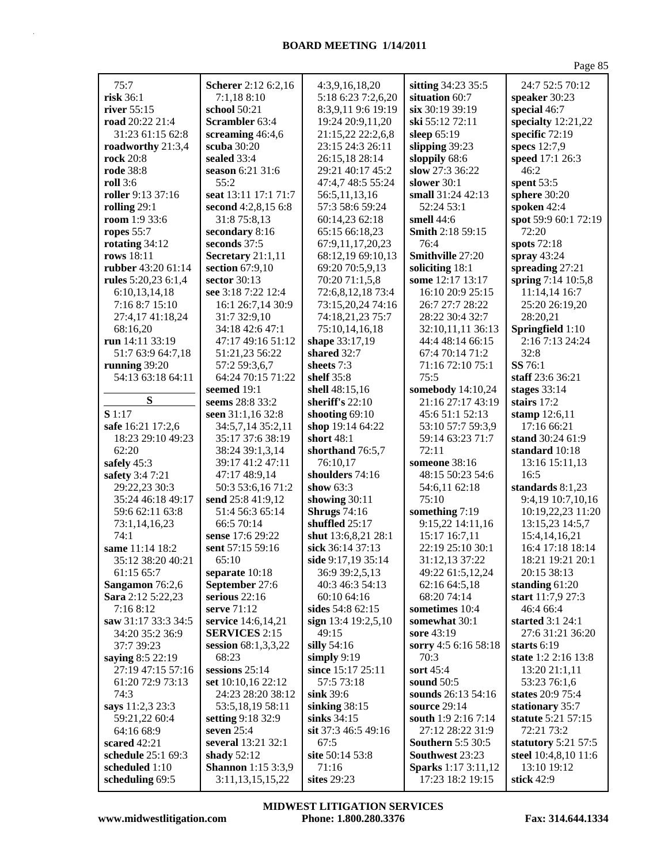| 75:7                  | Scherer 2:12 6:2,16            | 4:3,9,16,18,20                        | sitting 34:23 35:5                | 24:7 52:5 70:12                   |
|-----------------------|--------------------------------|---------------------------------------|-----------------------------------|-----------------------------------|
| risk 36:1             | 7:1,188:10                     | 5:18 6:23 7:2,6,20                    | situation 60:7                    | speaker 30:23                     |
| river 55:15           | school 50:21                   | 8:3,9,11 9:6 19:19                    | six 30:19 39:19                   | special 46:7                      |
| road 20:22 21:4       | Scrambler 63:4                 | 19:24 20:9,11,20                      | ski 55:12 72:11                   | specialty 12:21,22                |
| 31:23 61:15 62:8      | screaming 46:4,6               | 21:15,22 22:2,6,8                     | sleep 65:19                       | specific 72:19                    |
| roadworthy 21:3,4     | scuba 30:20                    | 23:15 24:3 26:11                      | slipping 39:23                    | specs 12:7,9                      |
| rock 20:8             | sealed 33:4                    | 26:15,18 28:14                        | sloppily 68:6                     | speed 17:1 26:3                   |
| <b>rode</b> 38:8      | season 6:21 31:6               | 29:21 40:17 45:2                      | slow 27:3 36:22                   | 46:2                              |
| <b>roll</b> 3:6       | 55:2                           | 47:4,7 48:5 55:24                     | slower $30:1$                     | spent 53:5                        |
| roller 9:13 37:16     | seat 13:11 17:1 71:7           | 56:5,11,13,16                         | small 31:24 42:13                 | sphere 30:20                      |
| rolling 29:1          | second 4:2,8,15 6:8            | 57:3 58:6 59:24                       | 52:24 53:1                        | spoken 42:4                       |
| <b>room</b> $1:933:6$ | 31:8 75:8,13                   | 60:14,23 62:18                        | smell $44:6$                      | spot 59:9 60:1 72:19              |
| ropes $55:7$          | secondary 8:16                 | 65:15 66:18,23                        | Smith 2:18 59:15                  | 72:20                             |
| rotating 34:12        | seconds 37:5                   | 67:9,11,17,20,23                      | 76:4                              | spots 72:18                       |
| rows 18:11            | Secretary 21:1,11              | 68:12,19 69:10,13                     | Smithville 27:20                  | spray $43:24$                     |
| rubber 43:20 61:14    | section 67:9,10                | 69:20 70:5,9,13                       | soliciting 18:1                   | spreading 27:21                   |
| rules 5:20,23 6:1,4   | sector 30:13                   | 70:20 71:1,5,8                        | some 12:17 13:17                  | spring 7:14 10:5,8                |
| 6:10,13,14,18         | see 3:18 7:22 12:4             | 72:6,8,12,18 73:4                     | 16:10 20:9 25:15                  | 11:14,14 16:7                     |
| 7:16 8:7 15:10        | 16:1 26:7,14 30:9              | 73:15,20,24 74:16                     | 26:7 27:7 28:22                   | 25:20 26:19,20                    |
| 27:4,17 41:18,24      | 31:7 32:9,10                   | 74:18,21,23 75:7                      | 28:22 30:4 32:7                   | 28:20,21                          |
| 68:16,20              | 34:18 42:6 47:1                | 75:10,14,16,18                        | 32:10,11,11 36:13                 | Springfield 1:10                  |
| run 14:11 33:19       | 47:17 49:16 51:12              | shape 33:17,19                        | 44:4 48:14 66:15                  | 2:16 7:13 24:24                   |
| 51:7 63:9 64:7,18     | 51:21,23 56:22                 | shared 32:7                           | 67:4 70:14 71:2                   | 32:8                              |
| running 39:20         | 57:2 59:3,6,7                  | sheets 7:3                            | 71:16 72:10 75:1                  | SS 76:1                           |
| 54:13 63:18 64:11     | 64:24 70:15 71:22              | shelf $35:8$                          | 75:5                              | staff 23:6 36:21                  |
|                       | seemed 19:1                    | shell 48:15,16                        | somebody 14:10,24                 | stages $33:14$                    |
| S                     | seems 28:8 33:2                | sheriff's 22:10                       | 21:16 27:17 43:19                 | stairs $17:2$                     |
| S1:17                 | seen 31:1,16 32:8              | shooting $69:10$                      | 45:6 51:1 52:13                   | stamp 12:6,11                     |
| safe 16:21 17:2,6     | 34:5,7,14 35:2,11              | shop 19:14 64:22                      | 53:10 57:7 59:3,9                 | 17:16 66:21                       |
| 18:23 29:10 49:23     | 35:17 37:6 38:19               | short 48:1                            | 59:14 63:23 71:7                  | stand 30:24 61:9                  |
| 62:20                 | 38:24 39:1,3,14                | shorthand 76:5,7                      | 72:11                             | standard 10:18                    |
| safely 45:3           | 39:17 41:2 47:11               | 76:10,17                              | someone 38:16                     | 13:16 15:11,13                    |
| safety 3:4 7:21       | 47:17 48:9,14                  | shoulders 74:16                       | 48:15 50:23 54:6                  | 16:5                              |
| 29:22,23 30:3         | 50:3 53:6,16 71:2              | show 63:3                             | 54:6,11 62:18                     | standards 8:1,23                  |
| 35:24 46:18 49:17     | send 25:8 41:9,12              | showing $30:11$                       | 75:10                             | 9:4,19 10:7,10,16                 |
| 59:6 62:11 63:8       | 51:4 56:3 65:14                | <b>Shrugs</b> 74:16                   | something 7:19                    | 10:19,22,23 11:20                 |
| 73:1,14,16,23<br>74:1 | 66:5 70:14<br>sense 17:6 29:22 | shuffled 25:17<br>shut 13:6,8,21 28:1 | 9:15,22 14:11,16<br>15:17 16:7,11 | 13:15,23 14:5,7                   |
| same 11:14 18:2       | sent 57:15 59:16               | sick 36:14 37:13                      | 22:19 25:10 30:1                  | 15:4,14,16,21<br>16:4 17:18 18:14 |
| 35:12 38:20 40:21     | 65:10                          | side $9:17,1935:14$                   | 31:12,13 37:22                    | 18:21 19:21 20:1                  |
| 61:15 65:7            | separate 10:18                 | 36:9 39:2,5,13                        | 49:22 61:5,12,24                  | 20:15 38:13                       |
| Sangamon 76:2,6       | September 27:6                 | 40:3 46:3 54:13                       | 62:16 64:5,18                     | standing 61:20                    |
| Sara 2:12 5:22,23     | serious $22:16$                | 60:10 64:16                           | 68:20 74:14                       | start 11:7,9 27:3                 |
| 7:16 8:12             | serve 71:12                    | sides 54:8 62:15                      | sometimes 10:4                    | 46:4 66:4                         |
| saw 31:17 33:3 34:5   | service 14:6,14,21             | sign $13:4$ 19:2,5,10                 | somewhat 30:1                     | started 3:1 24:1                  |
| 34:20 35:2 36:9       | <b>SERVICES 2:15</b>           | 49:15                                 | sore 43:19                        | 27:6 31:21 36:20                  |
| 37:7 39:23            | session $68:1,3,3,22$          | silly $54:16$                         | sorry 4:5 6:16 58:18              | starts $6:19$                     |
| saying 8:5 22:19      | 68:23                          | simply $9:19$                         | 70:3                              | state 1:2 2:16 13:8               |
| 27:19 47:15 57:16     | sessions $25:14$               | since 15:17 25:11                     | sort 45:4                         | 13:20 21:1,11                     |
| 61:20 72:9 73:13      | set 10:10,16 22:12             | 57:5 73:18                            | sound $50:5$                      | 53:23 76:1,6                      |
| 74:3                  | 24:23 28:20 38:12              | sink 39:6                             | sounds 26:13 54:16                | states 20:9 75:4                  |
| says 11:2,3 23:3      | 53:5,18,19 58:11               | sinking $38:15$                       | <b>source</b> 29:14               | stationary 35:7                   |
| 59:21,22 60:4         | setting 9:18 32:9              | sinks $34:15$                         | south 1:9 2:16 7:14               | statute 5:21 57:15                |
| 64:16 68:9            | seven $25:4$                   | sit 37:3 46:5 49:16                   | 27:12 28:22 31:9                  | 72:21 73:2                        |
| scared $42:21$        | several 13:21 32:1             | 67:5                                  | <b>Southern 5:5 30:5</b>          | statutory $5:21$ 57:5             |
| schedule 25:1 69:3    | shady $52:12$                  | site 50:14 53:8                       | Southwest 23:23                   | steel 10:4,8,10 11:6              |
| scheduled 1:10        | <b>Shannon</b> 1:15 3:3,9      | 71:16                                 | <b>Sparks</b> 1:17 3:11,12        | 13:10 19:12                       |
| scheduling 69:5       | 3:11, 13, 15, 15, 22           | sites 29:23                           | 17:23 18:2 19:15                  | stick $42:9$                      |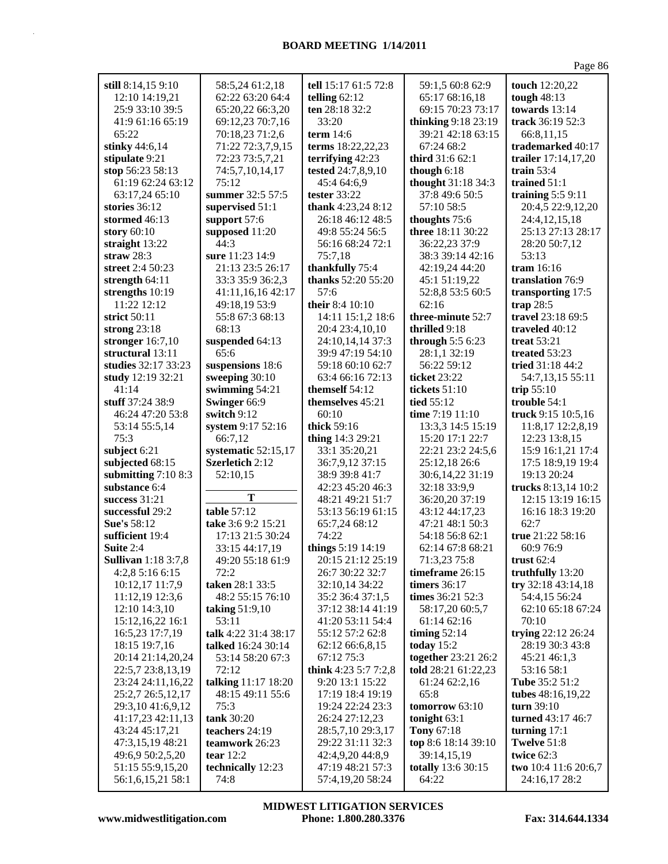| still 8:14,15 9:10                    | 58:5,24 61:2,18           | tell 15:17 61:5 72:8                 | 59:1,5 60:8 62:9            | touch 12:20,22                        |
|---------------------------------------|---------------------------|--------------------------------------|-----------------------------|---------------------------------------|
| 12:10 14:19,21                        | 62:22 63:20 64:4          | telling 62:12                        | 65:17 68:16,18              | tough $48:13$                         |
| 25:9 33:10 39:5                       | 65:20,22 66:3,20          | ten 28:18 32:2                       | 69:15 70:23 73:17           | towards 13:14                         |
| 41:9 61:16 65:19                      | 69:12,23 70:7,16          | 33:20                                | thinking 9:18 23:19         | track 36:19 52:3                      |
| 65:22                                 | 70:18,23 71:2,6           | term $14:6$                          | 39:21 42:18 63:15           | 66:8,11,15                            |
| stinky 44:6,14                        | 71:22 72:3,7,9,15         | terms 18:22,22,23                    | 67:24 68:2                  | trademarked 40:17                     |
| stipulate 9:21                        | 72:23 73:5,7,21           | terrifying 42:23                     | <b>third</b> 31:6 62:1      | trailer 17:14,17,20                   |
| stop 56:23 58:13                      | 74:5,7,10,14,17           | tested 24:7,8,9,10                   | though $6:18$               | train $53:4$                          |
| 61:19 62:24 63:12                     | 75:12                     | 45:4 64:6,9                          | thought 31:18 34:3          | trained 51:1                          |
| 63:17,24 65:10                        | summer 32:5 57:5          | tester 33:22                         | 37:8 49:6 50:5              | training $5:59:11$                    |
| stories $36:12$                       | supervised 51:1           | thank 4:23,24 8:12                   | 57:10 58:5                  | 20:4,5 22:9,12,20                     |
| stormed 46:13                         | support 57:6              | 26:18 46:12 48:5                     | thoughts 75:6               | 24:4,12,15,18                         |
| story $60:10$                         | supposed 11:20            | 49:8 55:24 56:5                      | three 18:11 30:22           | 25:13 27:13 28:17                     |
| straight 13:22                        | 44:3                      | 56:16 68:24 72:1                     | 36:22,23 37:9               | 28:20 50:7,12                         |
| straw $28:3$                          | sure 11:23 14:9           | 75:7,18                              | 38:3 39:14 42:16            | 53:13                                 |
| street 2:4 50:23                      | 21:13 23:5 26:17          | thankfully 75:4                      | 42:19,24 44:20              | tram $16:16$                          |
| strength $64:11$                      | 33:3 35:9 36:2,3          | thanks 52:20 55:20                   | 45:1 51:19,22               | translation 76:9                      |
| strengths 10:19                       | 41:11,16,16 42:17         | 57:6                                 | 52:8,8 53:5 60:5            | transporting 17:5                     |
| 11:22 12:12                           | 49:18,19 53:9             | their 8:4 10:10                      | 62:16                       | trap $28:5$                           |
| strict 50:11                          | 55:8 67:3 68:13           | 14:11 15:1,2 18:6                    | three-minute 52:7           | travel 23:18 69:5                     |
| strong $23:18$                        | 68:13                     | 20:4 23:4,10,10                      | thrilled 9:18               | traveled 40:12                        |
| stronger 16:7,10                      | suspended 64:13           | 24:10,14,14 37:3                     | through $5:56:23$           | treat $53:21$                         |
| structural 13:11                      | 65:6                      | 39:9 47:19 54:10                     | 28:1,1 32:19                | treated 53:23                         |
| studies 32:17 33:23                   | suspensions 18:6          | 59:18 60:10 62:7                     | 56:22 59:12                 | tried 31:18 44:2                      |
| study 12:19 32:21                     | sweeping 30:10            | 63:4 66:16 72:13                     | ticket 23:22                | 54:7,13,15 55:11                      |
| 41:14                                 | swimming 54:21            | themself 54:12                       | <b>tickets</b> 51:10        | trip $55:10$                          |
| stuff 37:24 38:9                      | Swinger 66:9              | themselves 45:21                     | tied 55:12                  | trouble 54:1                          |
| 46:24 47:20 53:8                      | switch 9:12               | 60:10                                | time $7:19$ $11:10$         | truck 9:15 10:5,16                    |
| 53:14 55:5,14                         | system 9:17 52:16         | thick 59:16                          | 13:3,3 14:5 15:19           | 11:8,17 12:2,8,19                     |
| 75:3                                  | 66:7,12                   | thing 14:3 29:21                     | 15:20 17:1 22:7             | 12:23 13:8,15                         |
| subject 6:21                          | systematic 52:15,17       | 33:1 35:20,21                        | 22:21 23:2 24:5,6           | 15:9 16:1,21 17:4                     |
| subjected 68:15                       | Szerletich 2:12           | 36:7,9,12 37:15                      | 25:12,18 26:6               | 17:5 18:9,19 19:4                     |
| submitting $7:108:3$                  | 52:10,15                  | 38:9 39:8 41:7                       | 30:6,14,22 31:19            | 19:13 20:24                           |
| substance 6:4                         |                           | 42:23 45:20 46:3                     | 32:18 33:9,9                | trucks 8:13,14 10:2                   |
| success 31:21                         | Т                         | 48:21 49:21 51:7                     | 36:20,20 37:19              | 12:15 13:19 16:15                     |
| successful 29:2                       | table 57:12               | 53:13 56:19 61:15                    | 43:12 44:17,23              | 16:16 18:3 19:20                      |
| <b>Sue's 58:12</b>                    | take 3:6 9:2 15:21        | 65:7,24 68:12                        | 47:21 48:1 50:3             | 62:7                                  |
| sufficient 19:4                       | 17:13 21:5 30:24          | 74:22                                | 54:18 56:8 62:1             | true 21:22 58:16                      |
| Suite 2:4                             | 33:15 44:17,19            | things 5:19 14:19                    | 62:14 67:8 68:21            | 60:9 76:9                             |
| <b>Sullivan</b> 1:18 3:7,8            | 49:20 55:18 61:9          | 20:15 21:12 25:19                    | 71:3,23 75:8                | trust 62:4                            |
| 4:2,8 5:16 6:15                       | 72:2                      | 26:7 30:22 32:7                      | timeframe 26:15             | truthfully 13:20                      |
| 10:12,17 11:7,9                       | taken 28:1 33:5           | 32:10,14 34:22                       | <b>timers</b> 36:17         | try 32:18 43:14,18                    |
| 11:12,19 12:3,6                       | 48:2 55:15 76:10          | 35:2 36:4 37:1,5                     | times 36:21 52:3            | 54:4,15 56:24                         |
| 12:10 14:3,10                         | taking $51:9,10$          | 37:12 38:14 41:19                    | 58:17,20 60:5,7             | 62:10 65:18 67:24                     |
| 15:12,16,22 16:1                      | 53:11                     | 41:20 53:11 54:4                     | 61:14 62:16                 | 70:10                                 |
| 16:5,23 17:7,19                       | talk 4:22 31:4 38:17      | 55:12 57:2 62:8                      | timing $52:14$              | trying 22:12 26:24                    |
| 18:15 19:7,16                         | talked 16:24 30:14        | 62:12 66:6,8,15                      | today $15:2$                | 28:19 30:3 43:8                       |
| 20:14 21:14,20,24                     | 53:14 58:20 67:3          | 67:12 75:3                           | together 23:21 26:2         | 45:21 46:1,3                          |
| 22:5,7 23:8,13,19                     | 72:12                     | think 4:23 5:7 7:2,8                 | told 28:21 61:22,23         | 53:16 58:1                            |
| 23:24 24:11,16,22                     | talking 11:17 18:20       | 9:20 13:1 15:22                      | 61:24 62:2,16               | Tube 35:2 51:2                        |
| 25:2,7 26:5,12,17                     | 48:15 49:11 55:6          | 17:19 18:4 19:19                     | 65:8                        | tubes 48:16,19,22                     |
| 29:3,10 41:6,9,12                     | 75:3                      | 19:24 22:24 23:3                     | tomorrow 63:10              | turn 39:10                            |
| 41:17,23 42:11,13                     |                           |                                      | tonight $63:1$              | turned 43:17 46:7                     |
| 43:24 45:17,21                        |                           |                                      |                             |                                       |
|                                       | tank 30:20                | 26:24 27:12,23                       |                             |                                       |
|                                       | teachers 24:19            | 28:5,7,10 29:3,17                    | Tony 67:18                  | turning $17:1$                        |
| 47:3,15,19 48:21                      | teamwork 26:23            | 29:22 31:11 32:3                     | top 8:6 18:14 39:10         | Twelve 51:8                           |
| 49:6,9 50:2,5,20                      | tear $12:2$               | 42:4,9,20 44:8,9                     | 39:14,15,19                 | twice $62:3$                          |
| 51:15 55:9,15,20<br>56:1,6,15,21 58:1 | technically 12:23<br>74:8 | 47:19 48:21 57:3<br>57:4,19,20 58:24 | totally 13:6 30:15<br>64:22 | two 10:4 11:6 20:6,7<br>24:16,17 28:2 |

**www.midwestlitigation.com Phone: 1.800.280.3376 Fax: 314.644.1334 MIDWEST LITIGATION SERVICES**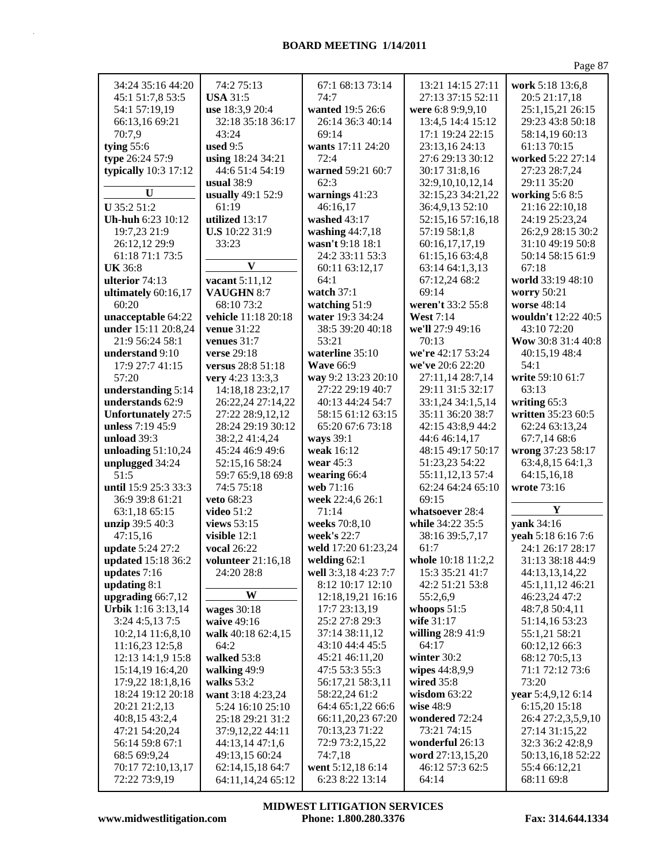| 34:24 35:16 44:20         | 74:2 75:13                | 67:1 68:13 73:14     | 13:21 14:15 27:11  | work 5:18 13:6,8    |
|---------------------------|---------------------------|----------------------|--------------------|---------------------|
| 45:1 51:7,8 53:5          | <b>USA 31:5</b>           | 74:7                 | 27:13 37:15 52:11  | 20:5 21:17,18       |
| 54:1 57:19,19             | use 18:3,9 20:4           | wanted 19:5 26:6     | were 6:8 9:9,9,10  | 25:1,15,21 26:15    |
| 66:13,16 69:21            | 32:18 35:18 36:17         | 26:14 36:3 40:14     | 13:4,5 14:4 15:12  | 29:23 43:8 50:18    |
| 70:7,9                    | 43:24                     | 69:14                | 17:1 19:24 22:15   | 58:14,19 60:13      |
| tying $55:6$              | used $9:5$                | wants 17:11 24:20    | 23:13,16 24:13     | 61:13 70:15         |
| type 26:24 57:9           | using 18:24 34:21         | 72:4                 | 27:6 29:13 30:12   | worked 5:22 27:14   |
| typically 10:3 17:12      | 44:6 51:4 54:19           | warned 59:21 60:7    | 30:17 31:8,16      | 27:23 28:7,24       |
|                           | usual $38:9$              | 62:3                 | 32:9,10,10,12,14   | 29:11 35:20         |
| U                         | usually 49:1 52:9         | warnings 41:23       | 32:15,23 34:21,22  | working 5:6 8:5     |
| U 35:2 51:2               | 61:19                     | 46:16,17             | 36:4,9,13 52:10    | 21:16 22:10,18      |
| Uh-huh 6:23 10:12         | utilized 13:17            | washed 43:17         | 52:15,16 57:16,18  | 24:19 25:23,24      |
| 19:7,23 21:9              | U.S 10:22 31:9            | washing $44:7,18$    | 57:19 58:1,8       | 26:2,9 28:15 30:2   |
| 26:12,12 29:9             | 33:23                     | wasn't 9:18 18:1     | 60:16,17,17,19     | 31:10 49:19 50:8    |
| 61:18 71:1 73:5           |                           | 24:2 33:11 53:3      | 61:15,16 63:4,8    | 50:14 58:15 61:9    |
| <b>UK 36:8</b>            | $\boldsymbol{\mathrm{v}}$ |                      |                    | 67:18               |
|                           |                           | 60:11 63:12,17       | 63:14 64:1,3,13    |                     |
| ulterior 74:13            | vacant 5:11,12            | 64:1                 | 67:12,24 68:2      | world 33:19 48:10   |
| ultimately 60:16,17       | VAUGHN 8:7                | watch 37:1           | 69:14              | worry 50:21         |
| 60:20                     | 68:10 73:2                | watching 51:9        | weren't 33:2 55:8  | worse 48:14         |
| unacceptable 64:22        | vehicle 11:18 20:18       | water 19:3 34:24     | <b>West</b> 7:14   | wouldn't 12:22 40:5 |
| under 15:11 20:8,24       | <b>venue</b> 31:22        | 38:5 39:20 40:18     | we'll 27:9 49:16   | 43:10 72:20         |
| 21:9 56:24 58:1           | venues $31:7$             | 53:21                | 70:13              | Wow 30:8 31:4 40:8  |
| understand 9:10           | verse 29:18               | waterline 35:10      | we're 42:17 53:24  | 40:15,19 48:4       |
| 17:9 27:7 41:15           | versus 28:8 51:18         | <b>Wave 66:9</b>     | we've 20:6 22:20   | 54:1                |
| 57:20                     | very 4:23 13:3,3          | way 9:2 13:23 20:10  | 27:11,14 28:7,14   | write 59:10 61:7    |
| understanding 5:14        | 14:18,18 23:2,17          | 27:22 29:19 40:7     | 29:11 31:5 32:17   | 63:13               |
| understands 62:9          | 26:22,24 27:14,22         | 40:13 44:24 54:7     | 33:1,24 34:1,5,14  | writing 65:3        |
| <b>Unfortunately 27:5</b> | 27:22 28:9,12,12          | 58:15 61:12 63:15    | 35:11 36:20 38:7   | written 35:23 60:5  |
| unless 7:19 45:9          | 28:24 29:19 30:12         | 65:20 67:6 73:18     | 42:15 43:8,9 44:2  | 62:24 63:13,24      |
| unload 39:3               | 38:2,2 41:4,24            | ways 39:1            | 44:6 46:14,17      | 67:7,14 68:6        |
| unloading 51:10,24        | 45:24 46:9 49:6           | weak 16:12           | 48:15 49:17 50:17  | wrong 37:23 58:17   |
| unplugged 34:24           | 52:15,16 58:24            | wear $45:3$          | 51:23,23 54:22     | 63:4,8,15 64:1,3    |
| 51:5                      | 59:7 65:9,18 69:8         | wearing 66:4         | 55:11,12,13 57:4   | 64:15,16,18         |
| until 15:9 25:3 33:3      | 74:5 75:18                | web 71:16            | 62:24 64:24 65:10  | wrote 73:16         |
| 36:9 39:8 61:21           | <b>veto</b> 68:23         | week 22:4,6 26:1     | 69:15              |                     |
| 63:1,18 65:15             | video $51:2$              | 71:14                | whatsoever 28:4    | Y                   |
| unzip 39:5 40:3           | views 53:15               | weeks 70:8,10        | while 34:22 35:5   | yank 34:16          |
| 47:15,16                  | visible $12:1$            | week's 22:7          | 38:16 39:5,7,17    | yeah 5:18 6:16 7:6  |
| update 5:24 27:2          | <b>vocal</b> 26:22        | weld 17:20 61:23,24  | 61:7               | 24:1 26:17 28:17    |
| updated 15:18 36:2        | volunteer 21:16,18        | welding $62:1$       | whole 10:18 11:2,2 | 31:13 38:18 44:9    |
| updates 7:16              | 24:20 28:8                | well 3:3,18 4:23 7:7 | 15:3 35:21 41:7    | 44:13,13,14,22      |
| updating 8:1              |                           | 8:12 10:17 12:10     | 42:2 51:21 53:8    | 45:1,11,12 46:21    |
| upgrading 66:7,12         | W                         | 12:18,19,21 16:16    | 55:2,6,9           | 46:23,24 47:2       |
| <b>Urbik</b> 1:16 3:13,14 | wages 30:18               | 17:7 23:13,19        | whoops $51:5$      | 48:7,8 50:4,11      |
|                           | waive 49:16               |                      | wife 31:17         |                     |
| 3:24 4:5,13 7:5           |                           | 25:2 27:8 29:3       |                    | 51:14,16 53:23      |
| 10:2,14 11:6,8,10         | walk 40:18 62:4,15        | 37:14 38:11,12       | willing 28:9 41:9  | 55:1,21 58:21       |
| 11:16,23 12:5,8           | 64:2                      | 43:10 44:4 45:5      | 64:17              | 60:12,12 66:3       |
| 12:13 14:1,9 15:8         | walked 53:8               | 45:21 46:11,20       | winter 30:2        | 68:12 70:5,13       |
| 15:14,19 16:4,20          | walking 49:9              | 47:5 53:3 55:3       | wipes 44:8,9,9     | 71:1 72:12 73:6     |
| 17:9,22 18:1,8,16         | walks 53:2                | 56:17,21 58:3,11     | wired $35:8$       | 73:20               |
| 18:24 19:12 20:18         | want 3:18 4:23,24         | 58:22,24 61:2        | wisdom $63:22$     | year 5:4,9,12 6:14  |
| 20:21 21:2,13             | 5:24 16:10 25:10          | 64:4 65:1,22 66:6    | wise $48:9$        | 6:15,20 15:18       |
| 40:8,15 43:2,4            | 25:18 29:21 31:2          | 66:11,20,23 67:20    | wondered 72:24     | 26:4 27:2,3,5,9,10  |
| 47:21 54:20,24            | 37:9,12,22 44:11          | 70:13,23 71:22       | 73:21 74:15        | 27:14 31:15,22      |
| 56:14 59:8 67:1           | 44:13,14 47:1,6           | 72:9 73:2,15,22      | wonderful 26:13    | 32:3 36:2 42:8,9    |
| 68:5 69:9,24              | 49:13,15 60:24            | 74:7,18              | word 27:13,15,20   | 50:13,16,18 52:22   |
| 70:17 72:10,13,17         | 62:14,15,18 64:7          | went 5:12,18 6:14    | 46:12 57:3 62:5    | 55:4 66:12,21       |
| 72:22 73:9,19             | 64:11,14,24 65:12         | 6:23 8:22 13:14      | 64:14              | 68:11 69:8          |
|                           |                           |                      |                    |                     |

MIDWEST LITIGATION SERVICES Phone: 1.800.280.3376